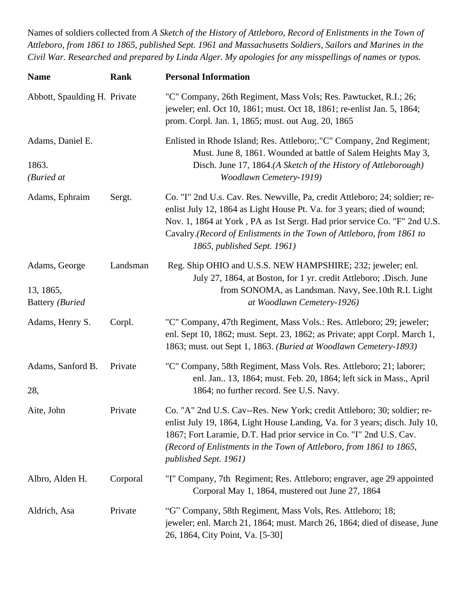Names of soldiers collected from *A Sketch of the History of Attleboro, Record of Enlistments in the Town of Attleboro, from 1861 to 1865, published Sept. 1961 and Massachusetts Soldiers, Sailors and Marines in the Civil War. Researched and prepared by Linda Alger. My apologies for any misspellings of names or typos.*

| <b>Name</b>                                                  | Rank     | <b>Personal Information</b>                                                                                                                                                                                                                                                                                                                 |
|--------------------------------------------------------------|----------|---------------------------------------------------------------------------------------------------------------------------------------------------------------------------------------------------------------------------------------------------------------------------------------------------------------------------------------------|
| Abbott, Spaulding H. Private                                 |          | "C" Company, 26th Regiment, Mass Vols; Res. Pawtucket, R.I.; 26;<br>jeweler; enl. Oct 10, 1861; must. Oct 18, 1861; re-enlist Jan. 5, 1864;<br>prom. Corpl. Jan. 1, 1865; must. out Aug. 20, 1865                                                                                                                                           |
| Adams, Daniel E.<br>1863.<br>(Buried at                      |          | Enlisted in Rhode Island; Res. Attleboro; "C" Company, 2nd Regiment;<br>Must. June 8, 1861. Wounded at battle of Salem Heights May 3,<br>Disch. June 17, 1864.(A Sketch of the History of Attleborough)<br>Woodlawn Cemetery-1919)                                                                                                          |
| Adams, Ephraim                                               | Sergt.   | Co. "I" 2nd U.s. Cav. Res. Newville, Pa, credit Attleboro; 24; soldier; re-<br>enlist July 12, 1864 as Light House Pt. Va. for 3 years; died of wound;<br>Nov. 1, 1864 at York, PA as 1st Sergt. Had prior service Co. "F" 2nd U.S.<br>Cavalry.(Record of Enlistments in the Town of Attleboro, from 1861 to<br>1865, published Sept. 1961) |
| Adams, George<br>13, 1865,<br><b>Battery</b> ( <i>Buried</i> | Landsman | Reg. Ship OHIO and U.S.S. NEW HAMPSHIRE; 232; jeweler; enl.<br>July 27, 1864, at Boston, for 1 yr. credit Attleboro; .Disch. June<br>from SONOMA, as Landsman. Navy, See.10th R.I. Light<br>at Woodlawn Cemetery-1926)                                                                                                                      |
| Adams, Henry S.                                              | Corpl.   | "C" Company, 47th Regiment, Mass Vols.: Res. Attleboro; 29; jeweler;<br>enl. Sept 10, 1862; must. Sept. 23, 1862; as Private; appt Corpl. March 1,<br>1863; must. out Sept 1, 1863. (Buried at Woodlawn Cemetery-1893)                                                                                                                      |
| Adams, Sanford B.<br>28,                                     | Private  | "C" Company, 58th Regiment, Mass Vols. Res. Attleboro; 21; laborer;<br>enl. Jan., 13, 1864; must. Feb. 20, 1864; left sick in Mass., April<br>1864; no further record. See U.S. Navy.                                                                                                                                                       |
| Aite, John                                                   | Private  | Co. "A" 2nd U.S. Cav--Res. New York; credit Attleboro; 30; soldier; re-<br>enlist July 19, 1864, Light House Landing, Va. for 3 years; disch. July 10,<br>1867; Fort Laramie, D.T. Had prior service in Co. "I" 2nd U.S. Cav.<br>(Record of Enlistments in the Town of Attleboro, from 1861 to 1865,<br>published Sept. 1961)               |
| Albro, Alden H.                                              | Corporal | "I" Company, 7th Regiment; Res. Attleboro; engraver, age 29 appointed<br>Corporal May 1, 1864, mustered out June 27, 1864                                                                                                                                                                                                                   |
| Aldrich, Asa                                                 | Private  | "G" Company, 58th Regiment, Mass Vols, Res. Attleboro; 18;<br>jeweler; enl. March 21, 1864; must. March 26, 1864; died of disease, June<br>26, 1864, City Point, Va. [5-30]                                                                                                                                                                 |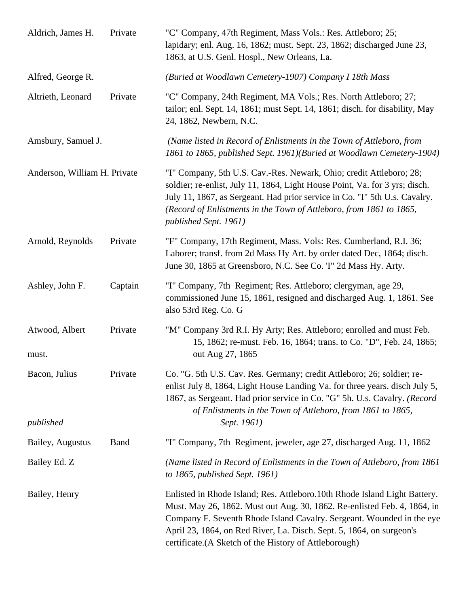| Aldrich, James H.            | Private     | "C" Company, 47th Regiment, Mass Vols.: Res. Attleboro; 25;<br>lapidary; enl. Aug. 16, 1862; must. Sept. 23, 1862; discharged June 23,<br>1863, at U.S. Genl. Hospl., New Orleans, La.                                                                                                                                                                           |
|------------------------------|-------------|------------------------------------------------------------------------------------------------------------------------------------------------------------------------------------------------------------------------------------------------------------------------------------------------------------------------------------------------------------------|
| Alfred, George R.            |             | (Buried at Woodlawn Cemetery-1907) Company I 18th Mass                                                                                                                                                                                                                                                                                                           |
| Altrieth, Leonard            | Private     | "C" Company, 24th Regiment, MA Vols.; Res. North Attleboro; 27;<br>tailor; enl. Sept. 14, 1861; must Sept. 14, 1861; disch. for disability, May<br>24, 1862, Newbern, N.C.                                                                                                                                                                                       |
| Amsbury, Samuel J.           |             | (Name listed in Record of Enlistments in the Town of Attleboro, from<br>1861 to 1865, published Sept. 1961)(Buried at Woodlawn Cemetery-1904)                                                                                                                                                                                                                    |
| Anderson, William H. Private |             | "I" Company, 5th U.S. Cav.-Res. Newark, Ohio; credit Attleboro; 28;<br>soldier; re-enlist, July 11, 1864, Light House Point, Va. for 3 yrs; disch.<br>July 11, 1867, as Sergeant. Had prior service in Co. "I" 5th U.s. Cavalry.<br>(Record of Enlistments in the Town of Attleboro, from 1861 to 1865,<br>published Sept. 1961)                                 |
| Arnold, Reynolds             | Private     | "F" Company, 17th Regiment, Mass. Vols: Res. Cumberland, R.I. 36;<br>Laborer; transf. from 2d Mass Hy Art. by order dated Dec, 1864; disch.<br>June 30, 1865 at Greensboro, N.C. See Co. T" 2d Mass Hy. Arty.                                                                                                                                                    |
| Ashley, John F.              | Captain     | "I" Company, 7th Regiment; Res. Attleboro; clergyman, age 29,<br>commissioned June 15, 1861, resigned and discharged Aug. 1, 1861. See<br>also 53rd Reg. Co. G                                                                                                                                                                                                   |
| Atwood, Albert<br>must.      | Private     | "M" Company 3rd R.I. Hy Arty; Res. Attleboro; enrolled and must Feb.<br>15, 1862; re-must. Feb. 16, 1864; trans. to Co. "D", Feb. 24, 1865;<br>out Aug 27, 1865                                                                                                                                                                                                  |
| Bacon, Julius                | Private     | Co. "G. 5th U.S. Cav. Res. Germany; credit Attleboro; 26; soldier; re-<br>enlist July 8, 1864, Light House Landing Va. for three years. disch July 5,<br>1867, as Sergeant. Had prior service in Co. "G" 5h. U.s. Cavalry. (Record<br>of Enlistments in the Town of Attleboro, from 1861 to 1865,                                                                |
| published                    |             | Sept. 1961)                                                                                                                                                                                                                                                                                                                                                      |
| Bailey, Augustus             | <b>Band</b> | "I" Company, 7th Regiment, jeweler, age 27, discharged Aug. 11, 1862                                                                                                                                                                                                                                                                                             |
| Bailey Ed. Z                 |             | (Name listed in Record of Enlistments in the Town of Attleboro, from 1861)<br>to $1865$ , published Sept. 1961)                                                                                                                                                                                                                                                  |
| Bailey, Henry                |             | Enlisted in Rhode Island; Res. Attleboro. 10th Rhode Island Light Battery.<br>Must. May 26, 1862. Must out Aug. 30, 1862. Re-enlisted Feb. 4, 1864, in<br>Company F. Seventh Rhode Island Cavalry. Sergeant. Wounded in the eye<br>April 23, 1864, on Red River, La. Disch. Sept. 5, 1864, on surgeon's<br>certificate.(A Sketch of the History of Attleborough) |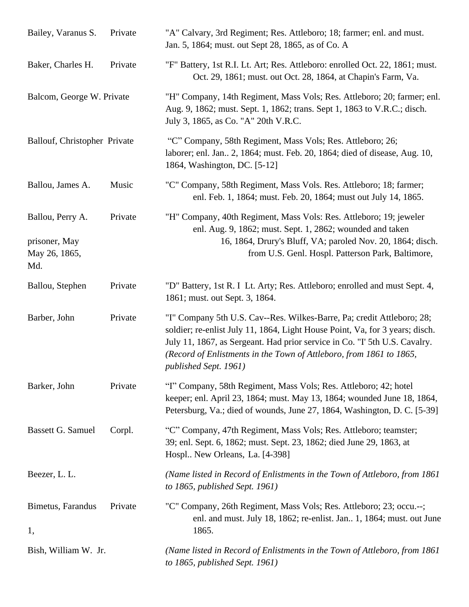| Bailey, Varanus S.                                        | Private | "A" Calvary, 3rd Regiment; Res. Attleboro; 18; farmer; enl. and must.<br>Jan. 5, 1864; must. out Sept 28, 1865, as of Co. A                                                                                                                                                                                                          |
|-----------------------------------------------------------|---------|--------------------------------------------------------------------------------------------------------------------------------------------------------------------------------------------------------------------------------------------------------------------------------------------------------------------------------------|
| Baker, Charles H.                                         | Private | "F" Battery, 1st R.I. Lt. Art; Res. Attleboro: enrolled Oct. 22, 1861; must.<br>Oct. 29, 1861; must. out Oct. 28, 1864, at Chapin's Farm, Va.                                                                                                                                                                                        |
| Balcom, George W. Private                                 |         | "H" Company, 14th Regiment, Mass Vols; Res. Attleboro; 20; farmer; enl.<br>Aug. 9, 1862; must. Sept. 1, 1862; trans. Sept 1, 1863 to V.R.C.; disch.<br>July 3, 1865, as Co. "A" 20th V.R.C.                                                                                                                                          |
| Ballouf, Christopher Private                              |         | "C" Company, 58th Regiment, Mass Vols; Res. Attleboro; 26;<br>laborer; enl. Jan 2, 1864; must. Feb. 20, 1864; died of disease, Aug. 10,<br>1864, Washington, DC. [5-12]                                                                                                                                                              |
| Ballou, James A.                                          | Music   | "C" Company, 58th Regiment, Mass Vols. Res. Attleboro; 18; farmer;<br>enl. Feb. 1, 1864; must. Feb. 20, 1864; must out July 14, 1865.                                                                                                                                                                                                |
| Ballou, Perry A.<br>prisoner, May<br>May 26, 1865,<br>Md. | Private | "H" Company, 40th Regiment, Mass Vols: Res. Attleboro; 19; jeweler<br>enl. Aug. 9, 1862; must. Sept. 1, 2862; wounded and taken<br>16, 1864, Drury's Bluff, VA; paroled Nov. 20, 1864; disch.<br>from U.S. Genl. Hospl. Patterson Park, Baltimore,                                                                                   |
| Ballou, Stephen                                           | Private | "D" Battery, 1st R. I Lt. Arty; Res. Attleboro; enrolled and must Sept. 4,<br>1861; must. out Sept. 3, 1864.                                                                                                                                                                                                                         |
| Barber, John                                              | Private | "I" Company 5th U.S. Cav--Res. Wilkes-Barre, Pa; credit Attleboro; 28;<br>soldier; re-enlist July 11, 1864, Light House Point, Va, for 3 years; disch.<br>July 11, 1867, as Sergeant. Had prior service in Co. "I' 5th U.S. Cavalry.<br>(Record of Enlistments in the Town of Attleboro, from 1861 to 1865,<br>published Sept. 1961) |
| Barker, John                                              | Private | "I" Company, 58th Regiment, Mass Vols; Res. Attleboro; 42; hotel<br>keeper; enl. April 23, 1864; must. May 13, 1864; wounded June 18, 1864,<br>Petersburg, Va.; died of wounds, June 27, 1864, Washington, D. C. [5-39]                                                                                                              |
| Bassett G. Samuel                                         | Corpl.  | "C" Company, 47th Regiment, Mass Vols; Res. Attleboro; teamster;<br>39; enl. Sept. 6, 1862; must. Sept. 23, 1862; died June 29, 1863, at<br>Hospl New Orleans, La. [4-398]                                                                                                                                                           |
| Beezer, L. L.                                             |         | (Name listed in Record of Enlistments in the Town of Attleboro, from 1861<br>to $1865$ , published Sept. 1961)                                                                                                                                                                                                                       |
| Bimetus, Farandus<br>1,                                   | Private | "C" Company, 26th Regiment, Mass Vols; Res. Attleboro; 23; occu.--;<br>enl. and must. July 18, 1862; re-enlist. Jan. 1, 1864; must. out June<br>1865.                                                                                                                                                                                |
| Bish, William W. Jr.                                      |         | (Name listed in Record of Enlistments in the Town of Attleboro, from 1861<br>to 1865, published Sept. 1961)                                                                                                                                                                                                                          |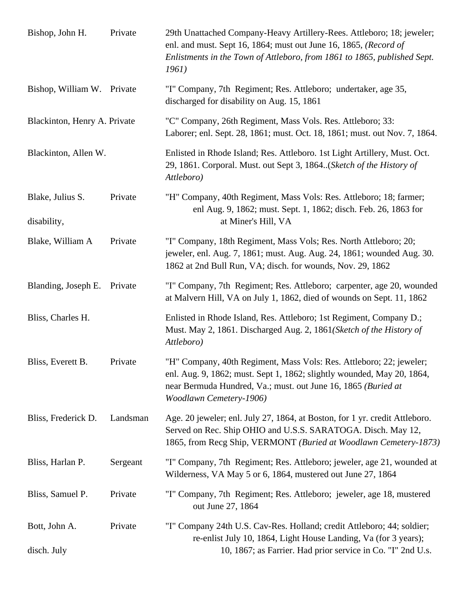| Bishop, John H.                 | Private  | 29th Unattached Company-Heavy Artillery-Rees. Attleboro; 18; jeweler;<br>enl. and must. Sept 16, 1864; must out June 16, 1865, (Record of<br>Enlistments in the Town of Attleboro, from 1861 to 1865, published Sept.<br>1961)            |
|---------------------------------|----------|-------------------------------------------------------------------------------------------------------------------------------------------------------------------------------------------------------------------------------------------|
| Bishop, William W. Private      |          | "I" Company, 7th Regiment; Res. Attleboro; undertaker, age 35,<br>discharged for disability on Aug. 15, 1861                                                                                                                              |
| Blackinton, Henry A. Private    |          | "C" Company, 26th Regiment, Mass Vols. Res. Attleboro; 33:<br>Laborer; enl. Sept. 28, 1861; must. Oct. 18, 1861; must. out Nov. 7, 1864.                                                                                                  |
| Blackinton, Allen W.            |          | Enlisted in Rhode Island; Res. Attleboro. 1st Light Artillery, Must. Oct.<br>29, 1861. Corporal. Must. out Sept 3, 1864. (Sketch of the History of<br>Attleboro)                                                                          |
| Blake, Julius S.<br>disability, | Private  | "H" Company, 40th Regiment, Mass Vols: Res. Attleboro; 18; farmer;<br>enl Aug. 9, 1862; must. Sept. 1, 1862; disch. Feb. 26, 1863 for<br>at Miner's Hill, VA                                                                              |
| Blake, William A                | Private  | "I" Company, 18th Regiment, Mass Vols; Res. North Attleboro; 20;<br>jeweler, enl. Aug. 7, 1861; must. Aug. Aug. 24, 1861; wounded Aug. 30.<br>1862 at 2nd Bull Run, VA; disch. for wounds, Nov. 29, 1862                                  |
| Blanding, Joseph E.             | Private  | "I" Company, 7th Regiment; Res. Attleboro; carpenter, age 20, wounded<br>at Malvern Hill, VA on July 1, 1862, died of wounds on Sept. 11, 1862                                                                                            |
| Bliss, Charles H.               |          | Enlisted in Rhode Island, Res. Attleboro; 1st Regiment, Company D.;<br>Must. May 2, 1861. Discharged Aug. 2, 1861(Sketch of the History of<br>Attleboro)                                                                                  |
| Bliss, Everett B.               | Private  | "H" Company, 40th Regiment, Mass Vols: Res. Attleboro; 22; jeweler;<br>enl. Aug. 9, 1862; must. Sept 1, 1862; slightly wounded, May 20, 1864,<br>near Bermuda Hundred, Va.; must. out June 16, 1865 (Buried at<br>Woodlawn Cemetery-1906) |
| Bliss, Frederick D.             | Landsman | Age. 20 jeweler; enl. July 27, 1864, at Boston, for 1 yr. credit Attleboro.<br>Served on Rec. Ship OHIO and U.S.S. SARATOGA. Disch. May 12,<br>1865, from Recg Ship, VERMONT (Buried at Woodlawn Cemetery-1873)                           |
| Bliss, Harlan P.                | Sergeant | "I" Company, 7th Regiment; Res. Attleboro; jeweler, age 21, wounded at<br>Wilderness, VA May 5 or 6, 1864, mustered out June 27, 1864                                                                                                     |
| Bliss, Samuel P.                | Private  | "I" Company, 7th Regiment; Res. Attleboro; jeweler, age 18, mustered<br>out June 27, 1864                                                                                                                                                 |
| Bott, John A.<br>disch. July    | Private  | "I" Company 24th U.S. Cav-Res. Holland; credit Attleboro; 44; soldier;<br>re-enlist July 10, 1864, Light House Landing, Va (for 3 years);<br>10, 1867; as Farrier. Had prior service in Co. "I" 2nd U.s.                                  |
|                                 |          |                                                                                                                                                                                                                                           |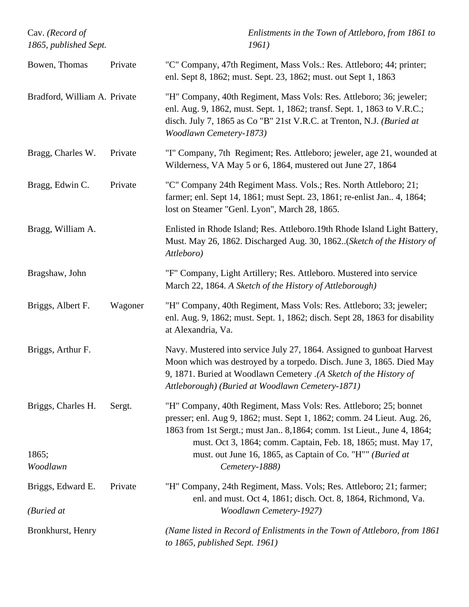| Cav. (Record of<br>1865, published Sept. |         | Enlistments in the Town of Attleboro, from 1861 to<br>1961)                                                                                                                                                                                                                                |
|------------------------------------------|---------|--------------------------------------------------------------------------------------------------------------------------------------------------------------------------------------------------------------------------------------------------------------------------------------------|
| Bowen, Thomas                            | Private | "C" Company, 47th Regiment, Mass Vols.: Res. Attleboro; 44; printer;<br>enl. Sept 8, 1862; must. Sept. 23, 1862; must. out Sept 1, 1863                                                                                                                                                    |
| Bradford, William A. Private             |         | "H" Company, 40th Regiment, Mass Vols: Res. Attleboro; 36; jeweler;<br>enl. Aug. 9, 1862, must. Sept. 1, 1862; transf. Sept. 1, 1863 to V.R.C.;<br>disch. July 7, 1865 as Co "B" 21st V.R.C. at Trenton, N.J. (Buried at<br>Woodlawn Cemetery-1873)                                        |
| Bragg, Charles W.                        | Private | "I" Company, 7th Regiment; Res. Attleboro; jeweler, age 21, wounded at<br>Wilderness, VA May 5 or 6, 1864, mustered out June 27, 1864                                                                                                                                                      |
| Bragg, Edwin C.                          | Private | "C" Company 24th Regiment Mass. Vols.; Res. North Attleboro; 21;<br>farmer; enl. Sept 14, 1861; must Sept. 23, 1861; re-enlist Jan 4, 1864;<br>lost on Steamer "Genl. Lyon", March 28, 1865.                                                                                               |
| Bragg, William A.                        |         | Enlisted in Rhode Island; Res. Attleboro.19th Rhode Island Light Battery,<br>Must. May 26, 1862. Discharged Aug. 30, 1862. (Sketch of the History of<br>Attleboro)                                                                                                                         |
| Bragshaw, John                           |         | "F" Company, Light Artillery; Res. Attleboro. Mustered into service<br>March 22, 1864. A Sketch of the History of Attleborough)                                                                                                                                                            |
| Briggs, Albert F.                        | Wagoner | "H" Company, 40th Regiment, Mass Vols: Res. Attleboro; 33; jeweler;<br>enl. Aug. 9, 1862; must. Sept. 1, 1862; disch. Sept 28, 1863 for disability<br>at Alexandria, Va.                                                                                                                   |
| Briggs, Arthur F.                        |         | Navy. Mustered into service July 27, 1864. Assigned to gunboat Harvest<br>Moon which was destroyed by a torpedo. Disch. June 3, 1865. Died May<br>9, 1871. Buried at Woodlawn Cemetery .(A Sketch of the History of<br>Attleborough) (Buried at Woodlawn Cemetery-1871)                    |
| Briggs, Charles H.                       | Sergt.  | "H" Company, 40th Regiment, Mass Vols: Res. Attleboro; 25; bonnet<br>presser; enl. Aug 9, 1862; must. Sept 1, 1862; comm. 24 Lieut. Aug. 26,<br>1863 from 1st Sergt.; must Jan., 8,1864; comm. 1st Lieut., June 4, 1864;<br>must. Oct 3, 1864; comm. Captain, Feb. 18, 1865; must. May 17, |
| 1865;<br>Woodlawn                        |         | must. out June 16, 1865, as Captain of Co. "H"" (Buried at<br>Cemetery-1888)                                                                                                                                                                                                               |
| Briggs, Edward E.<br>(Buried at          | Private | "H" Company, 24th Regiment, Mass. Vols; Res. Attleboro; 21; farmer;<br>enl. and must. Oct 4, 1861; disch. Oct. 8, 1864, Richmond, Va.<br><b>Woodlawn Cemetery-1927)</b>                                                                                                                    |
| Bronkhurst, Henry                        |         | (Name listed in Record of Enlistments in the Town of Attleboro, from 1861<br>to 1865, published Sept. 1961)                                                                                                                                                                                |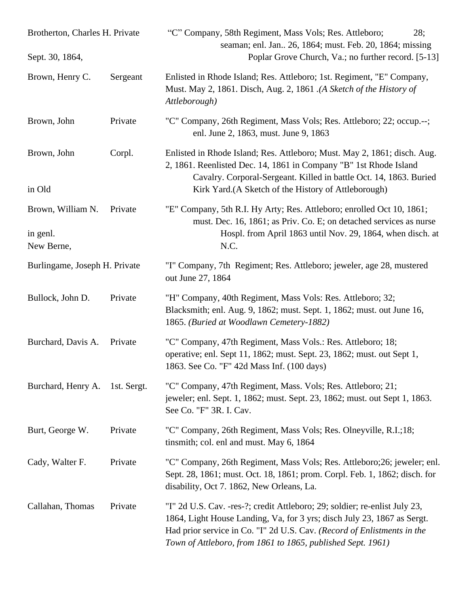| Brotherton, Charles H. Private<br>Sept. 30, 1864, |             | "C" Company, 58th Regiment, Mass Vols; Res. Attleboro;<br>28;<br>seaman; enl. Jan 26, 1864; must. Feb. 20, 1864; missing                                                                                                                                                                        |
|---------------------------------------------------|-------------|-------------------------------------------------------------------------------------------------------------------------------------------------------------------------------------------------------------------------------------------------------------------------------------------------|
|                                                   |             | Poplar Grove Church, Va.; no further record. [5-13]                                                                                                                                                                                                                                             |
| Brown, Henry C.                                   | Sergeant    | Enlisted in Rhode Island; Res. Attleboro; 1st. Regiment, "E" Company,<br>Must. May 2, 1861. Disch, Aug. 2, 1861. (A Sketch of the History of<br>Attleborough)                                                                                                                                   |
| Brown, John                                       | Private     | "C" Company, 26th Regiment, Mass Vols; Res. Attleboro; 22; occup.--;<br>enl. June 2, 1863, must. June 9, 1863                                                                                                                                                                                   |
| Brown, John<br>in Old                             | Corpl.      | Enlisted in Rhode Island; Res. Attleboro; Must. May 2, 1861; disch. Aug.<br>2, 1861. Reenlisted Dec. 14, 1861 in Company "B" 1st Rhode Island<br>Cavalry. Corporal-Sergeant. Killed in battle Oct. 14, 1863. Buried<br>Kirk Yard.(A Sketch of the History of Attleborough)                      |
| Brown, William N.<br>in genl.<br>New Berne,       | Private     | "E" Company, 5th R.I. Hy Arty; Res. Attleboro; enrolled Oct 10, 1861;<br>must. Dec. 16, 1861; as Priv. Co. E; on detached services as nurse<br>Hospl. from April 1863 until Nov. 29, 1864, when disch. at<br>N.C.                                                                               |
| Burlingame, Joseph H. Private                     |             | "I" Company, 7th Regiment; Res. Attleboro; jeweler, age 28, mustered<br>out June 27, 1864                                                                                                                                                                                                       |
| Bullock, John D.                                  | Private     | "H" Company, 40th Regiment, Mass Vols: Res. Attleboro; 32;<br>Blacksmith; enl. Aug. 9, 1862; must. Sept. 1, 1862; must. out June 16,<br>1865. (Buried at Woodlawn Cemetery-1882)                                                                                                                |
| Burchard, Davis A.                                | Private     | "C" Company, 47th Regiment, Mass Vols.: Res. Attleboro; 18;<br>operative; enl. Sept 11, 1862; must. Sept. 23, 1862; must. out Sept 1,<br>1863. See Co. "F" 42d Mass Inf. (100 days)                                                                                                             |
| Burchard, Henry A.                                | 1st. Sergt. | "C" Company, 47th Regiment, Mass. Vols; Res. Attleboro; 21;<br>jeweler; enl. Sept. 1, 1862; must. Sept. 23, 1862; must. out Sept 1, 1863.<br>See Co. "F" 3R. I. Cav.                                                                                                                            |
| Burt, George W.                                   | Private     | "C" Company, 26th Regiment, Mass Vols; Res. Olneyville, R.I.;18;<br>tinsmith; col. enl and must. May 6, 1864                                                                                                                                                                                    |
| Cady, Walter F.                                   | Private     | "C" Company, 26th Regiment, Mass Vols; Res. Attleboro; 26; jeweler; enl.<br>Sept. 28, 1861; must. Oct. 18, 1861; prom. Corpl. Feb. 1, 1862; disch. for<br>disability, Oct 7. 1862, New Orleans, La.                                                                                             |
| Callahan, Thomas                                  | Private     | "I" 2d U.S. Cav. -res-?; credit Attleboro; 29; soldier; re-enlist July 23,<br>1864, Light House Landing, Va, for 3 yrs; disch July 23, 1867 as Sergt.<br>Had prior service in Co. "I" 2d U.S. Cav. (Record of Enlistments in the<br>Town of Attleboro, from 1861 to 1865, published Sept. 1961) |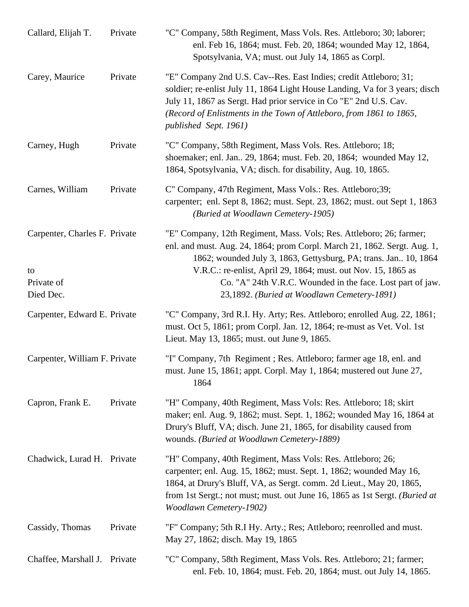| Callard, Elijah T.                                             | Private | "C" Company, 58th Regiment, Mass Vols. Res. Attleboro; 30; laborer;<br>enl. Feb 16, 1864; must. Feb. 20, 1864; wounded May 12, 1864,<br>Spotsylvania, VA; must. out July 14, 1865 as Corpl.                                                                                                                                                                                                       |
|----------------------------------------------------------------|---------|---------------------------------------------------------------------------------------------------------------------------------------------------------------------------------------------------------------------------------------------------------------------------------------------------------------------------------------------------------------------------------------------------|
| Carey, Maurice                                                 | Private | "E" Company 2nd U.S. Cav--Res. East Indies; credit Attleboro; 31;<br>soldier; re-enlist July 11, 1864 Light House Landing, Va for 3 years; disch<br>July 11, 1867 as Sergt. Had prior service in Co "E" 2nd U.S. Cav.<br>(Record of Enlistments in the Town of Attleboro, from 1861 to 1865,<br>published Sept. 1961)                                                                             |
| Carney, Hugh                                                   | Private | "C" Company, 58th Regiment, Mass Vols. Res. Attleboro; 18;<br>shoemaker; enl. Jan 29, 1864; must. Feb. 20, 1864; wounded May 12,<br>1864, Spotsylvania, VA; disch. for disability, Aug. 10, 1865.                                                                                                                                                                                                 |
| Carnes, William                                                | Private | C" Company, 47th Regiment, Mass Vols.: Res. Attleboro;39;<br>carpenter; enl. Sept 8, 1862; must. Sept. 23, 1862; must. out Sept 1, 1863<br>(Buried at Woodlawn Cemetery-1905)                                                                                                                                                                                                                     |
| Carpenter, Charles F. Private<br>to<br>Private of<br>Died Dec. |         | "E" Company, 12th Regiment, Mass. Vols; Res. Attleboro; 26; farmer;<br>enl. and must. Aug. 24, 1864; prom Corpl. March 21, 1862. Sergt. Aug. 1,<br>1862; wounded July 3, 1863, Gettysburg, PA; trans. Jan. 10, 1864<br>V.R.C.: re-enlist, April 29, 1864; must. out Nov. 15, 1865 as<br>Co. "A" 24th V.R.C. Wounded in the face. Lost part of jaw.<br>23,1892. (Buried at Woodlawn Cemetery-1891) |
| Carpenter, Edward E. Private                                   |         | "C" Company, 3rd R.I. Hy. Arty; Res. Attleboro; enrolled Aug. 22, 1861;<br>must. Oct 5, 1861; prom Corpl. Jan. 12, 1864; re-must as Vet. Vol. 1st<br>Lieut. May 13, 1865; must. out June 9, 1865.                                                                                                                                                                                                 |
| Carpenter, William F. Private                                  |         | "I" Company, 7th Regiment ; Res. Attleboro; farmer age 18, enl. and<br>must. June 15, 1861; appt. Corpl. May 1, 1864; mustered out June 27,<br>1864                                                                                                                                                                                                                                               |
| Capron, Frank E.                                               | Private | "H" Company, 40th Regiment, Mass Vols: Res. Attleboro; 18; skirt<br>maker; enl. Aug. 9, 1862; must. Sept. 1, 1862; wounded May 16, 1864 at<br>Drury's Bluff, VA; disch. June 21, 1865, for disability caused from<br>wounds. (Buried at Woodlawn Cemetery-1889)                                                                                                                                   |
| Chadwick, Lurad H. Private                                     |         | "H" Company, 40th Regiment, Mass Vols: Res. Attleboro; 26;<br>carpenter; enl. Aug. 15, 1862; must. Sept. 1, 1862; wounded May 16,<br>1864, at Drury's Bluff, VA, as Sergt. comm. 2d Lieut., May 20, 1865,<br>from 1st Sergt.; not must; must. out June 16, 1865 as 1st Sergt. (Buried at<br><b>Woodlawn Cemetery-1902)</b>                                                                        |
| Cassidy, Thomas                                                | Private | "F" Company; 5th R.I Hy. Arty.; Res; Attleboro; reenrolled and must.<br>May 27, 1862; disch. May 19, 1865                                                                                                                                                                                                                                                                                         |
| Chaffee, Marshall J. Private                                   |         | "C" Company, 58th Regiment, Mass Vols. Res. Attleboro; 21; farmer;<br>enl. Feb. 10, 1864; must. Feb. 20, 1864; must. out July 14, 1865.                                                                                                                                                                                                                                                           |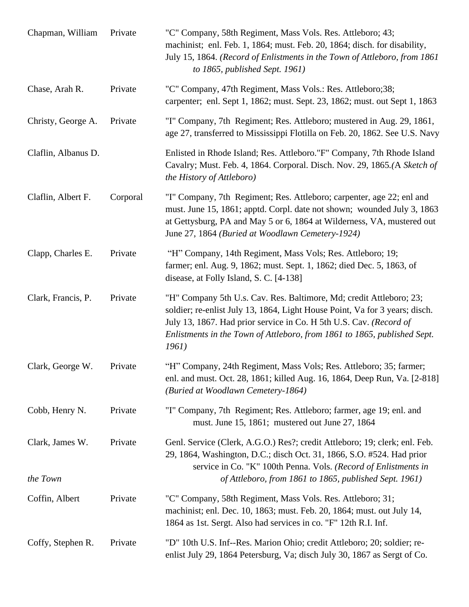| Chapman, William    | Private  | "C" Company, 58th Regiment, Mass Vols. Res. Attleboro; 43;<br>machinist; enl. Feb. 1, 1864; must. Feb. 20, 1864; disch. for disability,<br>July 15, 1864. (Record of Enlistments in the Town of Attleboro, from 1861<br>to $1865$ , published Sept. 1961)                                                     |
|---------------------|----------|---------------------------------------------------------------------------------------------------------------------------------------------------------------------------------------------------------------------------------------------------------------------------------------------------------------|
| Chase, Arah R.      | Private  | "C" Company, 47th Regiment, Mass Vols.: Res. Attleboro;38;<br>carpenter; enl. Sept 1, 1862; must. Sept. 23, 1862; must. out Sept 1, 1863                                                                                                                                                                      |
| Christy, George A.  | Private  | "I" Company, 7th Regiment; Res. Attleboro; mustered in Aug. 29, 1861,<br>age 27, transferred to Mississippi Flotilla on Feb. 20, 1862. See U.S. Navy                                                                                                                                                          |
| Claflin, Albanus D. |          | Enlisted in Rhode Island; Res. Attleboro."F" Company, 7th Rhode Island<br>Cavalry; Must. Feb. 4, 1864. Corporal. Disch. Nov. 29, 1865.(A Sketch of<br>the History of Attleboro)                                                                                                                               |
| Claflin, Albert F.  | Corporal | "I" Company, 7th Regiment; Res. Attleboro; carpenter, age 22; enl and<br>must. June 15, 1861; apptd. Corpl. date not shown; wounded July 3, 1863<br>at Gettysburg, PA and May 5 or 6, 1864 at Wilderness, VA, mustered out<br>June 27, 1864 (Buried at Woodlawn Cemetery-1924)                                |
| Clapp, Charles E.   | Private  | "H" Company, 14th Regiment, Mass Vols; Res. Attleboro; 19;<br>farmer; enl. Aug. 9, 1862; must. Sept. 1, 1862; died Dec. 5, 1863, of<br>disease, at Folly Island, S. C. [4-138]                                                                                                                                |
| Clark, Francis, P.  | Private  | "H" Company 5th U.s. Cav. Res. Baltimore, Md; credit Attleboro; 23;<br>soldier; re-enlist July 13, 1864, Light House Point, Va for 3 years; disch.<br>July 13, 1867. Had prior service in Co. H 5th U.S. Cav. (Record of<br>Enlistments in the Town of Attleboro, from 1861 to 1865, published Sept.<br>1961) |
| Clark, George W.    | Private  | "H" Company, 24th Regiment, Mass Vols; Res. Attleboro; 35; farmer;<br>enl. and must. Oct. 28, 1861; killed Aug. 16, 1864, Deep Run, Va. [2-818]<br>(Buried at Woodlawn Cemetery-1864)                                                                                                                         |
| Cobb, Henry N.      | Private  | "I" Company, 7th Regiment; Res. Attleboro; farmer, age 19; enl. and<br>must. June 15, 1861; mustered out June 27, 1864                                                                                                                                                                                        |
| Clark, James W.     | Private  | Genl. Service (Clerk, A.G.O.) Res?; credit Attleboro; 19; clerk; enl. Feb.<br>29, 1864, Washington, D.C.; disch Oct. 31, 1866, S.O. #524. Had prior<br>service in Co. "K" 100th Penna. Vols. (Record of Enlistments in                                                                                        |
| the Town            |          | of Attleboro, from 1861 to 1865, published Sept. 1961)                                                                                                                                                                                                                                                        |
| Coffin, Albert      | Private  | "C" Company, 58th Regiment, Mass Vols. Res. Attleboro; 31;<br>machinist; enl. Dec. 10, 1863; must. Feb. 20, 1864; must. out July 14,<br>1864 as 1st. Sergt. Also had services in co. "F" 12th R.I. Inf.                                                                                                       |
| Coffy, Stephen R.   | Private  | "D" 10th U.S. Inf--Res. Marion Ohio; credit Attleboro; 20; soldier; re-<br>enlist July 29, 1864 Petersburg, Va; disch July 30, 1867 as Sergt of Co.                                                                                                                                                           |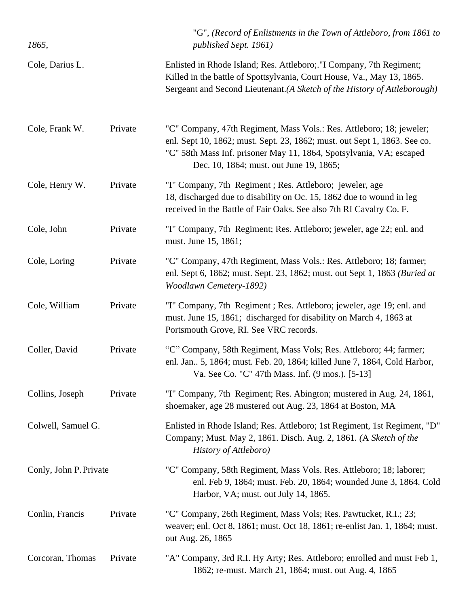| 1865,                  |         | "G", (Record of Enlistments in the Town of Attleboro, from 1861 to<br>published Sept. 1961)                                                                                                                                                                         |
|------------------------|---------|---------------------------------------------------------------------------------------------------------------------------------------------------------------------------------------------------------------------------------------------------------------------|
| Cole, Darius L.        |         | Enlisted in Rhode Island; Res. Attleboro; "I Company, 7th Regiment;<br>Killed in the battle of Spottsylvania, Court House, Va., May 13, 1865.<br>Sergeant and Second Lieutenant.(A Sketch of the History of Attleborough)                                           |
| Cole, Frank W.         | Private | "C" Company, 47th Regiment, Mass Vols.: Res. Attleboro; 18; jeweler;<br>enl. Sept 10, 1862; must. Sept. 23, 1862; must. out Sept 1, 1863. See co.<br>"C" 58th Mass Inf. prisoner May 11, 1864, Spotsylvania, VA; escaped<br>Dec. 10, 1864; must. out June 19, 1865; |
| Cole, Henry W.         | Private | "I" Company, 7th Regiment; Res. Attleboro; jeweler, age<br>18, discharged due to disability on Oc. 15, 1862 due to wound in leg<br>received in the Battle of Fair Oaks. See also 7th RI Cavalry Co. F.                                                              |
| Cole, John             | Private | "I" Company, 7th Regiment; Res. Attleboro; jeweler, age 22; enl. and<br>must. June 15, 1861;                                                                                                                                                                        |
| Cole, Loring           | Private | "C" Company, 47th Regiment, Mass Vols.: Res. Attleboro; 18; farmer;<br>enl. Sept 6, 1862; must. Sept. 23, 1862; must. out Sept 1, 1863 (Buried at<br><b>Woodlawn Cemetery-1892)</b>                                                                                 |
| Cole, William          | Private | "I" Company, 7th Regiment; Res. Attleboro; jeweler, age 19; enl. and<br>must. June 15, 1861; discharged for disability on March 4, 1863 at<br>Portsmouth Grove, RI. See VRC records.                                                                                |
| Coller, David          | Private | "C" Company, 58th Regiment, Mass Vols; Res. Attleboro; 44; farmer;<br>enl. Jan 5, 1864; must. Feb. 20, 1864; killed June 7, 1864, Cold Harbor,<br>Va. See Co. "C" 47th Mass. Inf. (9 mos.). [5-13]                                                                  |
| Collins, Joseph        | Private | "I" Company, 7th Regiment; Res. Abington; mustered in Aug. 24, 1861,<br>shoemaker, age 28 mustered out Aug. 23, 1864 at Boston, MA                                                                                                                                  |
| Colwell, Samuel G.     |         | Enlisted in Rhode Island; Res. Attleboro; 1st Regiment, 1st Regiment, "D"<br>Company; Must. May 2, 1861. Disch. Aug. 2, 1861. (A Sketch of the<br>History of Attleboro)                                                                                             |
| Conly, John P. Private |         | "C" Company, 58th Regiment, Mass Vols. Res. Attleboro; 18; laborer;<br>enl. Feb 9, 1864; must. Feb. 20, 1864; wounded June 3, 1864. Cold<br>Harbor, VA; must. out July 14, 1865.                                                                                    |
| Conlin, Francis        | Private | "C" Company, 26th Regiment, Mass Vols; Res. Pawtucket, R.I.; 23;<br>weaver; enl. Oct 8, 1861; must. Oct 18, 1861; re-enlist Jan. 1, 1864; must.<br>out Aug. 26, 1865                                                                                                |
| Corcoran, Thomas       | Private | "A" Company, 3rd R.I. Hy Arty; Res. Attleboro; enrolled and must Feb 1,<br>1862; re-must. March 21, 1864; must. out Aug. 4, 1865                                                                                                                                    |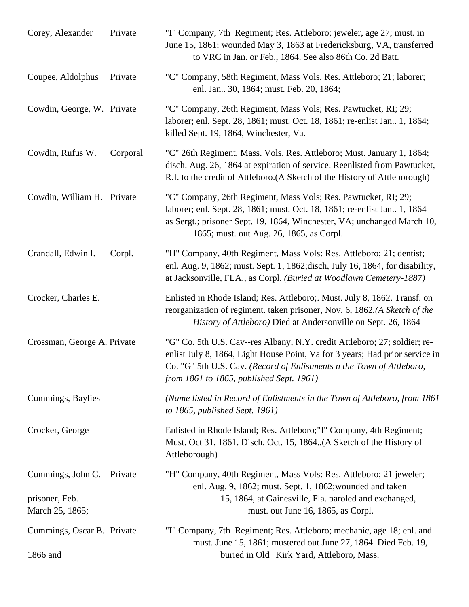| Corey, Alexander                                       | Private  | "I" Company, 7th Regiment; Res. Attleboro; jeweler, age 27; must. in<br>June 15, 1861; wounded May 3, 1863 at Fredericksburg, VA, transferred<br>to VRC in Jan. or Feb., 1864. See also 86th Co. 2d Batt.                                                                      |
|--------------------------------------------------------|----------|--------------------------------------------------------------------------------------------------------------------------------------------------------------------------------------------------------------------------------------------------------------------------------|
| Coupee, Aldolphus                                      | Private  | "C" Company, 58th Regiment, Mass Vols. Res. Attleboro; 21; laborer;<br>enl. Jan 30, 1864; must. Feb. 20, 1864;                                                                                                                                                                 |
| Cowdin, George, W. Private                             |          | "C" Company, 26th Regiment, Mass Vols; Res. Pawtucket, RI; 29;<br>laborer; enl. Sept. 28, 1861; must. Oct. 18, 1861; re-enlist Jan. 1, 1864;<br>killed Sept. 19, 1864, Winchester, Va.                                                                                         |
| Cowdin, Rufus W.                                       | Corporal | "C" 26th Regiment, Mass. Vols. Res. Attleboro; Must. January 1, 1864;<br>disch. Aug. 26, 1864 at expiration of service. Reenlisted from Pawtucket,<br>R.I. to the credit of Attleboro.(A Sketch of the History of Attleborough)                                                |
| Cowdin, William H. Private                             |          | "C" Company, 26th Regiment, Mass Vols; Res. Pawtucket, RI; 29;<br>laborer; enl. Sept. 28, 1861; must. Oct. 18, 1861; re-enlist Jan. 1, 1864<br>as Sergt.; prisoner Sept. 19, 1864, Winchester, VA; unchanged March 10,<br>1865; must. out Aug. 26, 1865, as Corpl.             |
| Crandall, Edwin I.                                     | Corpl.   | "H" Company, 40th Regiment, Mass Vols: Res. Attleboro; 21; dentist;<br>enl. Aug. 9, 1862; must. Sept. 1, 1862; disch, July 16, 1864, for disability,<br>at Jacksonville, FLA., as Corpl. (Buried at Woodlawn Cemetery-1887)                                                    |
| Crocker, Charles E.                                    |          | Enlisted in Rhode Island; Res. Attleboro;. Must. July 8, 1862. Transf. on<br>reorganization of regiment. taken prisoner, Nov. 6, 1862.(A Sketch of the<br><i>History of Attleboro</i> ) Died at Andersonville on Sept. 26, 1864                                                |
| Crossman, George A. Private                            |          | "G" Co. 5th U.S. Cav--res Albany, N.Y. credit Attleboro; 27; soldier; re-<br>enlist July 8, 1864, Light House Point, Va for 3 years; Had prior service in<br>Co. "G" 5th U.S. Cav. (Record of Enlistments n the Town of Attleboro,<br>from 1861 to 1865, published Sept. 1961) |
| Cummings, Baylies                                      |          | (Name listed in Record of Enlistments in the Town of Attleboro, from 1861<br>to $1865$ , published Sept. 1961)                                                                                                                                                                 |
| Crocker, George                                        |          | Enlisted in Rhode Island; Res. Attleboro;"I" Company, 4th Regiment;<br>Must. Oct 31, 1861. Disch. Oct. 15, 1864. (A Sketch of the History of<br>Attleborough)                                                                                                                  |
| Cummings, John C.<br>prisoner, Feb.<br>March 25, 1865; | Private  | "H" Company, 40th Regiment, Mass Vols: Res. Attleboro; 21 jeweler;<br>enl. Aug. 9, 1862; must. Sept. 1, 1862; wounded and taken<br>15, 1864, at Gainesville, Fla. paroled and exchanged,<br>must. out June 16, 1865, as Corpl.                                                 |
| Cummings, Oscar B. Private<br>1866 and                 |          | "I" Company, 7th Regiment; Res. Attleboro; mechanic, age 18; enl. and<br>must. June 15, 1861; mustered out June 27, 1864. Died Feb. 19,<br>buried in Old Kirk Yard, Attleboro, Mass.                                                                                           |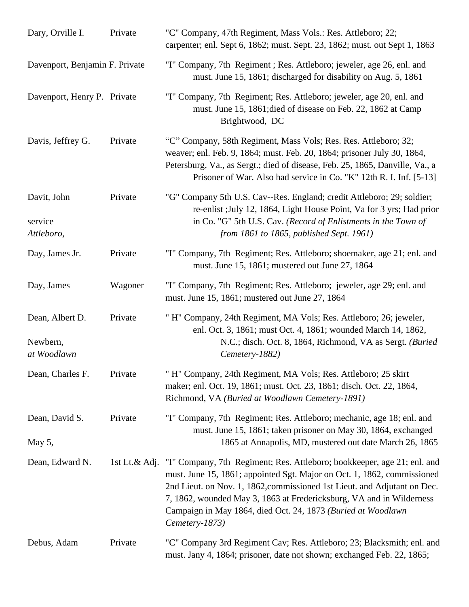| Dary, Orville I.                           | Private | "C" Company, 47th Regiment, Mass Vols.: Res. Attleboro; 22;<br>carpenter; enl. Sept 6, 1862; must. Sept. 23, 1862; must. out Sept 1, 1863                                                                                                                                                                                                                                                              |
|--------------------------------------------|---------|--------------------------------------------------------------------------------------------------------------------------------------------------------------------------------------------------------------------------------------------------------------------------------------------------------------------------------------------------------------------------------------------------------|
| Davenport, Benjamin F. Private             |         | "I" Company, 7th Regiment ; Res. Attleboro; jeweler, age 26, enl. and<br>must. June 15, 1861; discharged for disability on Aug. 5, 1861                                                                                                                                                                                                                                                                |
| Davenport, Henry P. Private                |         | "I" Company, 7th Regiment; Res. Attleboro; jeweler, age 20, enl. and<br>must. June 15, 1861; died of disease on Feb. 22, 1862 at Camp<br>Brightwood, DC                                                                                                                                                                                                                                                |
| Davis, Jeffrey G.                          | Private | "C" Company, 58th Regiment, Mass Vols; Res. Res. Attleboro; 32;<br>weaver; enl. Feb. 9, 1864; must. Feb. 20, 1864; prisoner July 30, 1864,<br>Petersburg, Va., as Sergt.; died of disease, Feb. 25, 1865, Danville, Va., a<br>Prisoner of War. Also had service in Co. "K" 12th R. I. Inf. [5-13]                                                                                                      |
| Davit, John<br>service<br>Attleboro,       | Private | "G" Company 5th U.S. Cav--Res. England; credit Attleboro; 29; soldier;<br>re-enlist ; July 12, 1864, Light House Point, Va for 3 yrs; Had prior<br>in Co. "G" 5th U.S. Cav. (Record of Enlistments in the Town of<br>from 1861 to 1865, published Sept. 1961)                                                                                                                                          |
| Day, James Jr.                             | Private | "I" Company, 7th Regiment; Res. Attleboro; shoemaker, age 21; enl. and<br>must. June 15, 1861; mustered out June 27, 1864                                                                                                                                                                                                                                                                              |
| Day, James                                 | Wagoner | "I" Company, 7th Regiment; Res. Attleboro; jeweler, age 29; enl. and<br>must. June 15, 1861; mustered out June 27, 1864                                                                                                                                                                                                                                                                                |
| Dean, Albert D.<br>Newbern,<br>at Woodlawn | Private | " H" Company, 24th Regiment, MA Vols; Res. Attleboro; 26; jeweler,<br>enl. Oct. 3, 1861; must Oct. 4, 1861; wounded March 14, 1862,<br>N.C.; disch. Oct. 8, 1864, Richmond, VA as Sergt. (Buried<br>Cemetery-1882)                                                                                                                                                                                     |
| Dean, Charles F.                           | Private | H" Company, 24th Regiment, MA Vols; Res. Attleboro; 25 skirt<br>maker; enl. Oct. 19, 1861; must. Oct. 23, 1861; disch. Oct. 22, 1864,<br>Richmond, VA (Buried at Woodlawn Cemetery-1891)                                                                                                                                                                                                               |
| Dean, David S.<br>May 5,                   | Private | "I" Company, 7th Regiment; Res. Attleboro; mechanic, age 18; enl. and<br>must. June 15, 1861; taken prisoner on May 30, 1864, exchanged<br>1865 at Annapolis, MD, mustered out date March 26, 1865                                                                                                                                                                                                     |
| Dean, Edward N.                            |         | 1st Lt.& Adj. "I" Company, 7th Regiment; Res. Attleboro; bookkeeper, age 21; enl. and<br>must. June 15, 1861; appointed Sgt. Major on Oct. 1, 1862, commissioned<br>2nd Lieut. on Nov. 1, 1862, commissioned 1st Lieut. and Adjutant on Dec.<br>7, 1862, wounded May 3, 1863 at Fredericksburg, VA and in Wilderness<br>Campaign in May 1864, died Oct. 24, 1873 (Buried at Woodlawn<br>Cemetery-1873) |
| Debus, Adam                                | Private | "C" Company 3rd Regiment Cav; Res. Attleboro; 23; Blacksmith; enl. and<br>must. Jany 4, 1864; prisoner, date not shown; exchanged Feb. 22, 1865;                                                                                                                                                                                                                                                       |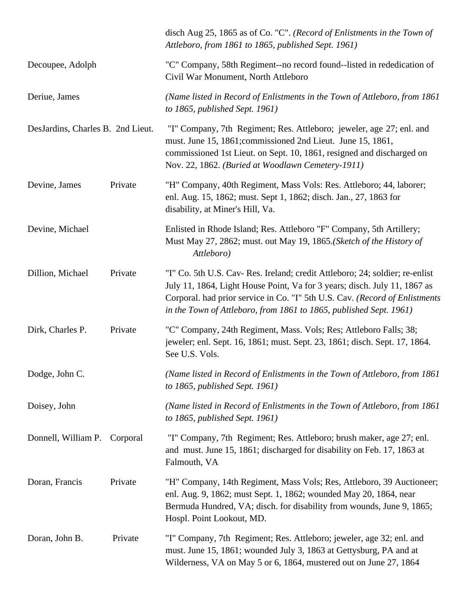|                                   |          | disch Aug 25, 1865 as of Co. "C". (Record of Enlistments in the Town of<br>Attleboro, from 1861 to 1865, published Sept. 1961)                                                                                                                                                                                 |
|-----------------------------------|----------|----------------------------------------------------------------------------------------------------------------------------------------------------------------------------------------------------------------------------------------------------------------------------------------------------------------|
| Decoupee, Adolph                  |          | "C" Company, 58th Regiment--no record found--listed in rededication of<br>Civil War Monument, North Attleboro                                                                                                                                                                                                  |
| Deriue, James                     |          | (Name listed in Record of Enlistments in the Town of Attleboro, from 1861)<br>to $1865$ , published Sept. 1961)                                                                                                                                                                                                |
| DesJardins, Charles B. 2nd Lieut. |          | "I" Company, 7th Regiment; Res. Attleboro; jeweler, age 27; enl. and<br>must. June 15, 1861; commissioned 2nd Lieut. June 15, 1861,<br>commissioned 1st Lieut. on Sept. 10, 1861, resigned and discharged on<br>Nov. 22, 1862. (Buried at Woodlawn Cemetery-1911)                                              |
| Devine, James                     | Private  | "H" Company, 40th Regiment, Mass Vols: Res. Attleboro; 44, laborer;<br>enl. Aug. 15, 1862; must. Sept 1, 1862; disch. Jan., 27, 1863 for<br>disability, at Miner's Hill, Va.                                                                                                                                   |
| Devine, Michael                   |          | Enlisted in Rhode Island; Res. Attleboro "F" Company, 5th Artillery;<br>Must May 27, 2862; must. out May 19, 1865. (Sketch of the History of<br>Attleboro)                                                                                                                                                     |
| Dillion, Michael                  | Private  | "I" Co. 5th U.S. Cav- Res. Ireland; credit Attleboro; 24; soldier; re-enlist<br>July 11, 1864, Light House Point, Va for 3 years; disch. July 11, 1867 as<br>Corporal. had prior service in Co. "I" 5th U.S. Cav. (Record of Enlistments<br>in the Town of Attleboro, from 1861 to 1865, published Sept. 1961) |
| Dirk, Charles P.                  | Private  | "C" Company, 24th Regiment, Mass. Vols; Res; Attleboro Falls; 38;<br>jeweler; enl. Sept. 16, 1861; must. Sept. 23, 1861; disch. Sept. 17, 1864.<br>See U.S. Vols.                                                                                                                                              |
| Dodge, John C.                    |          | (Name listed in Record of Enlistments in the Town of Attleboro, from 1861)<br>to 1865, published Sept. $1961$ )                                                                                                                                                                                                |
| Doisey, John                      |          | (Name listed in Record of Enlistments in the Town of Attleboro, from 1861)<br>to 1865, published Sept. $1961$ )                                                                                                                                                                                                |
| Donnell, William P.               | Corporal | "I" Company, 7th Regiment; Res. Attleboro; brush maker, age 27; enl.<br>and must. June 15, 1861; discharged for disability on Feb. 17, 1863 at<br>Falmouth, VA                                                                                                                                                 |
| Doran, Francis                    | Private  | "H" Company, 14th Regiment, Mass Vols; Res, Attleboro, 39 Auctioneer;<br>enl. Aug. 9, 1862; must Sept. 1, 1862; wounded May 20, 1864, near<br>Bermuda Hundred, VA; disch. for disability from wounds, June 9, 1865;<br>Hospl. Point Lookout, MD.                                                               |
| Doran, John B.                    | Private  | "I" Company, 7th Regiment; Res. Attleboro; jeweler, age 32; enl. and<br>must. June 15, 1861; wounded July 3, 1863 at Gettysburg, PA and at<br>Wilderness, VA on May 5 or 6, 1864, mustered out on June 27, 1864                                                                                                |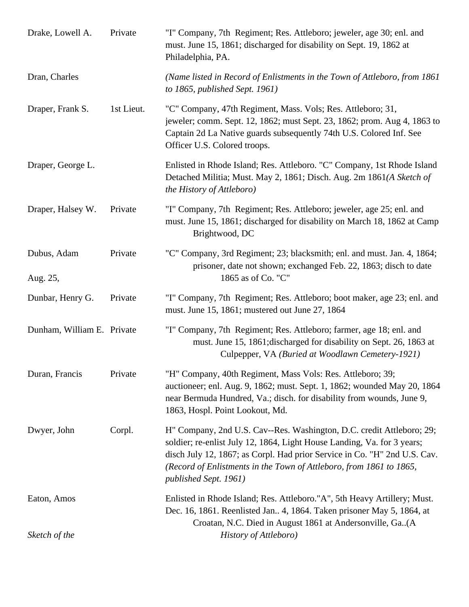| Drake, Lowell A.           | Private    | "I" Company, 7th Regiment; Res. Attleboro; jeweler, age 30; enl. and<br>must. June 15, 1861; discharged for disability on Sept. 19, 1862 at<br>Philadelphia, PA.                                                                                                                                                              |
|----------------------------|------------|-------------------------------------------------------------------------------------------------------------------------------------------------------------------------------------------------------------------------------------------------------------------------------------------------------------------------------|
| Dran, Charles              |            | (Name listed in Record of Enlistments in the Town of Attleboro, from 1861)<br>to 1865, published Sept. 1961)                                                                                                                                                                                                                  |
| Draper, Frank S.           | 1st Lieut. | "C" Company, 47th Regiment, Mass. Vols; Res. Attleboro; 31,<br>jeweler; comm. Sept. 12, 1862; must Sept. 23, 1862; prom. Aug 4, 1863 to<br>Captain 2d La Native guards subsequently 74th U.S. Colored Inf. See<br>Officer U.S. Colored troops.                                                                                |
| Draper, George L.          |            | Enlisted in Rhode Island; Res. Attleboro. "C" Company, 1st Rhode Island<br>Detached Militia; Must. May 2, 1861; Disch. Aug. 2m 1861(A Sketch of<br>the History of Attleboro)                                                                                                                                                  |
| Draper, Halsey W.          | Private    | "I" Company, 7th Regiment; Res. Attleboro; jeweler, age 25; enl. and<br>must. June 15, 1861; discharged for disability on March 18, 1862 at Camp<br>Brightwood, DC                                                                                                                                                            |
| Dubus, Adam<br>Aug. 25,    | Private    | "C" Company, 3rd Regiment; 23; blacksmith; enl. and must. Jan. 4, 1864;<br>prisoner, date not shown; exchanged Feb. 22, 1863; disch to date<br>1865 as of Co. "C"                                                                                                                                                             |
| Dunbar, Henry G.           | Private    | "I" Company, 7th Regiment; Res. Attleboro; boot maker, age 23; enl. and<br>must. June 15, 1861; mustered out June 27, 1864                                                                                                                                                                                                    |
| Dunham, William E. Private |            | "I" Company, 7th Regiment; Res. Attleboro; farmer, age 18; enl. and<br>must. June 15, 1861; discharged for disability on Sept. 26, 1863 at<br>Culpepper, VA (Buried at Woodlawn Cemetery-1921)                                                                                                                                |
| Duran, Francis             | Private    | "H" Company, 40th Regiment, Mass Vols: Res. Attleboro; 39;<br>auctioneer; enl. Aug. 9, 1862; must. Sept. 1, 1862; wounded May 20, 1864<br>near Bermuda Hundred, Va.; disch. for disability from wounds, June 9,<br>1863, Hospl. Point Lookout, Md.                                                                            |
| Dwyer, John                | Corpl.     | H" Company, 2nd U.S. Cav--Res. Washington, D.C. credit Attleboro; 29;<br>soldier; re-enlist July 12, 1864, Light House Landing, Va. for 3 years;<br>disch July 12, 1867; as Corpl. Had prior Service in Co. "H" 2nd U.S. Cav.<br>(Record of Enlistments in the Town of Attleboro, from 1861 to 1865,<br>published Sept. 1961) |
| Eaton, Amos                |            | Enlisted in Rhode Island; Res. Attleboro."A", 5th Heavy Artillery; Must.<br>Dec. 16, 1861. Reenlisted Jan 4, 1864. Taken prisoner May 5, 1864, at<br>Croatan, N.C. Died in August 1861 at Andersonville, Ga. (A                                                                                                               |
| Sketch of the              |            | History of Attleboro)                                                                                                                                                                                                                                                                                                         |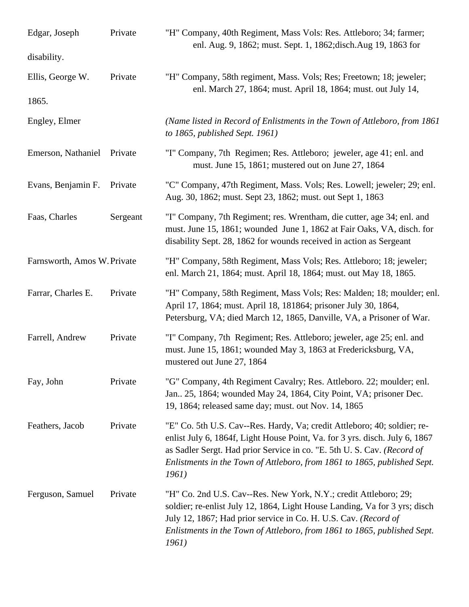| Edgar, Joseph               | Private  | "H" Company, 40th Regiment, Mass Vols: Res. Attleboro; 34; farmer;<br>enl. Aug. 9, 1862; must. Sept. 1, 1862; disch. Aug 19, 1863 for                                                                                                                                                                                   |
|-----------------------------|----------|-------------------------------------------------------------------------------------------------------------------------------------------------------------------------------------------------------------------------------------------------------------------------------------------------------------------------|
| disability.                 |          |                                                                                                                                                                                                                                                                                                                         |
| Ellis, George W.            | Private  | "H" Company, 58th regiment, Mass. Vols; Res; Freetown; 18; jeweler;<br>enl. March 27, 1864; must. April 18, 1864; must. out July 14,                                                                                                                                                                                    |
| 1865.                       |          |                                                                                                                                                                                                                                                                                                                         |
| Engley, Elmer               |          | (Name listed in Record of Enlistments in the Town of Attleboro, from 1861)<br>to $1865$ , published Sept. 1961)                                                                                                                                                                                                         |
| Emerson, Nathaniel          | Private  | "I" Company, 7th Regimen; Res. Attleboro; jeweler, age 41; enl. and<br>must. June 15, 1861; mustered out on June 27, 1864                                                                                                                                                                                               |
| Evans, Benjamin F.          | Private  | "C" Company, 47th Regiment, Mass. Vols; Res. Lowell; jeweler; 29; enl.<br>Aug. 30, 1862; must. Sept 23, 1862; must. out Sept 1, 1863                                                                                                                                                                                    |
| Faas, Charles               | Sergeant | "I" Company, 7th Regiment; res. Wrentham, die cutter, age 34; enl. and<br>must. June 15, 1861; wounded June 1, 1862 at Fair Oaks, VA, disch. for<br>disability Sept. 28, 1862 for wounds received in action as Sergeant                                                                                                 |
| Farnsworth, Amos W. Private |          | "H" Company, 58th Regiment, Mass Vols; Res. Attleboro; 18; jeweler;<br>enl. March 21, 1864; must. April 18, 1864; must. out May 18, 1865.                                                                                                                                                                               |
| Farrar, Charles E.          | Private  | "H" Company, 58th Regiment, Mass Vols; Res: Malden; 18; moulder; enl.<br>April 17, 1864; must. April 18, 181864; prisoner July 30, 1864,<br>Petersburg, VA; died March 12, 1865, Danville, VA, a Prisoner of War.                                                                                                       |
| Farrell, Andrew             | Private  | "I" Company, 7th Regiment; Res. Attleboro; jeweler, age 25; enl. and<br>must. June 15, 1861; wounded May 3, 1863 at Fredericksburg, VA,<br>mustered out June 27, 1864                                                                                                                                                   |
| Fay, John                   | Private  | "G" Company, 4th Regiment Cavalry; Res. Attleboro. 22; moulder; enl.<br>Jan., 25, 1864; wounded May 24, 1864, City Point, VA; prisoner Dec.<br>19, 1864; released same day; must. out Nov. 14, 1865                                                                                                                     |
| Feathers, Jacob             | Private  | "E" Co. 5th U.S. Cav--Res. Hardy, Va; credit Attleboro; 40; soldier; re-<br>enlist July 6, 1864f, Light House Point, Va. for 3 yrs. disch. July 6, 1867<br>as Sadler Sergt. Had prior Service in co. "E. 5th U. S. Cav. (Record of<br>Enlistments in the Town of Attleboro, from 1861 to 1865, published Sept.<br>1961) |
| Ferguson, Samuel            | Private  | "H" Co. 2nd U.S. Cav--Res. New York, N.Y.; credit Attleboro; 29;<br>soldier; re-enlist July 12, 1864, Light House Landing, Va for 3 yrs; disch<br>July 12, 1867; Had prior service in Co. H. U.S. Cav. (Record of<br>Enlistments in the Town of Attleboro, from 1861 to 1865, published Sept.<br>1961)                  |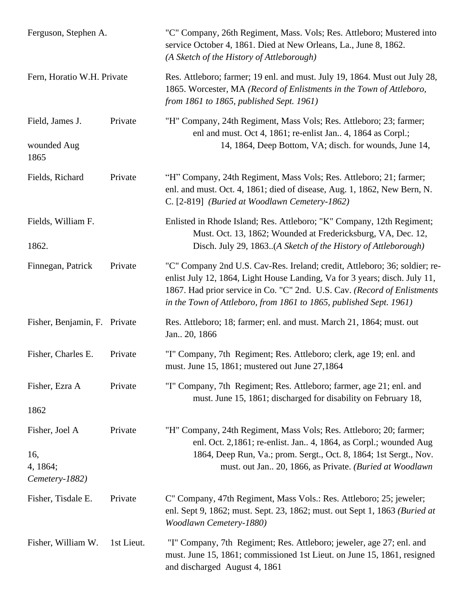| Ferguson, Stephen A.<br>Fern, Horatio W.H. Private  |            | "C" Company, 26th Regiment, Mass. Vols; Res. Attleboro; Mustered into<br>service October 4, 1861. Died at New Orleans, La., June 8, 1862.<br>(A Sketch of the History of Attleborough)<br>Res. Attleboro; farmer; 19 enl. and must. July 19, 1864. Must out July 28,<br>1865. Worcester, MA (Record of Enlistments in the Town of Attleboro,<br>from 1861 to 1865, published Sept. 1961) |
|-----------------------------------------------------|------------|------------------------------------------------------------------------------------------------------------------------------------------------------------------------------------------------------------------------------------------------------------------------------------------------------------------------------------------------------------------------------------------|
|                                                     |            |                                                                                                                                                                                                                                                                                                                                                                                          |
| Fields, Richard                                     | Private    | "H" Company, 24th Regiment, Mass Vols; Res. Attleboro; 21; farmer;<br>enl. and must. Oct. 4, 1861; died of disease, Aug. 1, 1862, New Bern, N.<br>C. [2-819] (Buried at Woodlawn Cemetery-1862)                                                                                                                                                                                          |
| Fields, William F.<br>1862.                         |            | Enlisted in Rhode Island; Res. Attleboro; "K" Company, 12th Regiment;<br>Must. Oct. 13, 1862; Wounded at Fredericksburg, VA, Dec. 12,<br>Disch. July 29, 1863. (A Sketch of the History of Attleborough)                                                                                                                                                                                 |
| Finnegan, Patrick                                   | Private    | "C" Company 2nd U.S. Cav-Res. Ireland; credit, Attleboro; 36; soldier; re-<br>enlist July 12, 1864, Light House Landing, Va for 3 years; disch. July 11,<br>1867. Had prior service in Co. "C" 2nd. U.S. Cav. (Record of Enlistments<br>in the Town of Attleboro, from 1861 to 1865, published Sept. 1961)                                                                               |
| Fisher, Benjamin, F. Private                        |            | Res. Attleboro; 18; farmer; enl. and must. March 21, 1864; must. out<br>Jan., 20, 1866                                                                                                                                                                                                                                                                                                   |
| Fisher, Charles E.                                  | Private    | "I" Company, 7th Regiment; Res. Attleboro; clerk, age 19; enl. and<br>must. June 15, 1861; mustered out June 27,1864                                                                                                                                                                                                                                                                     |
| Fisher, Ezra A<br>1862                              | Private    | "I" Company, 7th Regiment; Res. Attleboro; farmer, age 21; enl. and<br>must. June 15, 1861; discharged for disability on February 18,                                                                                                                                                                                                                                                    |
| Fisher, Joel A<br>16,<br>4, 1864;<br>Cemetery-1882) | Private    | "H" Company, 24th Regiment, Mass Vols; Res. Attleboro; 20; farmer;<br>enl. Oct. 2,1861; re-enlist. Jan 4, 1864, as Corpl.; wounded Aug<br>1864, Deep Run, Va.; prom. Sergt., Oct. 8, 1864; 1st Sergt., Nov.<br>must. out Jan 20, 1866, as Private. (Buried at Woodlawn                                                                                                                   |
| Fisher, Tisdale E.                                  | Private    | C" Company, 47th Regiment, Mass Vols.: Res. Attleboro; 25; jeweler;<br>enl. Sept 9, 1862; must. Sept. 23, 1862; must. out Sept 1, 1863 (Buried at<br>Woodlawn Cemetery-1880)                                                                                                                                                                                                             |
| Fisher, William W.                                  | 1st Lieut. | "I" Company, 7th Regiment; Res. Attleboro; jeweler, age 27; enl. and<br>must. June 15, 1861; commissioned 1st Lieut. on June 15, 1861, resigned<br>and discharged August 4, 1861                                                                                                                                                                                                         |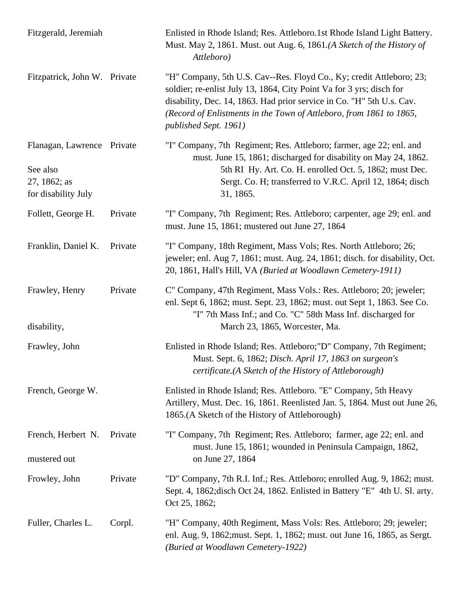| Fitzgerald, Jeremiah                                                          |         | Enlisted in Rhode Island; Res. Attleboro.1st Rhode Island Light Battery.<br>Must. May 2, 1861. Must. out Aug. 6, 1861.(A Sketch of the History of<br>Attleboro)                                                                                                                                                       |
|-------------------------------------------------------------------------------|---------|-----------------------------------------------------------------------------------------------------------------------------------------------------------------------------------------------------------------------------------------------------------------------------------------------------------------------|
| Fitzpatrick, John W. Private                                                  |         | "H" Company, 5th U.S. Cav--Res. Floyd Co., Ky; credit Attleboro; 23;<br>soldier; re-enlist July 13, 1864, City Point Va for 3 yrs; disch for<br>disability, Dec. 14, 1863. Had prior service in Co. "H" 5th U.s. Cav.<br>(Record of Enlistments in the Town of Attleboro, from 1861 to 1865,<br>published Sept. 1961) |
| Flanagan, Lawrence Private<br>See also<br>27, 1862; as<br>for disability July |         | "I" Company, 7th Regiment; Res. Attleboro; farmer, age 22; enl. and<br>must. June 15, 1861; discharged for disability on May 24, 1862.<br>5th RI Hy. Art. Co. H. enrolled Oct. 5, 1862; must Dec.<br>Sergt. Co. H; transferred to V.R.C. April 12, 1864; disch<br>31, 1865.                                           |
| Follett, George H.                                                            | Private | "I" Company, 7th Regiment; Res. Attleboro; carpenter, age 29; enl. and<br>must. June 15, 1861; mustered out June 27, 1864                                                                                                                                                                                             |
| Franklin, Daniel K.                                                           | Private | "I" Company, 18th Regiment, Mass Vols; Res. North Attleboro; 26;<br>jeweler; enl. Aug 7, 1861; must. Aug. 24, 1861; disch. for disability, Oct.<br>20, 1861, Hall's Hill, VA (Buried at Woodlawn Cemetery-1911)                                                                                                       |
| Frawley, Henry<br>disability,                                                 | Private | C" Company, 47th Regiment, Mass Vols.: Res. Attleboro; 20; jeweler;<br>enl. Sept 6, 1862; must. Sept. 23, 1862; must. out Sept 1, 1863. See Co.<br>"I" 7th Mass Inf.; and Co. "C" 58th Mass Inf. discharged for<br>March 23, 1865, Worcester, Ma.                                                                     |
| Frawley, John                                                                 |         | Enlisted in Rhode Island; Res. Attleboro; "D" Company, 7th Regiment;<br>Must. Sept. 6, 1862; Disch. April 17, 1863 on surgeon's<br>certificate.(A Sketch of the History of Attleborough)                                                                                                                              |
| French, George W.                                                             |         | Enlisted in Rhode Island; Res. Attleboro. "E" Company, 5th Heavy<br>Artillery, Must. Dec. 16, 1861. Reenlisted Jan. 5, 1864. Must out June 26,<br>1865.(A Sketch of the History of Attleborough)                                                                                                                      |
| French, Herbert N.<br>mustered out                                            | Private | "I" Company, 7th Regiment; Res. Attleboro; farmer, age 22; enl. and<br>must. June 15, 1861; wounded in Peninsula Campaign, 1862,<br>on June 27, 1864                                                                                                                                                                  |
| Frowley, John                                                                 | Private | "D" Company, 7th R.I. Inf.; Res. Attleboro; enrolled Aug. 9, 1862; must.<br>Sept. 4, 1862; disch Oct 24, 1862. Enlisted in Battery "E" 4th U. Sl. arty.<br>Oct 25, 1862;                                                                                                                                              |
| Fuller, Charles L.                                                            | Corpl.  | "H" Company, 40th Regiment, Mass Vols: Res. Attleboro; 29; jeweler;<br>enl. Aug. 9, 1862; must. Sept. 1, 1862; must. out June 16, 1865, as Sergt.<br>(Buried at Woodlawn Cemetery-1922)                                                                                                                               |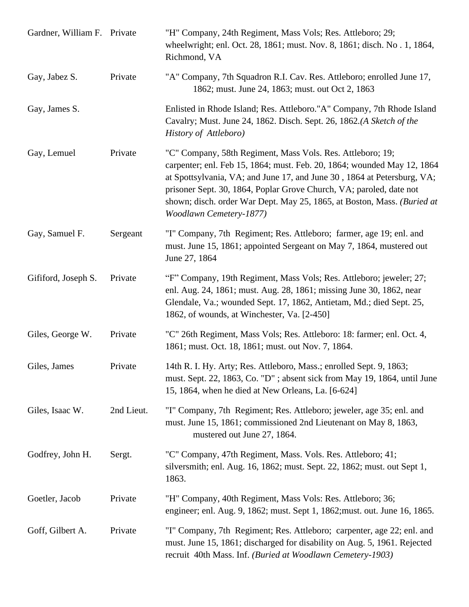| Gardner, William F. Private |            | "H" Company, 24th Regiment, Mass Vols; Res. Attleboro; 29;<br>wheelwright; enl. Oct. 28, 1861; must. Nov. 8, 1861; disch. No. 1, 1864,<br>Richmond, VA                                                                                                                                                                                                                                        |
|-----------------------------|------------|-----------------------------------------------------------------------------------------------------------------------------------------------------------------------------------------------------------------------------------------------------------------------------------------------------------------------------------------------------------------------------------------------|
| Gay, Jabez S.               | Private    | "A" Company, 7th Squadron R.I. Cav. Res. Attleboro; enrolled June 17,<br>1862; must. June 24, 1863; must. out Oct 2, 1863                                                                                                                                                                                                                                                                     |
| Gay, James S.               |            | Enlisted in Rhode Island; Res. Attleboro."A" Company, 7th Rhode Island<br>Cavalry; Must. June 24, 1862. Disch. Sept. 26, 1862.(A Sketch of the<br>History of Attleboro)                                                                                                                                                                                                                       |
| Gay, Lemuel                 | Private    | "C" Company, 58th Regiment, Mass Vols. Res. Attleboro; 19;<br>carpenter; enl. Feb 15, 1864; must. Feb. 20, 1864; wounded May 12, 1864<br>at Spottsylvania, VA; and June 17, and June 30, 1864 at Petersburg, VA;<br>prisoner Sept. 30, 1864, Poplar Grove Church, VA; paroled, date not<br>shown; disch. order War Dept. May 25, 1865, at Boston, Mass. (Buried at<br>Woodlawn Cemetery-1877) |
| Gay, Samuel F.              | Sergeant   | "I" Company, 7th Regiment; Res. Attleboro; farmer, age 19; enl. and<br>must. June 15, 1861; appointed Sergeant on May 7, 1864, mustered out<br>June 27, 1864                                                                                                                                                                                                                                  |
| Gififord, Joseph S.         | Private    | "F" Company, 19th Regiment, Mass Vols; Res. Attleboro; jeweler; 27;<br>enl. Aug. 24, 1861; must. Aug. 28, 1861; missing June 30, 1862, near<br>Glendale, Va.; wounded Sept. 17, 1862, Antietam, Md.; died Sept. 25,<br>1862, of wounds, at Winchester, Va. [2-450]                                                                                                                            |
| Giles, George W.            | Private    | "C" 26th Regiment, Mass Vols; Res. Attleboro: 18: farmer; enl. Oct. 4,<br>1861; must. Oct. 18, 1861; must. out Nov. 7, 1864.                                                                                                                                                                                                                                                                  |
| Giles, James                | Private    | 14th R. I. Hy. Arty; Res. Attleboro, Mass.; enrolled Sept. 9, 1863;<br>must. Sept. 22, 1863, Co. "D"; absent sick from May 19, 1864, until June<br>15, 1864, when he died at New Orleans, La. [6-624]                                                                                                                                                                                         |
| Giles, Isaac W.             | 2nd Lieut. | "I" Company, 7th Regiment; Res. Attleboro; jeweler, age 35; enl. and<br>must. June 15, 1861; commissioned 2nd Lieutenant on May 8, 1863,<br>mustered out June 27, 1864.                                                                                                                                                                                                                       |
| Godfrey, John H.            | Sergt.     | "C" Company, 47th Regiment, Mass. Vols. Res. Attleboro; 41;<br>silversmith; enl. Aug. 16, 1862; must. Sept. 22, 1862; must. out Sept 1,<br>1863.                                                                                                                                                                                                                                              |
| Goetler, Jacob              | Private    | "H" Company, 40th Regiment, Mass Vols: Res. Attleboro; 36;<br>engineer; enl. Aug. 9, 1862; must. Sept 1, 1862; must. out. June 16, 1865.                                                                                                                                                                                                                                                      |
| Goff, Gilbert A.            | Private    | "I" Company, 7th Regiment; Res. Attleboro; carpenter, age 22; enl. and<br>must. June 15, 1861; discharged for disability on Aug. 5, 1961. Rejected<br>recruit 40th Mass. Inf. (Buried at Woodlawn Cemetery-1903)                                                                                                                                                                              |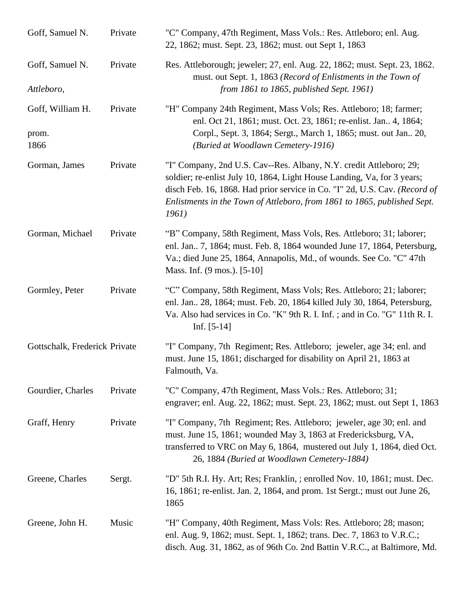| Goff, Samuel N.                   | Private | "C" Company, 47th Regiment, Mass Vols.: Res. Attleboro; enl. Aug.<br>22, 1862; must. Sept. 23, 1862; must. out Sept 1, 1863                                                                                                                                                                                      |
|-----------------------------------|---------|------------------------------------------------------------------------------------------------------------------------------------------------------------------------------------------------------------------------------------------------------------------------------------------------------------------|
| Goff, Samuel N.                   | Private | Res. Attleborough; jeweler; 27, enl. Aug. 22, 1862; must. Sept. 23, 1862.<br>must. out Sept. 1, 1863 (Record of Enlistments in the Town of                                                                                                                                                                       |
| Attleboro,                        |         | from 1861 to 1865, published Sept. 1961)                                                                                                                                                                                                                                                                         |
| Goff, William H.<br>prom.<br>1866 | Private | "H" Company 24th Regiment, Mass Vols; Res. Attleboro; 18; farmer;<br>enl. Oct 21, 1861; must. Oct. 23, 1861; re-enlist. Jan 4, 1864;<br>Corpl., Sept. 3, 1864; Sergt., March 1, 1865; must. out Jan 20,<br>(Buried at Woodlawn Cemetery-1916)                                                                    |
|                                   |         |                                                                                                                                                                                                                                                                                                                  |
| Gorman, James                     | Private | "I" Company, 2nd U.S. Cav--Res. Albany, N.Y. credit Attleboro; 29;<br>soldier; re-enlist July 10, 1864, Light House Landing, Va, for 3 years;<br>disch Feb. 16, 1868. Had prior service in Co. "I" 2d, U.S. Cav. (Record of<br>Enlistments in the Town of Attleboro, from 1861 to 1865, published Sept.<br>1961) |
| Gorman, Michael                   | Private | "B" Company, 58th Regiment, Mass Vols, Res. Attleboro; 31; laborer;<br>enl. Jan 7, 1864; must. Feb. 8, 1864 wounded June 17, 1864, Petersburg,<br>Va.; died June 25, 1864, Annapolis, Md., of wounds. See Co. "C" 47th<br>Mass. Inf. (9 mos.). [5-10]                                                            |
| Gormley, Peter                    | Private | "C" Company, 58th Regiment, Mass Vols; Res. Attleboro; 21; laborer;<br>enl. Jan 28, 1864; must. Feb. 20, 1864 killed July 30, 1864, Petersburg,<br>Va. Also had services in Co. "K" 9th R. I. Inf.; and in Co. "G" 11th R. I.<br>Inf. $[5-14]$                                                                   |
| Gottschalk, Frederick Private     |         | "I" Company, 7th Regiment; Res. Attleboro; jeweler, age 34; enl. and<br>must. June 15, 1861; discharged for disability on April 21, 1863 at<br>Falmouth, Va.                                                                                                                                                     |
| Gourdier, Charles                 | Private | "C" Company, 47th Regiment, Mass Vols.: Res. Attleboro; 31;<br>engraver; enl. Aug. 22, 1862; must. Sept. 23, 1862; must. out Sept 1, 1863                                                                                                                                                                        |
| Graff, Henry                      | Private | "I" Company, 7th Regiment; Res. Attleboro; jeweler, age 30; enl. and<br>must. June 15, 1861; wounded May 3, 1863 at Fredericksburg, VA,<br>transferred to VRC on May 6, 1864, mustered out July 1, 1864, died Oct.<br>26, 1884 (Buried at Woodlawn Cemetery-1884)                                                |
| Greene, Charles                   | Sergt.  | "D" 5th R.I. Hy. Art; Res; Franklin, ; enrolled Nov. 10, 1861; must. Dec.<br>16, 1861; re-enlist. Jan. 2, 1864, and prom. 1st Sergt.; must out June 26,<br>1865                                                                                                                                                  |
| Greene, John H.                   | Music   | "H" Company, 40th Regiment, Mass Vols: Res. Attleboro; 28; mason;<br>enl. Aug. 9, 1862; must. Sept. 1, 1862; trans. Dec. 7, 1863 to V.R.C.;<br>disch. Aug. 31, 1862, as of 96th Co. 2nd Battin V.R.C., at Baltimore, Md.                                                                                         |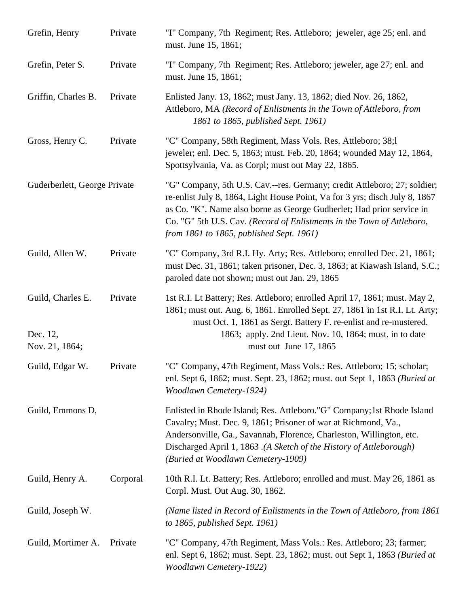| Grefin, Henry                                   | Private  | "I" Company, 7th Regiment; Res. Attleboro; jeweler, age 25; enl. and<br>must. June 15, 1861;                                                                                                                                                                                                                                                           |
|-------------------------------------------------|----------|--------------------------------------------------------------------------------------------------------------------------------------------------------------------------------------------------------------------------------------------------------------------------------------------------------------------------------------------------------|
| Grefin, Peter S.                                | Private  | "I" Company, 7th Regiment; Res. Attleboro; jeweler, age 27; enl. and<br>must. June 15, 1861;                                                                                                                                                                                                                                                           |
| Griffin, Charles B.                             | Private  | Enlisted Jany. 13, 1862; must Jany. 13, 1862; died Nov. 26, 1862,<br>Attleboro, MA (Record of Enlistments in the Town of Attleboro, from<br>1861 to 1865, published Sept. 1961)                                                                                                                                                                        |
| Gross, Henry C.                                 | Private  | "C" Company, 58th Regiment, Mass Vols. Res. Attleboro; 38;1<br>jeweler; enl. Dec. 5, 1863; must. Feb. 20, 1864; wounded May 12, 1864,<br>Spottsylvania, Va. as Corpl; must out May 22, 1865.                                                                                                                                                           |
| Guderberlett, George Private                    |          | "G" Company, 5th U.S. Cav.--res. Germany; credit Attleboro; 27; soldier;<br>re-enlist July 8, 1864, Light House Point, Va for 3 yrs; disch July 8, 1867<br>as Co. "K". Name also borne as George Gudberlet; Had prior service in<br>Co. "G" 5th U.S. Cav. (Record of Enlistments in the Town of Attleboro,<br>from 1861 to 1865, published Sept. 1961) |
| Guild, Allen W.                                 | Private  | "C" Company, 3rd R.I. Hy. Arty; Res. Attleboro; enrolled Dec. 21, 1861;<br>must Dec. 31, 1861; taken prisoner, Dec. 3, 1863; at Kiawash Island, S.C.;<br>paroled date not shown; must out Jan. 29, 1865                                                                                                                                                |
| Guild, Charles E.<br>Dec. 12,<br>Nov. 21, 1864; | Private  | 1st R.I. Lt Battery; Res. Attleboro; enrolled April 17, 1861; must. May 2,<br>1861; must out. Aug. 6, 1861. Enrolled Sept. 27, 1861 in 1st R.I. Lt. Arty;<br>must Oct. 1, 1861 as Sergt. Battery F. re-enlist and re-mustered.<br>1863; apply. 2nd Lieut. Nov. 10, 1864; must. in to date<br>must out June 17, 1865                                    |
| Guild, Edgar W.                                 | Private  | "C" Company, 47th Regiment, Mass Vols.: Res. Attleboro; 15; scholar;<br>enl. Sept 6, 1862; must. Sept. 23, 1862; must. out Sept 1, 1863 (Buried at<br>Woodlawn Cemetery-1924)                                                                                                                                                                          |
| Guild, Emmons D,                                |          | Enlisted in Rhode Island; Res. Attleboro."G" Company; 1st Rhode Island<br>Cavalry; Must. Dec. 9, 1861; Prisoner of war at Richmond, Va.,<br>Andersonville, Ga., Savannah, Florence, Charleston, Willington, etc.<br>Discharged April 1, 1863.(A Sketch of the History of Attleborough)<br>(Buried at Woodlawn Cemetery-1909)                           |
| Guild, Henry A.                                 | Corporal | 10th R.I. Lt. Battery; Res. Attleboro; enrolled and must. May 26, 1861 as<br>Corpl. Must. Out Aug. 30, 1862.                                                                                                                                                                                                                                           |
| Guild, Joseph W.                                |          | (Name listed in Record of Enlistments in the Town of Attleboro, from 1861)<br>to $1865$ , published Sept. 1961)                                                                                                                                                                                                                                        |
| Guild, Mortimer A.                              | Private  | "C" Company, 47th Regiment, Mass Vols.: Res. Attleboro; 23; farmer;<br>enl. Sept 6, 1862; must. Sept. 23, 1862; must. out Sept 1, 1863 (Buried at<br><b>Woodlawn Cemetery-1922)</b>                                                                                                                                                                    |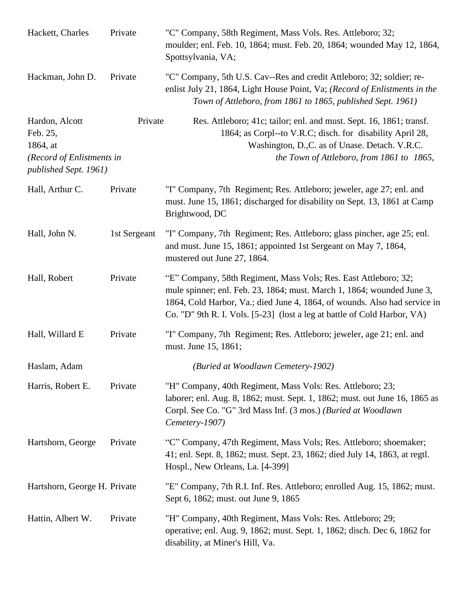| Hackett, Charles                                                                             | Private      | "C" Company, 58th Regiment, Mass Vols. Res. Attleboro; 32;<br>moulder; enl. Feb. 10, 1864; must. Feb. 20, 1864; wounded May 12, 1864,<br>Spottsylvania, VA;                                                                                                                                        |
|----------------------------------------------------------------------------------------------|--------------|----------------------------------------------------------------------------------------------------------------------------------------------------------------------------------------------------------------------------------------------------------------------------------------------------|
| Hackman, John D.                                                                             | Private      | "C" Company, 5th U.S. Cav--Res and credit Attleboro; 32; soldier; re-<br>enlist July 21, 1864, Light House Point, Va; (Record of Enlistments in the<br>Town of Attleboro, from 1861 to 1865, published Sept. 1961)                                                                                 |
| Hardon, Alcott<br>Feb. 25,<br>1864, at<br>(Record of Enlistments in<br>published Sept. 1961) | Private      | Res. Attleboro; 41c; tailor; enl. and must. Sept. 16, 1861; transf.<br>1864; as Corpl--to V.R.C; disch. for disability April 28,<br>Washington, D.,C. as of Unase. Detach. V.R.C.<br>the Town of Attleboro, from 1861 to 1865,                                                                     |
| Hall, Arthur C.                                                                              | Private      | "I" Company, 7th Regiment; Res. Attleboro; jeweler, age 27; enl. and<br>must. June 15, 1861; discharged for disability on Sept. 13, 1861 at Camp<br>Brightwood, DC                                                                                                                                 |
| Hall, John N.                                                                                | 1st Sergeant | "I" Company, 7th Regiment; Res. Attleboro; glass pincher, age 25; enl.<br>and must. June 15, 1861; appointed 1st Sergeant on May 7, 1864,<br>mustered out June 27, 1864.                                                                                                                           |
| Hall, Robert                                                                                 | Private      | "E" Company, 58th Regiment, Mass Vols; Res. East Attleboro; 32;<br>mule spinner; enl. Feb. 23, 1864; must. March 1, 1864; wounded June 3,<br>1864, Cold Harbor, Va.; died June 4, 1864, of wounds. Also had service in<br>Co. "D" 9th R. I. Vols. [5-23] (lost a leg at battle of Cold Harbor, VA) |
| Hall, Willard E                                                                              | Private      | "I" Company, 7th Regiment; Res. Attleboro; jeweler, age 21; enl. and<br>must. June 15, 1861;                                                                                                                                                                                                       |
| Haslam, Adam                                                                                 |              | (Buried at Woodlawn Cemetery-1902)                                                                                                                                                                                                                                                                 |
| Harris, Robert E.                                                                            | Private      | "H" Company, 40th Regiment, Mass Vols: Res. Attleboro; 23;<br>laborer; enl. Aug. 8, 1862; must. Sept. 1, 1862; must. out June 16, 1865 as<br>Corpl. See Co. "G" 3rd Mass Inf. (3 mos.) (Buried at Woodlawn<br>Cemetery-1907)                                                                       |
| Hartshorn, George                                                                            | Private      | "C" Company, 47th Regiment, Mass Vols; Res. Attleboro; shoemaker;<br>41; enl. Sept. 8, 1862; must. Sept. 23, 1862; died July 14, 1863, at regtl.<br>Hospl., New Orleans, La. [4-399]                                                                                                               |
| Hartshorn, George H. Private                                                                 |              | "E" Company, 7th R.I. Inf. Res. Attleboro; enrolled Aug. 15, 1862; must.<br>Sept 6, 1862; must. out June 9, 1865                                                                                                                                                                                   |
| Hattin, Albert W.                                                                            | Private      | "H" Company, 40th Regiment, Mass Vols: Res. Attleboro; 29;<br>operative; enl. Aug. 9, 1862; must. Sept. 1, 1862; disch. Dec 6, 1862 for<br>disability, at Miner's Hill, Va.                                                                                                                        |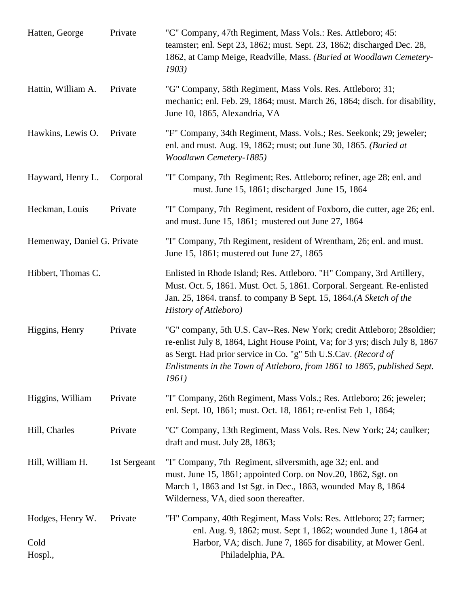| Hatten, George                      | Private      | "C" Company, 47th Regiment, Mass Vols.: Res. Attleboro; 45:<br>teamster; enl. Sept 23, 1862; must. Sept. 23, 1862; discharged Dec. 28,<br>1862, at Camp Meige, Readville, Mass. (Buried at Woodlawn Cemetery-<br>1903)                                                                                        |
|-------------------------------------|--------------|---------------------------------------------------------------------------------------------------------------------------------------------------------------------------------------------------------------------------------------------------------------------------------------------------------------|
| Hattin, William A.                  | Private      | "G" Company, 58th Regiment, Mass Vols. Res. Attleboro; 31;<br>mechanic; enl. Feb. 29, 1864; must. March 26, 1864; disch. for disability,<br>June 10, 1865, Alexandria, VA                                                                                                                                     |
| Hawkins, Lewis O.                   | Private      | "F" Company, 34th Regiment, Mass. Vols.; Res. Seekonk; 29; jeweler;<br>enl. and must. Aug. 19, 1862; must; out June 30, 1865. (Buried at<br>Woodlawn Cemetery-1885)                                                                                                                                           |
| Hayward, Henry L.                   | Corporal     | "I" Company, 7th Regiment; Res. Attleboro; refiner, age 28; enl. and<br>must. June 15, 1861; discharged June 15, 1864                                                                                                                                                                                         |
| Heckman, Louis                      | Private      | "I" Company, 7th Regiment, resident of Foxboro, die cutter, age 26; enl.<br>and must. June 15, 1861; mustered out June 27, 1864                                                                                                                                                                               |
| Hemenway, Daniel G. Private         |              | "I" Company, 7th Regiment, resident of Wrentham, 26; enl. and must.<br>June 15, 1861; mustered out June 27, 1865                                                                                                                                                                                              |
| Hibbert, Thomas C.                  |              | Enlisted in Rhode Island; Res. Attleboro. "H" Company, 3rd Artillery,<br>Must. Oct. 5, 1861. Must. Oct. 5, 1861. Corporal. Sergeant. Re-enlisted<br>Jan. 25, 1864. transf. to company B Sept. 15, 1864.(A Sketch of the<br>History of Attleboro)                                                              |
| Higgins, Henry                      | Private      | "G" company, 5th U.S. Cav--Res. New York; credit Attleboro; 28soldier;<br>re-enlist July 8, 1864, Light House Point, Va; for 3 yrs; disch July 8, 1867<br>as Sergt. Had prior service in Co. "g" 5th U.S.Cav. (Record of<br>Enlistments in the Town of Attleboro, from 1861 to 1865, published Sept.<br>1961) |
| Higgins, William                    | Private      | "I" Company, 26th Regiment, Mass Vols.; Res. Attleboro; 26; jeweler;<br>enl. Sept. 10, 1861; must. Oct. 18, 1861; re-enlist Feb 1, 1864;                                                                                                                                                                      |
| Hill, Charles                       | Private      | "C" Company, 13th Regiment, Mass Vols. Res. New York; 24; caulker;<br>draft and must. July 28, 1863;                                                                                                                                                                                                          |
| Hill, William H.                    | 1st Sergeant | "I" Company, 7th Regiment, silversmith, age 32; enl. and<br>must. June 15, 1861; appointed Corp. on Nov.20, 1862, Sgt. on<br>March 1, 1863 and 1st Sgt. in Dec., 1863, wounded May 8, 1864<br>Wilderness, VA, died soon thereafter.                                                                           |
| Hodges, Henry W.<br>Cold<br>Hospl., | Private      | "H" Company, 40th Regiment, Mass Vols: Res. Attleboro; 27; farmer;<br>enl. Aug. 9, 1862; must. Sept 1, 1862; wounded June 1, 1864 at<br>Harbor, VA; disch. June 7, 1865 for disability, at Mower Genl.<br>Philadelphia, PA.                                                                                   |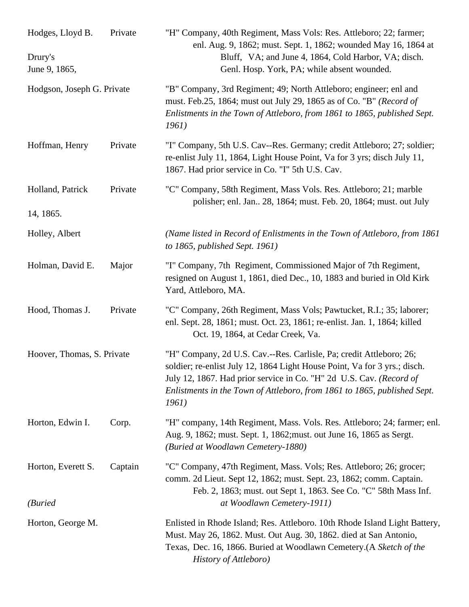| Hodges, Lloyd B.<br>Drury's<br>June 9, 1865, | Private | "H" Company, 40th Regiment, Mass Vols: Res. Attleboro; 22; farmer;<br>enl. Aug. 9, 1862; must. Sept. 1, 1862; wounded May 16, 1864 at<br>Bluff, VA; and June 4, 1864, Cold Harbor, VA; disch.<br>Genl. Hosp. York, PA; while absent wounded.                                                                 |
|----------------------------------------------|---------|--------------------------------------------------------------------------------------------------------------------------------------------------------------------------------------------------------------------------------------------------------------------------------------------------------------|
| Hodgson, Joseph G. Private                   |         | "B" Company, 3rd Regiment; 49; North Attleboro; engineer; enl and<br>must. Feb.25, 1864; must out July 29, 1865 as of Co. "B" (Record of<br>Enlistments in the Town of Attleboro, from 1861 to 1865, published Sept.<br><i>1961</i> )                                                                        |
| Hoffman, Henry                               | Private | "I" Company, 5th U.S. Cav--Res. Germany; credit Attleboro; 27; soldier;<br>re-enlist July 11, 1864, Light House Point, Va for 3 yrs; disch July 11,<br>1867. Had prior service in Co. "I" 5th U.S. Cav.                                                                                                      |
| Holland, Patrick                             | Private | "C" Company, 58th Regiment, Mass Vols. Res. Attleboro; 21; marble<br>polisher; enl. Jan 28, 1864; must. Feb. 20, 1864; must. out July                                                                                                                                                                        |
| 14, 1865.                                    |         |                                                                                                                                                                                                                                                                                                              |
| Holley, Albert                               |         | (Name listed in Record of Enlistments in the Town of Attleboro, from 1861)<br>to 1865, published Sept. $1961$ )                                                                                                                                                                                              |
| Holman, David E.                             | Major   | "I" Company, 7th Regiment, Commissioned Major of 7th Regiment,<br>resigned on August 1, 1861, died Dec., 10, 1883 and buried in Old Kirk<br>Yard, Attleboro, MA.                                                                                                                                             |
| Hood, Thomas J.                              | Private | "C" Company, 26th Regiment, Mass Vols; Pawtucket, R.I.; 35; laborer;<br>enl. Sept. 28, 1861; must. Oct. 23, 1861; re-enlist. Jan. 1, 1864; killed<br>Oct. 19, 1864, at Cedar Creek, Va.                                                                                                                      |
| Hoover, Thomas, S. Private                   |         | "H" Company, 2d U.S. Cav.--Res. Carlisle, Pa; credit Attleboro; 26;<br>soldier; re-enlist July 12, 1864 Light House Point, Va for 3 yrs.; disch.<br>July 12, 1867. Had prior service in Co. "H" 2d U.S. Cav. (Record of<br>Enlistments in the Town of Attleboro, from 1861 to 1865, published Sept.<br>1961) |
| Horton, Edwin I.                             | Corp.   | "H" company, 14th Regiment, Mass. Vols. Res. Attleboro; 24; farmer; enl.<br>Aug. 9, 1862; must. Sept. 1, 1862; must. out June 16, 1865 as Sergt.<br>(Buried at Woodlawn Cemetery-1880)                                                                                                                       |
| Horton, Everett S.                           | Captain | "C" Company, 47th Regiment, Mass. Vols; Res. Attleboro; 26; grocer;<br>comm. 2d Lieut. Sept 12, 1862; must. Sept. 23, 1862; comm. Captain.<br>Feb. 2, 1863; must. out Sept 1, 1863. See Co. "C" 58th Mass Inf.                                                                                               |
| (Buried                                      |         | at Woodlawn Cemetery-1911)                                                                                                                                                                                                                                                                                   |
| Horton, George M.                            |         | Enlisted in Rhode Island; Res. Attleboro. 10th Rhode Island Light Battery,<br>Must. May 26, 1862. Must. Out Aug. 30, 1862. died at San Antonio,<br>Texas, Dec. 16, 1866. Buried at Woodlawn Cemetery. (A Sketch of the<br>History of Attleboro)                                                              |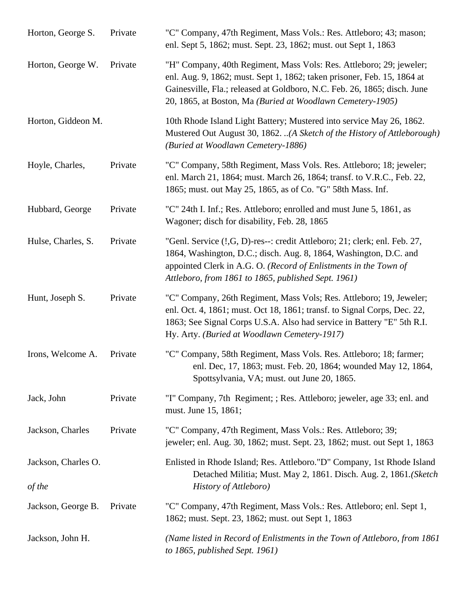| Horton, George S.             | Private | "C" Company, 47th Regiment, Mass Vols.: Res. Attleboro; 43; mason;<br>enl. Sept 5, 1862; must. Sept. 23, 1862; must. out Sept 1, 1863                                                                                                                                                    |
|-------------------------------|---------|------------------------------------------------------------------------------------------------------------------------------------------------------------------------------------------------------------------------------------------------------------------------------------------|
| Horton, George W.             | Private | "H" Company, 40th Regiment, Mass Vols: Res. Attleboro; 29; jeweler;<br>enl. Aug. 9, 1862; must. Sept 1, 1862; taken prisoner, Feb. 15, 1864 at<br>Gainesville, Fla.; released at Goldboro, N.C. Feb. 26, 1865; disch. June<br>20, 1865, at Boston, Ma (Buried at Woodlawn Cemetery-1905) |
| Horton, Giddeon M.            |         | 10th Rhode Island Light Battery; Mustered into service May 26, 1862.<br>Mustered Out August 30, 1862. (A Sketch of the History of Attleborough)<br>(Buried at Woodlawn Cemetery-1886)                                                                                                    |
| Hoyle, Charles,               | Private | "C" Company, 58th Regiment, Mass Vols. Res. Attleboro; 18; jeweler;<br>enl. March 21, 1864; must. March 26, 1864; transf. to V.R.C., Feb. 22,<br>1865; must. out May 25, 1865, as of Co. "G" 58th Mass. Inf.                                                                             |
| Hubbard, George               | Private | "C" 24th I. Inf.; Res. Attleboro; enrolled and must June 5, 1861, as<br>Wagoner; disch for disability, Feb. 28, 1865                                                                                                                                                                     |
| Hulse, Charles, S.            | Private | "Genl. Service (!, G, D)-res--: credit Attleboro; 21; clerk; enl. Feb. 27,<br>1864, Washington, D.C.; disch. Aug. 8, 1864, Washington, D.C. and<br>appointed Clerk in A.G. O. (Record of Enlistments in the Town of<br>Attleboro, from 1861 to 1865, published Sept. 1961)               |
| Hunt, Joseph S.               | Private | "C" Company, 26th Regiment, Mass Vols; Res. Attleboro; 19, Jeweler;<br>enl. Oct. 4, 1861; must. Oct 18, 1861; transf. to Signal Corps, Dec. 22,<br>1863; See Signal Corps U.S.A. Also had service in Battery "E" 5th R.I.<br>Hy. Arty. (Buried at Woodlawn Cemetery-1917)                |
| Irons, Welcome A.             | Private | "C" Company, 58th Regiment, Mass Vols. Res. Attleboro; 18; farmer;<br>enl. Dec, 17, 1863; must. Feb. 20, 1864; wounded May 12, 1864,<br>Spottsylvania, VA; must. out June 20, 1865.                                                                                                      |
| Jack, John                    | Private | "I" Company, 7th Regiment; ; Res. Attleboro; jeweler, age 33; enl. and<br>must. June 15, 1861;                                                                                                                                                                                           |
| Jackson, Charles              | Private | "C" Company, 47th Regiment, Mass Vols.: Res. Attleboro; 39;<br>jeweler; enl. Aug. 30, 1862; must. Sept. 23, 1862; must. out Sept 1, 1863                                                                                                                                                 |
| Jackson, Charles O.<br>of the |         | Enlisted in Rhode Island; Res. Attleboro."D" Company, 1st Rhode Island<br>Detached Militia; Must. May 2, 1861. Disch. Aug. 2, 1861. (Sketch<br>History of Attleboro)                                                                                                                     |
| Jackson, George B.            | Private | "C" Company, 47th Regiment, Mass Vols.: Res. Attleboro; enl. Sept 1,<br>1862; must. Sept. 23, 1862; must. out Sept 1, 1863                                                                                                                                                               |
| Jackson, John H.              |         | (Name listed in Record of Enlistments in the Town of Attleboro, from 1861)<br>to $1865$ , published Sept. 1961)                                                                                                                                                                          |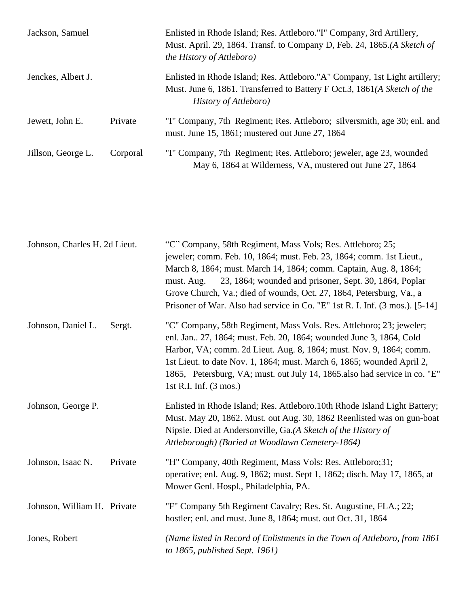| Jackson, Samuel    |          | Enlisted in Rhode Island; Res. Attleboro."I" Company, 3rd Artillery,<br>Must. April. 29, 1864. Transf. to Company D, Feb. 24, 1865.(A Sketch of<br><i>the History of Attleboro</i> ) |
|--------------------|----------|--------------------------------------------------------------------------------------------------------------------------------------------------------------------------------------|
| Jenckes, Albert J. |          | Enlisted in Rhode Island; Res. Attleboro."A" Company, 1st Light artillery;<br>Must. June 6, 1861. Transferred to Battery F Oct.3, 1861(A Sketch of the<br>History of Attleboro)      |
| Jewett, John E.    | Private  | "I" Company, 7th Regiment; Res. Attleboro; silversmith, age 30; enl. and<br>must. June 15, 1861; mustered out June 27, 1864                                                          |
| Jillson, George L. | Corporal | "I" Company, 7th Regiment; Res. Attleboro; jeweler, age 23, wounded<br>May 6, 1864 at Wilderness, VA, mustered out June 27, 1864                                                     |

| Johnson, Charles H. 2d Lieut. |         | "C" Company, 58th Regiment, Mass Vols; Res. Attleboro; 25;<br>jeweler; comm. Feb. 10, 1864; must. Feb. 23, 1864; comm. 1st Lieut.,<br>March 8, 1864; must. March 14, 1864; comm. Captain, Aug. 8, 1864;<br>23, 1864; wounded and prisoner, Sept. 30, 1864, Poplar<br>must. Aug.<br>Grove Church, Va.; died of wounds, Oct. 27, 1864, Petersburg, Va., a<br>Prisoner of War. Also had service in Co. "E" 1st R. I. Inf. (3 mos.). [5-14] |
|-------------------------------|---------|-----------------------------------------------------------------------------------------------------------------------------------------------------------------------------------------------------------------------------------------------------------------------------------------------------------------------------------------------------------------------------------------------------------------------------------------|
| Johnson, Daniel L.            | Sergt.  | "C" Company, 58th Regiment, Mass Vols. Res. Attleboro; 23; jeweler;<br>enl. Jan., 27, 1864; must. Feb. 20, 1864; wounded June 3, 1864, Cold<br>Harbor, VA; comm. 2d Lieut. Aug. 8, 1864; must. Nov. 9, 1864; comm.<br>1st Lieut. to date Nov. 1, 1864; must. March 6, 1865; wounded April 2,<br>1865, Petersburg, VA; must. out July 14, 1865.also had service in co. "E"<br>1st R.I. Inf. $(3 \text{ mos.})$                           |
| Johnson, George P.            |         | Enlisted in Rhode Island; Res. Attleboro. 10th Rhode Island Light Battery;<br>Must. May 20, 1862. Must. out Aug. 30, 1862 Reenlisted was on gun-boat<br>Nipsie. Died at Andersonville, Ga.(A Sketch of the History of<br>Attleborough) (Buried at Woodlawn Cemetery-1864)                                                                                                                                                               |
| Johnson, Isaac N.             | Private | "H" Company, 40th Regiment, Mass Vols: Res. Attleboro; 31;<br>operative; enl. Aug. 9, 1862; must. Sept 1, 1862; disch. May 17, 1865, at<br>Mower Genl. Hospl., Philadelphia, PA.                                                                                                                                                                                                                                                        |
| Johnson, William H. Private   |         | "F" Company 5th Regiment Cavalry; Res. St. Augustine, FLA.; 22;<br>hostler; enl. and must. June 8, 1864; must. out Oct. 31, 1864                                                                                                                                                                                                                                                                                                        |
| Jones, Robert                 |         | (Name listed in Record of Enlistments in the Town of Attleboro, from 1861)<br>to $1865$ , published Sept. 1961)                                                                                                                                                                                                                                                                                                                         |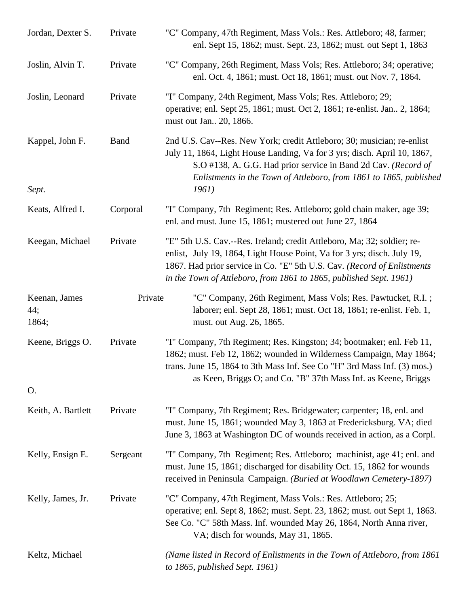| Jordan, Dexter S.             | Private     | "C" Company, 47th Regiment, Mass Vols.: Res. Attleboro; 48, farmer;<br>enl. Sept 15, 1862; must. Sept. 23, 1862; must. out Sept 1, 1863                                                                                                                                                             |
|-------------------------------|-------------|-----------------------------------------------------------------------------------------------------------------------------------------------------------------------------------------------------------------------------------------------------------------------------------------------------|
| Joslin, Alvin T.              | Private     | "C" Company, 26th Regiment, Mass Vols; Res. Attleboro; 34; operative;<br>enl. Oct. 4, 1861; must. Oct 18, 1861; must. out Nov. 7, 1864.                                                                                                                                                             |
| Joslin, Leonard               | Private     | "I" Company, 24th Regiment, Mass Vols; Res. Attleboro; 29;<br>operative; enl. Sept 25, 1861; must. Oct 2, 1861; re-enlist. Jan. 2, 1864;<br>must out Jan., 20, 1866.                                                                                                                                |
| Kappel, John F.<br>Sept.      | <b>Band</b> | 2nd U.S. Cav--Res. New York; credit Attleboro; 30; musician; re-enlist<br>July 11, 1864, Light House Landing, Va for 3 yrs; disch. April 10, 1867,<br>S.O #138, A. G.G. Had prior service in Band 2d Cav. (Record of<br>Enlistments in the Town of Attleboro, from 1861 to 1865, published<br>1961) |
| Keats, Alfred I.              | Corporal    | "I" Company, 7th Regiment; Res. Attleboro; gold chain maker, age 39;<br>enl. and must. June 15, 1861; mustered out June 27, 1864                                                                                                                                                                    |
| Keegan, Michael               | Private     | "E" 5th U.S. Cav.--Res. Ireland; credit Attleboro, Ma; 32; soldier; re-<br>enlist, July 19, 1864, Light House Point, Va for 3 yrs; disch. July 19,<br>1867. Had prior service in Co. "E" 5th U.S. Cav. (Record of Enlistments<br>in the Town of Attleboro, from 1861 to 1865, published Sept. 1961) |
| Keenan, James<br>44;<br>1864; | Private     | "C" Company, 26th Regiment, Mass Vols; Res. Pawtucket, R.I.;<br>laborer; enl. Sept 28, 1861; must. Oct 18, 1861; re-enlist. Feb. 1,<br>must. out Aug. 26, 1865.                                                                                                                                     |
| Keene, Briggs O.              | Private     | "I" Company, 7th Regiment; Res. Kingston; 34; bootmaker; enl. Feb 11,<br>1862; must. Feb 12, 1862; wounded in Wilderness Campaign, May 1864;<br>trans. June 15, 1864 to 3th Mass Inf. See Co "H" 3rd Mass Inf. (3) mos.)<br>as Keen, Briggs O; and Co. "B" 37th Mass Inf. as Keene, Briggs          |
| O.                            |             |                                                                                                                                                                                                                                                                                                     |
| Keith, A. Bartlett            | Private     | "I" Company, 7th Regiment; Res. Bridgewater; carpenter; 18, enl. and<br>must. June 15, 1861; wounded May 3, 1863 at Fredericksburg. VA; died<br>June 3, 1863 at Washington DC of wounds received in action, as a Corpl.                                                                             |
| Kelly, Ensign E.              | Sergeant    | "I" Company, 7th Regiment; Res. Attleboro; machinist, age 41; enl. and<br>must. June 15, 1861; discharged for disability Oct. 15, 1862 for wounds<br>received in Peninsula Campaign. (Buried at Woodlawn Cemetery-1897)                                                                             |
| Kelly, James, Jr.             | Private     | "C" Company, 47th Regiment, Mass Vols.: Res. Attleboro; 25;<br>operative; enl. Sept 8, 1862; must. Sept. 23, 1862; must. out Sept 1, 1863.<br>See Co. "C" 58th Mass. Inf. wounded May 26, 1864, North Anna river,<br>VA; disch for wounds, May 31, 1865.                                            |
| Keltz, Michael                |             | (Name listed in Record of Enlistments in the Town of Attleboro, from 1861<br>to 1865, published Sept. 1961)                                                                                                                                                                                         |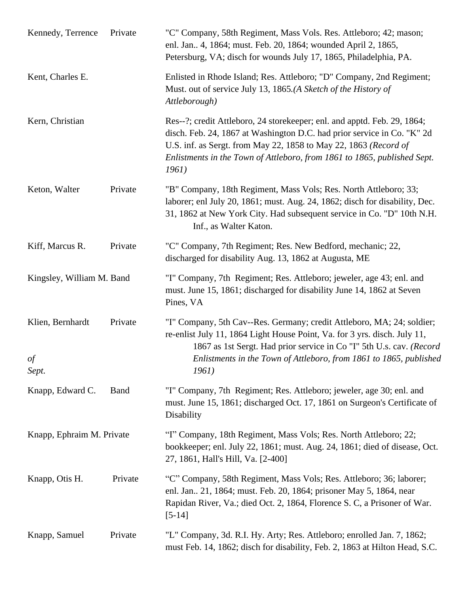| Kennedy, Terrence               | Private     | "C" Company, 58th Regiment, Mass Vols. Res. Attleboro; 42; mason;<br>enl. Jan., 4, 1864; must. Feb. 20, 1864; wounded April 2, 1865,<br>Petersburg, VA; disch for wounds July 17, 1865, Philadelphia, PA.                                                                                                    |
|---------------------------------|-------------|--------------------------------------------------------------------------------------------------------------------------------------------------------------------------------------------------------------------------------------------------------------------------------------------------------------|
| Kent, Charles E.                |             | Enlisted in Rhode Island; Res. Attleboro; "D" Company, 2nd Regiment;<br>Must. out of service July 13, 1865.(A Sketch of the History of<br>Attleborough)                                                                                                                                                      |
| Kern, Christian                 |             | Res--?; credit Attleboro, 24 storekeeper; enl. and apptd. Feb. 29, 1864;<br>disch. Feb. 24, 1867 at Washington D.C. had prior service in Co. "K" 2d<br>U.S. inf. as Sergt. from May 22, 1858 to May 22, 1863 (Record of<br>Enlistments in the Town of Attleboro, from 1861 to 1865, published Sept.<br>1961) |
| Keton, Walter                   | Private     | "B" Company, 18th Regiment, Mass Vols; Res. North Attleboro; 33;<br>laborer; enl July 20, 1861; must. Aug. 24, 1862; disch for disability, Dec.<br>31, 1862 at New York City. Had subsequent service in Co. "D" 10th N.H.<br>Inf., as Walter Katon.                                                          |
| Kiff, Marcus R.                 | Private     | "C" Company, 7th Regiment; Res. New Bedford, mechanic; 22,<br>discharged for disability Aug. 13, 1862 at Augusta, ME                                                                                                                                                                                         |
| Kingsley, William M. Band       |             | "I" Company, 7th Regiment; Res. Attleboro; jeweler, age 43; enl. and<br>must. June 15, 1861; discharged for disability June 14, 1862 at Seven<br>Pines, VA                                                                                                                                                   |
| Klien, Bernhardt<br>of<br>Sept. | Private     | "I" Company, 5th Cav--Res. Germany; credit Attleboro, MA; 24; soldier;<br>re-enlist July 11, 1864 Light House Point, Va. for 3 yrs. disch. July 11,<br>1867 as 1st Sergt. Had prior service in Co "I" 5th U.s. cav. (Record<br>Enlistments in the Town of Attleboro, from 1861 to 1865, published<br>1961)   |
| Knapp, Edward C.                | <b>Band</b> | "I" Company, 7th Regiment; Res. Attleboro; jeweler, age 30; enl. and<br>must. June 15, 1861; discharged Oct. 17, 1861 on Surgeon's Certificate of<br>Disability                                                                                                                                              |
| Knapp, Ephraim M. Private       |             | "I" Company, 18th Regiment, Mass Vols; Res. North Attleboro; 22;<br>bookkeeper; enl. July 22, 1861; must. Aug. 24, 1861; died of disease, Oct.<br>27, 1861, Hall's Hill, Va. [2-400]                                                                                                                         |
| Knapp, Otis H.                  | Private     | "C" Company, 58th Regiment, Mass Vols; Res. Attleboro; 36; laborer;<br>enl. Jan., 21, 1864; must. Feb. 20, 1864; prisoner May 5, 1864, near<br>Rapidan River, Va.; died Oct. 2, 1864, Florence S. C, a Prisoner of War.<br>$[5-14]$                                                                          |
| Knapp, Samuel                   | Private     | "L" Company, 3d. R.I. Hy. Arty; Res. Attleboro; enrolled Jan. 7, 1862;<br>must Feb. 14, 1862; disch for disability, Feb. 2, 1863 at Hilton Head, S.C.                                                                                                                                                        |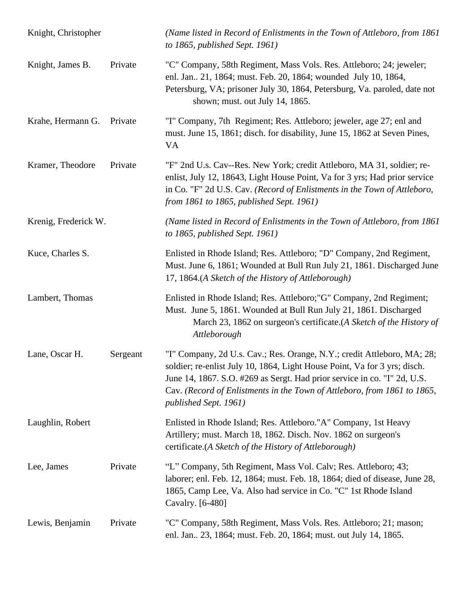| Knight, Christopher  |          | (Name listed in Record of Enlistments in the Town of Attleboro, from 1861<br>to $1865$ , published Sept. 1961)                                                                                                                                                                                                                        |
|----------------------|----------|---------------------------------------------------------------------------------------------------------------------------------------------------------------------------------------------------------------------------------------------------------------------------------------------------------------------------------------|
| Knight, James B.     | Private  | "C" Company, 58th Regiment, Mass Vols. Res. Attleboro; 24; jeweler;<br>enl. Jan., 21, 1864; must. Feb. 20, 1864; wounded July 10, 1864,<br>Petersburg, VA; prisoner July 30, 1864, Petersburg, Va. paroled, date not<br>shown; must. out July 14, 1865.                                                                               |
| Krahe, Hermann G.    | Private  | "I" Company, 7th Regiment; Res. Attleboro; jeweler, age 27; enl and<br>must. June 15, 1861; disch. for disability, June 15, 1862 at Seven Pines,<br><b>VA</b>                                                                                                                                                                         |
| Kramer, Theodore     | Private  | "F" 2nd U.s. Cav--Res. New York; credit Attleboro, MA 31, soldier; re-<br>enlist, July 12, 18643, Light House Point, Va for 3 yrs; Had prior service<br>in Co. "F" 2d U.S. Cav. (Record of Enlistments in the Town of Attleboro,<br>from 1861 to 1865, published Sept. 1961)                                                          |
| Krenig, Frederick W. |          | (Name listed in Record of Enlistments in the Town of Attleboro, from 1861)<br>to $1865$ , published Sept. 1961)                                                                                                                                                                                                                       |
| Kuce, Charles S.     |          | Enlisted in Rhode Island; Res. Attleboro; "D" Company, 2nd Regiment,<br>Must. June 6, 1861; Wounded at Bull Run July 21, 1861. Discharged June<br>17, 1864.(A Sketch of the History of Attleborough)                                                                                                                                  |
| Lambert, Thomas      |          | Enlisted in Rhode Island; Res. Attleboro; "G" Company, 2nd Regiment;<br>Must. June 5, 1861. Wounded at Bull Run July 21, 1861. Discharged<br>March 23, 1862 on surgeon's certificate.(A Sketch of the History of<br>Attleborough                                                                                                      |
| Lane, Oscar H.       | Sergeant | "I" Company, 2d U.s. Cav.; Res. Orange, N.Y.; credit Attleboro, MA; 28;<br>soldier; re-enlist July 10, 1864, Light House Point, Va for 3 yrs; disch.<br>June 14, 1867. S.O. #269 as Sergt. Had prior service in co. "I" 2d, U.S.<br>Cav. (Record of Enlistments in the Town of Attleboro, from 1861 to 1865,<br>published Sept. 1961) |
| Laughlin, Robert     |          | Enlisted in Rhode Island; Res. Attleboro."A" Company, 1st Heavy<br>Artillery; must. March 18, 1862. Disch. Nov. 1862 on surgeon's<br>certificate.(A Sketch of the History of Attleborough)                                                                                                                                            |
| Lee, James           | Private  | "L" Company, 5th Regiment, Mass Vol. Calv; Res. Attleboro; 43;<br>laborer; enl. Feb. 12, 1864; must. Feb. 18, 1864; died of disease, June 28,<br>1865, Camp Lee, Va. Also had service in Co. "C" 1st Rhode Island<br>Cavalry. [6-480]                                                                                                 |
| Lewis, Benjamin      | Private  | "C" Company, 58th Regiment, Mass Vols. Res. Attleboro; 21; mason;<br>enl. Jan., 23, 1864; must. Feb. 20, 1864; must. out July 14, 1865.                                                                                                                                                                                               |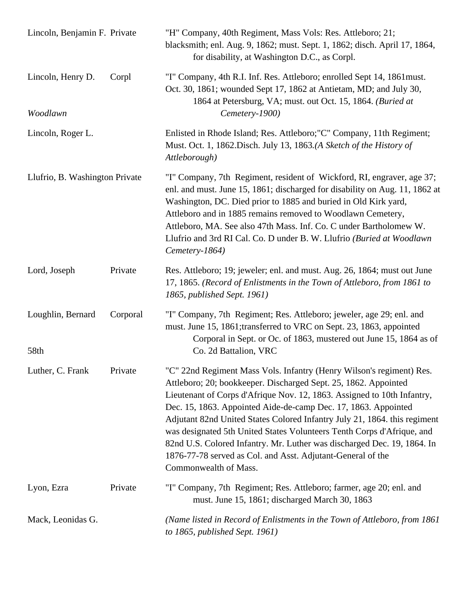| Lincoln, Benjamin F. Private   |          | "H" Company, 40th Regiment, Mass Vols: Res. Attleboro; 21;<br>blacksmith; enl. Aug. 9, 1862; must. Sept. 1, 1862; disch. April 17, 1864,<br>for disability, at Washington D.C., as Corpl.                                                                                                                                                                                                                                                                                                                                                                                                                      |
|--------------------------------|----------|----------------------------------------------------------------------------------------------------------------------------------------------------------------------------------------------------------------------------------------------------------------------------------------------------------------------------------------------------------------------------------------------------------------------------------------------------------------------------------------------------------------------------------------------------------------------------------------------------------------|
| Lincoln, Henry D.<br>Woodlawn  | Corpl    | "I" Company, 4th R.I. Inf. Res. Attleboro; enrolled Sept 14, 1861must.<br>Oct. 30, 1861; wounded Sept 17, 1862 at Antietam, MD; and July 30,<br>1864 at Petersburg, VA; must. out Oct. 15, 1864. (Buried at<br>Cemetery-1900)                                                                                                                                                                                                                                                                                                                                                                                  |
| Lincoln, Roger L.              |          | Enlisted in Rhode Island; Res. Attleboro;"C" Company, 11th Regiment;<br>Must. Oct. 1, 1862. Disch. July 13, 1863. (A Sketch of the History of<br>Attleborough)                                                                                                                                                                                                                                                                                                                                                                                                                                                 |
| Llufrio, B. Washington Private |          | "I" Company, 7th Regiment, resident of Wickford, RI, engraver, age 37;<br>enl. and must. June 15, 1861; discharged for disability on Aug. 11, 1862 at<br>Washington, DC. Died prior to 1885 and buried in Old Kirk yard,<br>Attleboro and in 1885 remains removed to Woodlawn Cemetery,<br>Attleboro, MA. See also 47th Mass. Inf. Co. C under Bartholomew W.<br>Llufrio and 3rd RI Cal. Co. D under B. W. Llufrio (Buried at Woodlawn<br>Cemetery-1864)                                                                                                                                                       |
| Lord, Joseph                   | Private  | Res. Attleboro; 19; jeweler; enl. and must. Aug. 26, 1864; must out June<br>17, 1865. (Record of Enlistments in the Town of Attleboro, from 1861 to<br>1865, published Sept. 1961)                                                                                                                                                                                                                                                                                                                                                                                                                             |
| Loughlin, Bernard<br>58th      | Corporal | "I" Company, 7th Regiment; Res. Attleboro; jeweler, age 29; enl. and<br>must. June 15, 1861; transferred to VRC on Sept. 23, 1863, appointed<br>Corporal in Sept. or Oc. of 1863, mustered out June 15, 1864 as of<br>Co. 2d Battalion, VRC                                                                                                                                                                                                                                                                                                                                                                    |
| Luther, C. Frank               | Private  | "C" 22nd Regiment Mass Vols. Infantry (Henry Wilson's regiment) Res.<br>Attleboro; 20; bookkeeper. Discharged Sept. 25, 1862. Appointed<br>Lieutenant of Corps d'Afrique Nov. 12, 1863. Assigned to 10th Infantry,<br>Dec. 15, 1863. Appointed Aide-de-camp Dec. 17, 1863. Appointed<br>Adjutant 82nd United States Colored Infantry July 21, 1864. this regiment<br>was designated 5th United States Volunteers Tenth Corps d'Afrique, and<br>82nd U.S. Colored Infantry. Mr. Luther was discharged Dec. 19, 1864. In<br>1876-77-78 served as Col. and Asst. Adjutant-General of the<br>Commonwealth of Mass. |
| Lyon, Ezra                     | Private  | "I" Company, 7th Regiment; Res. Attleboro; farmer, age 20; enl. and<br>must. June 15, 1861; discharged March 30, 1863                                                                                                                                                                                                                                                                                                                                                                                                                                                                                          |
| Mack, Leonidas G.              |          | (Name listed in Record of Enlistments in the Town of Attleboro, from 1861)<br>to 1865, published Sept. 1961)                                                                                                                                                                                                                                                                                                                                                                                                                                                                                                   |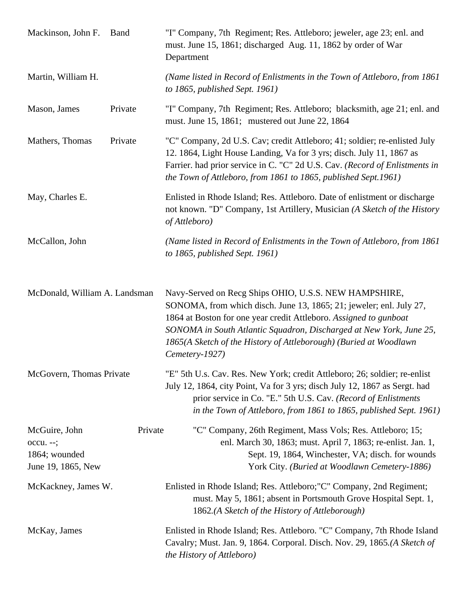| Mackinson, John F.                                                | <b>Band</b> | "I" Company, 7th Regiment; Res. Attleboro; jeweler, age 23; enl. and<br>must. June 15, 1861; discharged Aug. 11, 1862 by order of War<br>Department                                                                                                                                                                                                             |
|-------------------------------------------------------------------|-------------|-----------------------------------------------------------------------------------------------------------------------------------------------------------------------------------------------------------------------------------------------------------------------------------------------------------------------------------------------------------------|
| Martin, William H.                                                |             | (Name listed in Record of Enlistments in the Town of Attleboro, from 1861<br>to $1865$ , published Sept. 1961)                                                                                                                                                                                                                                                  |
| Mason, James                                                      | Private     | "I" Company, 7th Regiment; Res. Attleboro; blacksmith, age 21; enl. and<br>must. June 15, 1861; mustered out June 22, 1864                                                                                                                                                                                                                                      |
| Mathers, Thomas                                                   | Private     | "C" Company, 2d U.S. Cav; credit Attleboro; 41; soldier; re-enlisted July<br>12. 1864, Light House Landing, Va for 3 yrs; disch. July 11, 1867 as<br>Farrier. had prior service in C. "C" 2d U.S. Cav. (Record of Enlistments in<br>the Town of Attleboro, from 1861 to 1865, published Sept.1961)                                                              |
| May, Charles E.                                                   |             | Enlisted in Rhode Island; Res. Attleboro. Date of enlistment or discharge<br>not known. "D" Company, 1st Artillery, Musician (A Sketch of the History<br>of Attleboro)                                                                                                                                                                                          |
| McCallon, John                                                    |             | (Name listed in Record of Enlistments in the Town of Attleboro, from 1861)<br>to $1865$ , published Sept. 1961)                                                                                                                                                                                                                                                 |
| McDonald, William A. Landsman                                     |             | Navy-Served on Recg Ships OHIO, U.S.S. NEW HAMPSHIRE,<br>SONOMA, from which disch. June 13, 1865; 21; jeweler; enl. July 27,<br>1864 at Boston for one year credit Attleboro. Assigned to gunboat<br>SONOMA in South Atlantic Squadron, Discharged at New York, June 25,<br>1865(A Sketch of the History of Attleborough) (Buried at Woodlawn<br>Cemetery-1927) |
| McGovern, Thomas Private                                          |             | "E" 5th U.s. Cav. Res. New York; credit Attleboro; 26; soldier; re-enlist<br>July 12, 1864, city Point, Va for 3 yrs; disch July 12, 1867 as Sergt. had<br>prior service in Co. "E." 5th U.S. Cav. (Record of Enlistments<br>in the Town of Attleboro, from 1861 to 1865, published Sept. 1961)                                                                 |
| McGuire, John<br>occu. --;<br>1864; wounded<br>June 19, 1865, New | Private     | "C" Company, 26th Regiment, Mass Vols; Res. Attleboro; 15;<br>enl. March 30, 1863; must. April 7, 1863; re-enlist. Jan. 1,<br>Sept. 19, 1864, Winchester, VA; disch. for wounds<br>York City. (Buried at Woodlawn Cemetery-1886)                                                                                                                                |
| McKackney, James W.                                               |             | Enlisted in Rhode Island; Res. Attleboro; "C" Company, 2nd Regiment;<br>must. May 5, 1861; absent in Portsmouth Grove Hospital Sept. 1,<br>1862.(A Sketch of the History of Attleborough)                                                                                                                                                                       |
| McKay, James                                                      |             | Enlisted in Rhode Island; Res. Attleboro. "C" Company, 7th Rhode Island<br>Cavalry; Must. Jan. 9, 1864. Corporal. Disch. Nov. 29, 1865.(A Sketch of<br>the History of Attleboro)                                                                                                                                                                                |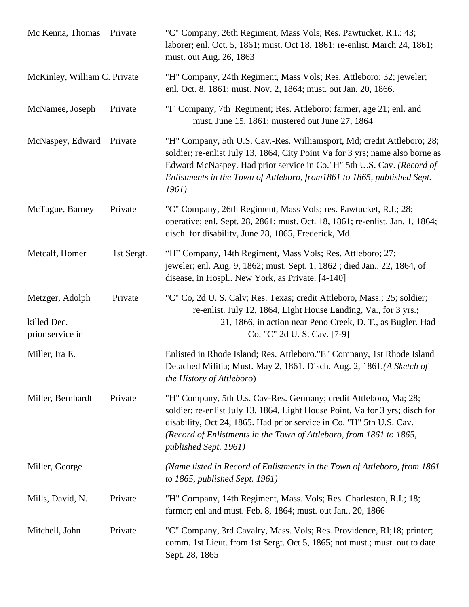| Mc Kenna, Thomas                                   | Private    | "C" Company, 26th Regiment, Mass Vols; Res. Pawtucket, R.I.: 43;<br>laborer; enl. Oct. 5, 1861; must. Oct 18, 1861; re-enlist. March 24, 1861;<br>must. out Aug. 26, 1863                                                                                                                                                 |
|----------------------------------------------------|------------|---------------------------------------------------------------------------------------------------------------------------------------------------------------------------------------------------------------------------------------------------------------------------------------------------------------------------|
| McKinley, William C. Private                       |            | "H" Company, 24th Regiment, Mass Vols; Res. Attleboro; 32; jeweler;<br>enl. Oct. 8, 1861; must. Nov. 2, 1864; must. out Jan. 20, 1866.                                                                                                                                                                                    |
| McNamee, Joseph                                    | Private    | "I" Company, 7th Regiment; Res. Attleboro; farmer, age 21; enl. and<br>must. June 15, 1861; mustered out June 27, 1864                                                                                                                                                                                                    |
| McNaspey, Edward                                   | Private    | "H" Company, 5th U.S. Cav.-Res. Williamsport, Md; credit Attleboro; 28;<br>soldier; re-enlist July 13, 1864, City Point Va for 3 yrs; name also borne as<br>Edward McNaspey. Had prior service in Co."H" 5th U.S. Cav. (Record of<br>Enlistments in the Town of Attleboro, from 1861 to 1865, published Sept.<br>1961)    |
| McTague, Barney                                    | Private    | "C" Company, 26th Regiment, Mass Vols; res. Pawtucket, R.I.; 28;<br>operative; enl. Sept. 28, 2861; must. Oct. 18, 1861; re-enlist. Jan. 1, 1864;<br>disch. for disability, June 28, 1865, Frederick, Md.                                                                                                                 |
| Metcalf, Homer                                     | 1st Sergt. | "H" Company, 14th Regiment, Mass Vols; Res. Attleboro; 27;<br>jeweler; enl. Aug. 9, 1862; must. Sept. 1, 1862; died Jan 22, 1864, of<br>disease, in Hospl New York, as Private. [4-140]                                                                                                                                   |
| Metzger, Adolph<br>killed Dec.<br>prior service in | Private    | "C" Co, 2d U. S. Calv; Res. Texas; credit Attleboro, Mass.; 25; soldier;<br>re-enlist. July 12, 1864, Light House Landing, Va., for 3 yrs.;<br>21, 1866, in action near Peno Creek, D. T., as Bugler. Had<br>Co. "C" 2d U. S. Cav. [7-9]                                                                                  |
| Miller, Ira E.                                     |            | Enlisted in Rhode Island; Res. Attleboro."E" Company, 1st Rhode Island<br>Detached Militia; Must. May 2, 1861. Disch. Aug. 2, 1861.(A Sketch of<br>the History of Attleboro)                                                                                                                                              |
| Miller, Bernhardt                                  | Private    | "H" Company, 5th U.s. Cav-Res. Germany; credit Attleboro, Ma; 28;<br>soldier; re-enlist July 13, 1864, Light House Point, Va for 3 yrs; disch for<br>disability, Oct 24, 1865. Had prior service in Co. "H" 5th U.S. Cav.<br>(Record of Enlistments in the Town of Attleboro, from 1861 to 1865,<br>published Sept. 1961) |
| Miller, George                                     |            | (Name listed in Record of Enlistments in the Town of Attleboro, from 1861)<br>to $1865$ , published Sept. 1961)                                                                                                                                                                                                           |
| Mills, David, N.                                   | Private    | "H" Company, 14th Regiment, Mass. Vols; Res. Charleston, R.I.; 18;<br>farmer; enl and must. Feb. 8, 1864; must. out Jan 20, 1866                                                                                                                                                                                          |
| Mitchell, John                                     | Private    | "C" Company, 3rd Cavalry, Mass. Vols; Res. Providence, RI;18; printer;<br>comm. 1st Lieut. from 1st Sergt. Oct 5, 1865; not must.; must. out to date<br>Sept. 28, 1865                                                                                                                                                    |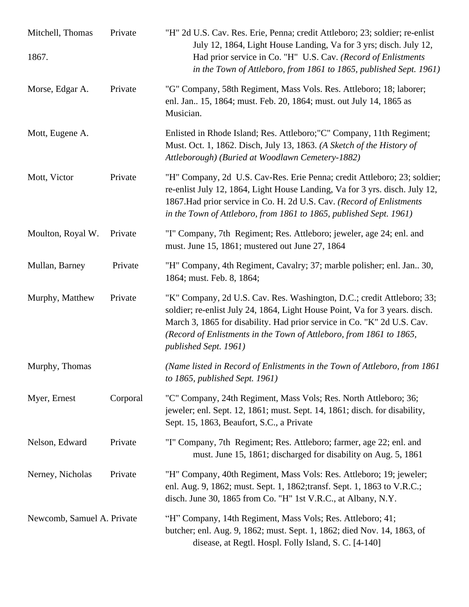| Mitchell, Thomas<br>1867.  | Private  | "H" 2d U.S. Cav. Res. Erie, Penna; credit Attleboro; 23; soldier; re-enlist<br>July 12, 1864, Light House Landing, Va for 3 yrs; disch. July 12,<br>Had prior service in Co. "H" U.S. Cav. (Record of Enlistments<br>in the Town of Attleboro, from 1861 to 1865, published Sept. 1961)                                          |
|----------------------------|----------|----------------------------------------------------------------------------------------------------------------------------------------------------------------------------------------------------------------------------------------------------------------------------------------------------------------------------------|
| Morse, Edgar A.            | Private  | "G" Company, 58th Regiment, Mass Vols. Res. Attleboro; 18; laborer;<br>enl. Jan., 15, 1864; must. Feb. 20, 1864; must. out July 14, 1865 as<br>Musician.                                                                                                                                                                         |
| Mott, Eugene A.            |          | Enlisted in Rhode Island; Res. Attleboro; "C" Company, 11th Regiment;<br>Must. Oct. 1, 1862. Disch, July 13, 1863. (A Sketch of the History of<br>Attleborough) (Buried at Woodlawn Cemetery-1882)                                                                                                                               |
| Mott, Victor               | Private  | "H" Company, 2d U.S. Cav-Res. Erie Penna; credit Attleboro; 23; soldier;<br>re-enlist July 12, 1864, Light House Landing, Va for 3 yrs. disch. July 12,<br>1867. Had prior service in Co. H. 2d U.S. Cav. (Record of Enlistments<br>in the Town of Attleboro, from 1861 to 1865, published Sept. 1961)                           |
| Moulton, Royal W.          | Private  | "I" Company, 7th Regiment; Res. Attleboro; jeweler, age 24; enl. and<br>must. June 15, 1861; mustered out June 27, 1864                                                                                                                                                                                                          |
| Mullan, Barney             | Private  | "H" Company, 4th Regiment, Cavalry; 37; marble polisher; enl. Jan 30,<br>1864; must. Feb. 8, 1864;                                                                                                                                                                                                                               |
| Murphy, Matthew            | Private  | "K" Company, 2d U.S. Cav. Res. Washington, D.C.; credit Attleboro; 33;<br>soldier; re-enlist July 24, 1864, Light House Point, Va for 3 years. disch.<br>March 3, 1865 for disability. Had prior service in Co. "K" 2d U.S. Cav.<br>(Record of Enlistments in the Town of Attleboro, from 1861 to 1865,<br>published Sept. 1961) |
| Murphy, Thomas             |          | (Name listed in Record of Enlistments in the Town of Attleboro, from 1861)<br>to $1865$ , published Sept. 1961)                                                                                                                                                                                                                  |
| Myer, Ernest               | Corporal | "C" Company, 24th Regiment, Mass Vols; Res. North Attleboro; 36;<br>jeweler; enl. Sept. 12, 1861; must. Sept. 14, 1861; disch. for disability,<br>Sept. 15, 1863, Beaufort, S.C., a Private                                                                                                                                      |
| Nelson, Edward             | Private  | "I" Company, 7th Regiment; Res. Attleboro; farmer, age 22; enl. and<br>must. June 15, 1861; discharged for disability on Aug. 5, 1861                                                                                                                                                                                            |
| Nerney, Nicholas           | Private  | "H" Company, 40th Regiment, Mass Vols: Res. Attleboro; 19; jeweler;<br>enl. Aug. 9, 1862; must. Sept. 1, 1862; transf. Sept. 1, 1863 to V.R.C.;<br>disch. June 30, 1865 from Co. "H" 1st V.R.C., at Albany, N.Y.                                                                                                                 |
| Newcomb, Samuel A. Private |          | "H" Company, 14th Regiment, Mass Vols; Res. Attleboro; 41;<br>butcher; enl. Aug. 9, 1862; must. Sept. 1, 1862; died Nov. 14, 1863, of<br>disease, at Regtl. Hospl. Folly Island, S. C. [4-140]                                                                                                                                   |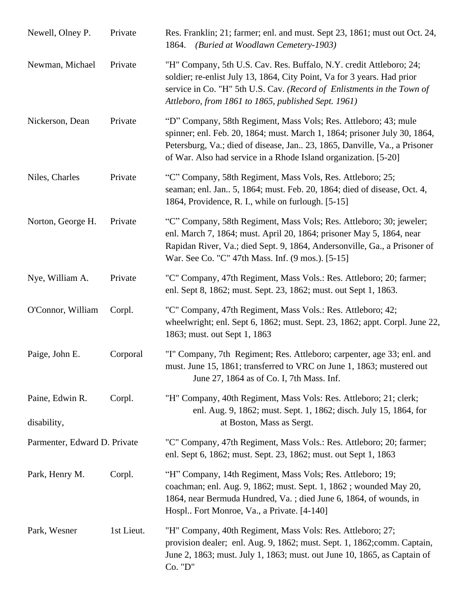| Newell, Olney P.               | Private    | Res. Franklin; 21; farmer; enl. and must. Sept 23, 1861; must out Oct. 24,<br>1864. (Buried at Woodlawn Cemetery-1903)                                                                                                                                                                        |
|--------------------------------|------------|-----------------------------------------------------------------------------------------------------------------------------------------------------------------------------------------------------------------------------------------------------------------------------------------------|
| Newman, Michael                | Private    | "H" Company, 5th U.S. Cav. Res. Buffalo, N.Y. credit Attleboro; 24;<br>soldier; re-enlist July 13, 1864, City Point, Va for 3 years. Had prior<br>service in Co. "H" 5th U.S. Cav. (Record of Enlistments in the Town of<br>Attleboro, from 1861 to 1865, published Sept. 1961)               |
| Nickerson, Dean                | Private    | "D" Company, 58th Regiment, Mass Vols; Res. Attleboro; 43; mule<br>spinner; enl. Feb. 20, 1864; must. March 1, 1864; prisoner July 30, 1864,<br>Petersburg, Va.; died of disease, Jan. 23, 1865, Danville, Va., a Prisoner<br>of War. Also had service in a Rhode Island organization. [5-20] |
| Niles, Charles                 | Private    | "C" Company, 58th Regiment, Mass Vols, Res. Attleboro; 25;<br>seaman; enl. Jan., 5, 1864; must. Feb. 20, 1864; died of disease, Oct. 4,<br>1864, Providence, R. I., while on furlough. [5-15]                                                                                                 |
| Norton, George H.              | Private    | "C" Company, 58th Regiment, Mass Vols; Res. Attleboro; 30; jeweler;<br>enl. March 7, 1864; must. April 20, 1864; prisoner May 5, 1864, near<br>Rapidan River, Va.; died Sept. 9, 1864, Andersonville, Ga., a Prisoner of<br>War. See Co. "C" 47th Mass. Inf. (9 mos.). [5-15]                 |
| Nye, William A.                | Private    | "C" Company, 47th Regiment, Mass Vols.: Res. Attleboro; 20; farmer;<br>enl. Sept 8, 1862; must. Sept. 23, 1862; must. out Sept 1, 1863.                                                                                                                                                       |
| O'Connor, William              | Corpl.     | "C" Company, 47th Regiment, Mass Vols.: Res. Attleboro; 42;<br>wheelwright; enl. Sept 6, 1862; must. Sept. 23, 1862; appt. Corpl. June 22,<br>1863; must. out Sept 1, 1863                                                                                                                    |
| Paige, John E.                 | Corporal   | "I" Company, 7th Regiment; Res. Attleboro; carpenter, age 33; enl. and<br>must. June 15, 1861; transferred to VRC on June 1, 1863; mustered out<br>June 27, 1864 as of Co. I, 7th Mass. Inf.                                                                                                  |
| Paine, Edwin R.<br>disability, | Corpl.     | "H" Company, 40th Regiment, Mass Vols: Res. Attleboro; 21; clerk;<br>enl. Aug. 9, 1862; must. Sept. 1, 1862; disch. July 15, 1864, for<br>at Boston, Mass as Sergt.                                                                                                                           |
| Parmenter, Edward D. Private   |            | "C" Company, 47th Regiment, Mass Vols.: Res. Attleboro; 20; farmer;<br>enl. Sept 6, 1862; must. Sept. 23, 1862; must. out Sept 1, 1863                                                                                                                                                        |
| Park, Henry M.                 | Corpl.     | "H" Company, 14th Regiment, Mass Vols; Res. Attleboro; 19;<br>coachman; enl. Aug. 9, 1862; must. Sept. 1, 1862; wounded May 20,<br>1864, near Bermuda Hundred, Va.; died June 6, 1864, of wounds, in<br>Hospl Fort Monroe, Va., a Private. [4-140]                                            |
| Park, Wesner                   | 1st Lieut. | "H" Company, 40th Regiment, Mass Vols: Res. Attleboro; 27;<br>provision dealer; enl. Aug. 9, 1862; must. Sept. 1, 1862; comm. Captain,<br>June 2, 1863; must. July 1, 1863; must. out June 10, 1865, as Captain of<br>Co. "D"                                                                 |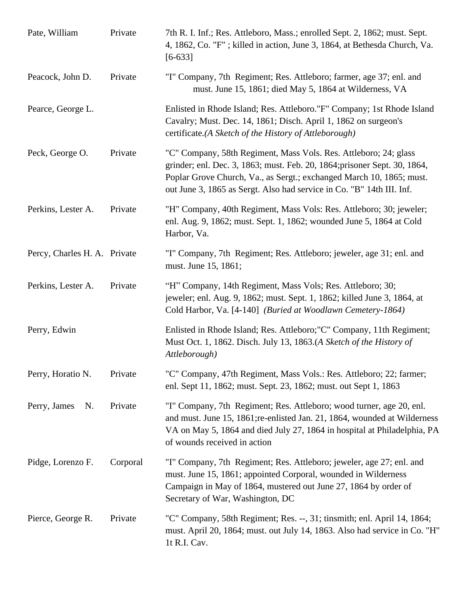| Pate, William                | Private  | 7th R. I. Inf.; Res. Attleboro, Mass.; enrolled Sept. 2, 1862; must. Sept.<br>4, 1862, Co. "F"; killed in action, June 3, 1864, at Bethesda Church, Va.<br>$[6-633]$                                                                                                                           |
|------------------------------|----------|------------------------------------------------------------------------------------------------------------------------------------------------------------------------------------------------------------------------------------------------------------------------------------------------|
| Peacock, John D.             | Private  | "I" Company, 7th Regiment; Res. Attleboro; farmer, age 37; enl. and<br>must. June 15, 1861; died May 5, 1864 at Wilderness, VA                                                                                                                                                                 |
| Pearce, George L.            |          | Enlisted in Rhode Island; Res. Attleboro."F" Company; 1st Rhode Island<br>Cavalry; Must. Dec. 14, 1861; Disch. April 1, 1862 on surgeon's<br>certificate.(A Sketch of the History of Attleborough)                                                                                             |
| Peck, George O.              | Private  | "C" Company, 58th Regiment, Mass Vols. Res. Attleboro; 24; glass<br>grinder; enl. Dec. 3, 1863; must. Feb. 20, 1864; prisoner Sept. 30, 1864,<br>Poplar Grove Church, Va., as Sergt.; exchanged March 10, 1865; must.<br>out June 3, 1865 as Sergt. Also had service in Co. "B" 14th III. Inf. |
| Perkins, Lester A.           | Private  | "H" Company, 40th Regiment, Mass Vols: Res. Attleboro; 30; jeweler;<br>enl. Aug. 9, 1862; must. Sept. 1, 1862; wounded June 5, 1864 at Cold<br>Harbor, Va.                                                                                                                                     |
| Percy, Charles H. A. Private |          | "I" Company, 7th Regiment; Res. Attleboro; jeweler, age 31; enl. and<br>must. June 15, 1861;                                                                                                                                                                                                   |
| Perkins, Lester A.           | Private  | "H" Company, 14th Regiment, Mass Vols; Res. Attleboro; 30;<br>jeweler; enl. Aug. 9, 1862; must. Sept. 1, 1862; killed June 3, 1864, at<br>Cold Harbor, Va. [4-140] (Buried at Woodlawn Cemetery-1864)                                                                                          |
| Perry, Edwin                 |          | Enlisted in Rhode Island; Res. Attleboro; "C" Company, 11th Regiment;<br>Must Oct. 1, 1862. Disch. July 13, 1863.(A Sketch of the History of<br>Attleborough)                                                                                                                                  |
| Perry, Horatio N.            | Private  | "C" Company, 47th Regiment, Mass Vols.: Res. Attleboro; 22; farmer;<br>enl. Sept 11, 1862; must. Sept. 23, 1862; must. out Sept 1, 1863                                                                                                                                                        |
| Perry, James<br>N.           | Private  | "I" Company, 7th Regiment; Res. Attleboro; wood turner, age 20, enl.<br>and must. June 15, 1861; re-enlisted Jan. 21, 1864, wounded at Wilderness<br>VA on May 5, 1864 and died July 27, 1864 in hospital at Philadelphia, PA<br>of wounds received in action                                  |
| Pidge, Lorenzo F.            | Corporal | "I" Company, 7th Regiment; Res. Attleboro; jeweler, age 27; enl. and<br>must. June 15, 1861; appointed Corporal, wounded in Wilderness<br>Campaign in May of 1864, mustered out June 27, 1864 by order of<br>Secretary of War, Washington, DC                                                  |
| Pierce, George R.            | Private  | "C" Company, 58th Regiment; Res. --, 31; tinsmith; enl. April 14, 1864;<br>must. April 20, 1864; must. out July 14, 1863. Also had service in Co. "H"<br>1t R.I. Cav.                                                                                                                          |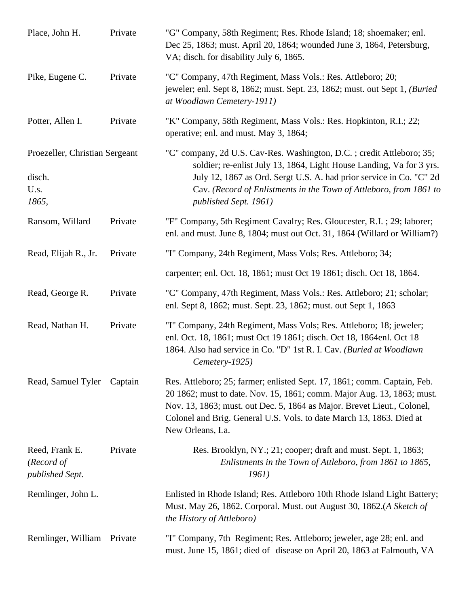| Place, John H.                                            | Private | "G" Company, 58th Regiment; Res. Rhode Island; 18; shoemaker; enl.<br>Dec 25, 1863; must. April 20, 1864; wounded June 3, 1864, Petersburg,<br>VA; disch. for disability July 6, 1865.                                                                                                                                    |
|-----------------------------------------------------------|---------|---------------------------------------------------------------------------------------------------------------------------------------------------------------------------------------------------------------------------------------------------------------------------------------------------------------------------|
| Pike, Eugene C.                                           | Private | "C" Company, 47th Regiment, Mass Vols.: Res. Attleboro; 20;<br>jeweler; enl. Sept 8, 1862; must. Sept. 23, 1862; must. out Sept 1, (Buried<br>at Woodlawn Cemetery-1911)                                                                                                                                                  |
| Potter, Allen I.                                          | Private | "K" Company, 58th Regiment, Mass Vols.: Res. Hopkinton, R.I.; 22;<br>operative; enl. and must. May 3, 1864;                                                                                                                                                                                                               |
| Proezeller, Christian Sergeant<br>disch.<br>U.s.<br>1865, |         | "C" company, 2d U.S. Cav-Res. Washington, D.C.; credit Attleboro; 35;<br>soldier; re-enlist July 13, 1864, Light House Landing, Va for 3 yrs.<br>July 12, 1867 as Ord. Sergt U.S. A. had prior service in Co. "C" 2d<br>Cav. (Record of Enlistments in the Town of Attleboro, from 1861 to<br>published Sept. 1961)       |
| Ransom, Willard                                           | Private | "F" Company, 5th Regiment Cavalry; Res. Gloucester, R.I.; 29; laborer;<br>enl. and must. June 8, 1804; must out Oct. 31, 1864 (Willard or William?)                                                                                                                                                                       |
| Read, Elijah R., Jr.                                      | Private | "I" Company, 24th Regiment, Mass Vols; Res. Attleboro; 34;                                                                                                                                                                                                                                                                |
|                                                           |         | carpenter; enl. Oct. 18, 1861; must Oct 19 1861; disch. Oct 18, 1864.                                                                                                                                                                                                                                                     |
| Read, George R.                                           | Private | "C" Company, 47th Regiment, Mass Vols.: Res. Attleboro; 21; scholar;<br>enl. Sept 8, 1862; must. Sept. 23, 1862; must. out Sept 1, 1863                                                                                                                                                                                   |
| Read, Nathan H.                                           | Private | "I" Company, 24th Regiment, Mass Vols; Res. Attleboro; 18; jeweler;<br>enl. Oct. 18, 1861; must Oct 19 1861; disch. Oct 18, 1864enl. Oct 18<br>1864. Also had service in Co. "D" 1st R. I. Cav. (Buried at Woodlawn<br>Cemetery-1925)                                                                                     |
| Read, Samuel Tyler                                        | Captain | Res. Attleboro; 25; farmer; enlisted Sept. 17, 1861; comm. Captain, Feb.<br>20 1862; must to date. Nov. 15, 1861; comm. Major Aug. 13, 1863; must.<br>Nov. 13, 1863; must. out Dec. 5, 1864 as Major. Brevet Lieut., Colonel,<br>Colonel and Brig. General U.S. Vols. to date March 13, 1863. Died at<br>New Orleans, La. |
| Reed, Frank E.<br>(Record of<br>published Sept.           | Private | Res. Brooklyn, NY.; 21; cooper; draft and must. Sept. 1, 1863;<br>Enlistments in the Town of Attleboro, from 1861 to 1865,<br><i>1961</i> )                                                                                                                                                                               |
| Remlinger, John L.                                        |         | Enlisted in Rhode Island; Res. Attleboro 10th Rhode Island Light Battery;<br>Must. May 26, 1862. Corporal. Must. out August 30, 1862.(A Sketch of<br>the History of Attleboro)                                                                                                                                            |
| Remlinger, William                                        | Private | "I" Company, 7th Regiment; Res. Attleboro; jeweler, age 28; enl. and<br>must. June 15, 1861; died of disease on April 20, 1863 at Falmouth, VA                                                                                                                                                                            |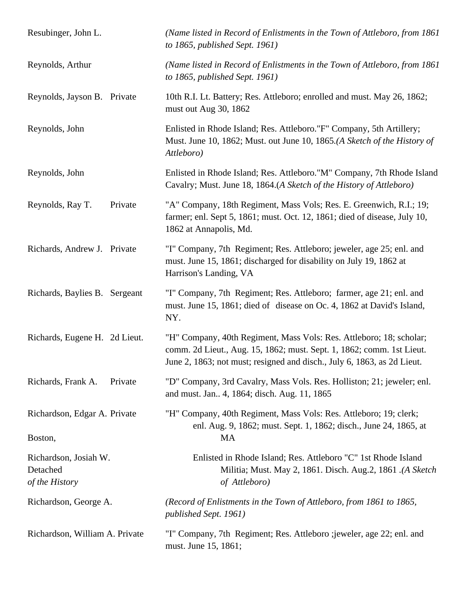| Resubinger, John L.                                 | (Name listed in Record of Enlistments in the Town of Attleboro, from 1861)<br>to $1865$ , published Sept. 1961)                                                                                                         |
|-----------------------------------------------------|-------------------------------------------------------------------------------------------------------------------------------------------------------------------------------------------------------------------------|
| Reynolds, Arthur                                    | (Name listed in Record of Enlistments in the Town of Attleboro, from 1861)<br>to 1865, published Sept. 1961)                                                                                                            |
| Reynolds, Jayson B. Private                         | 10th R.I. Lt. Battery; Res. Attleboro; enrolled and must. May 26, 1862;<br>must out Aug 30, 1862                                                                                                                        |
| Reynolds, John                                      | Enlisted in Rhode Island; Res. Attleboro."F" Company, 5th Artillery;<br>Must. June 10, 1862; Must. out June 10, 1865.(A Sketch of the History of<br>Attleboro)                                                          |
| Reynolds, John                                      | Enlisted in Rhode Island; Res. Attleboro."M" Company, 7th Rhode Island<br>Cavalry; Must. June 18, 1864.(A Sketch of the History of Attleboro)                                                                           |
| Private<br>Reynolds, Ray T.                         | "A" Company, 18th Regiment, Mass Vols; Res. E. Greenwich, R.I.; 19;<br>farmer; enl. Sept 5, 1861; must. Oct. 12, 1861; died of disease, July 10,<br>1862 at Annapolis, Md.                                              |
| Richards, Andrew J. Private                         | "I" Company, 7th Regiment; Res. Attleboro; jeweler, age 25; enl. and<br>must. June 15, 1861; discharged for disability on July 19, 1862 at<br>Harrison's Landing, VA                                                    |
| Richards, Baylies B. Sergeant                       | "I" Company, 7th Regiment; Res. Attleboro; farmer, age 21; enl. and<br>must. June 15, 1861; died of disease on Oc. 4, 1862 at David's Island,<br>NY.                                                                    |
| Richards, Eugene H. 2d Lieut.                       | "H" Company, 40th Regiment, Mass Vols: Res. Attleboro; 18; scholar;<br>comm. 2d Lieut., Aug. 15, 1862; must. Sept. 1, 1862; comm. 1st Lieut.<br>June 2, 1863; not must; resigned and disch., July 6, 1863, as 2d Lieut. |
| Richards, Frank A.<br>Private                       | "D" Company, 3rd Cavalry, Mass Vols. Res. Holliston; 21; jeweler; enl.<br>and must. Jan 4, 1864; disch. Aug. 11, 1865                                                                                                   |
| Richardson, Edgar A. Private<br>Boston,             | "H" Company, 40th Regiment, Mass Vols: Res. Attleboro; 19; clerk;<br>enl. Aug. 9, 1862; must. Sept. 1, 1862; disch., June 24, 1865, at<br><b>MA</b>                                                                     |
| Richardson, Josiah W.<br>Detached<br>of the History | Enlisted in Rhode Island; Res. Attleboro "C" 1st Rhode Island<br>Militia; Must. May 2, 1861. Disch. Aug.2, 1861. (A Sketch<br>of Attleboro)                                                                             |
| Richardson, George A.                               | (Record of Enlistments in the Town of Attleboro, from 1861 to 1865,<br>published Sept. 1961)                                                                                                                            |
| Richardson, William A. Private                      | "I" Company, 7th Regiment; Res. Attleboro ; jeweler, age 22; enl. and<br>must. June 15, 1861;                                                                                                                           |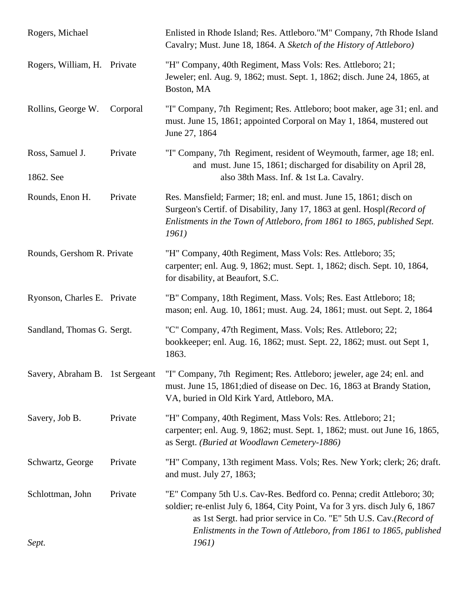| Rogers, Michael                 |          | Enlisted in Rhode Island; Res. Attleboro."M" Company, 7th Rhode Island<br>Cavalry; Must. June 18, 1864. A Sketch of the History of Attleboro)                                                                                                                                                       |
|---------------------------------|----------|-----------------------------------------------------------------------------------------------------------------------------------------------------------------------------------------------------------------------------------------------------------------------------------------------------|
| Rogers, William, H. Private     |          | "H" Company, 40th Regiment, Mass Vols: Res. Attleboro; 21;<br>Jeweler; enl. Aug. 9, 1862; must. Sept. 1, 1862; disch. June 24, 1865, at<br>Boston, MA                                                                                                                                               |
| Rollins, George W.              | Corporal | "I" Company, 7th Regiment; Res. Attleboro; boot maker, age 31; enl. and<br>must. June 15, 1861; appointed Corporal on May 1, 1864, mustered out<br>June 27, 1864                                                                                                                                    |
| Ross, Samuel J.<br>1862. See    | Private  | "I" Company, 7th Regiment, resident of Weymouth, farmer, age 18; enl.<br>and must. June 15, 1861; discharged for disability on April 28,<br>also 38th Mass. Inf. & 1st La. Cavalry.                                                                                                                 |
| Rounds, Enon H.                 | Private  | Res. Mansfield; Farmer; 18; enl. and must. June 15, 1861; disch on<br>Surgeon's Certif. of Disability, Jany 17, 1863 at genl. Hospl(Record of<br>Enlistments in the Town of Attleboro, from 1861 to 1865, published Sept.<br>1961)                                                                  |
| Rounds, Gershom R. Private      |          | "H" Company, 40th Regiment, Mass Vols: Res. Attleboro; 35;<br>carpenter; enl. Aug. 9, 1862; must. Sept. 1, 1862; disch. Sept. 10, 1864,<br>for disability, at Beaufort, S.C.                                                                                                                        |
| Ryonson, Charles E. Private     |          | "B" Company, 18th Regiment, Mass. Vols; Res. East Attleboro; 18;<br>mason; enl. Aug. 10, 1861; must. Aug. 24, 1861; must. out Sept. 2, 1864                                                                                                                                                         |
| Sandland, Thomas G. Sergt.      |          | "C" Company, 47th Regiment, Mass. Vols; Res. Attleboro; 22;<br>bookkeeper; enl. Aug. 16, 1862; must. Sept. 22, 1862; must. out Sept 1,<br>1863.                                                                                                                                                     |
| Savery, Abraham B. 1st Sergeant |          | "I" Company, 7th Regiment; Res. Attleboro; jeweler, age 24; enl. and<br>must. June 15, 1861; died of disease on Dec. 16, 1863 at Brandy Station,<br>VA, buried in Old Kirk Yard, Attleboro, MA.                                                                                                     |
| Savery, Job B.                  | Private  | "H" Company, 40th Regiment, Mass Vols: Res. Attleboro; 21;<br>carpenter; enl. Aug. 9, 1862; must. Sept. 1, 1862; must. out June 16, 1865,<br>as Sergt. (Buried at Woodlawn Cemetery-1886)                                                                                                           |
| Schwartz, George                | Private  | "H" Company, 13th regiment Mass. Vols; Res. New York; clerk; 26; draft.<br>and must. July 27, 1863;                                                                                                                                                                                                 |
| Schlottman, John                | Private  | "E" Company 5th U.s. Cav-Res. Bedford co. Penna; credit Attleboro; 30;<br>soldier; re-enlist July 6, 1864, City Point, Va for 3 yrs. disch July 6, 1867<br>as 1st Sergt. had prior service in Co. "E" 5th U.S. Cav.(Record of<br>Enlistments in the Town of Attleboro, from 1861 to 1865, published |
| Sept.                           |          | 1961)                                                                                                                                                                                                                                                                                               |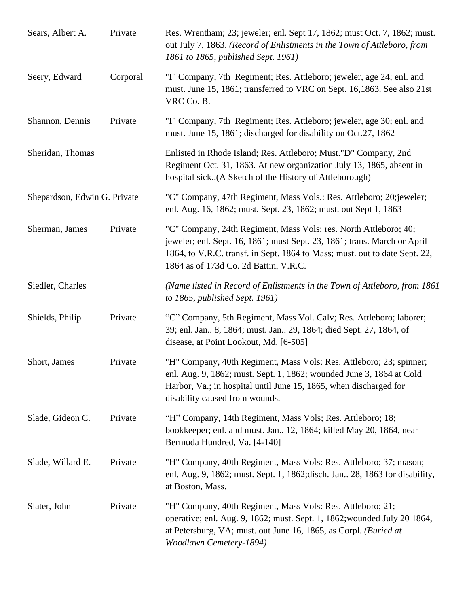| Sears, Albert A.             | Private  | Res. Wrentham; 23; jeweler; enl. Sept 17, 1862; must Oct. 7, 1862; must.<br>out July 7, 1863. (Record of Enlistments in the Town of Attleboro, from<br>1861 to 1865, published Sept. 1961)                                                                          |
|------------------------------|----------|---------------------------------------------------------------------------------------------------------------------------------------------------------------------------------------------------------------------------------------------------------------------|
| Seery, Edward                | Corporal | "I" Company, 7th Regiment; Res. Attleboro; jeweler, age 24; enl. and<br>must. June 15, 1861; transferred to VRC on Sept. 16,1863. See also 21st<br>VRC Co. B.                                                                                                       |
| Shannon, Dennis              | Private  | "I" Company, 7th Regiment; Res. Attleboro; jeweler, age 30; enl. and<br>must. June 15, 1861; discharged for disability on Oct.27, 1862                                                                                                                              |
| Sheridan, Thomas             |          | Enlisted in Rhode Island; Res. Attleboro; Must."D" Company, 2nd<br>Regiment Oct. 31, 1863. At new organization July 13, 1865, absent in<br>hospital sick(A Sketch of the History of Attleborough)                                                                   |
| Shepardson, Edwin G. Private |          | "C" Company, 47th Regiment, Mass Vols.: Res. Attleboro; 20; jeweler;<br>enl. Aug. 16, 1862; must. Sept. 23, 1862; must. out Sept 1, 1863                                                                                                                            |
| Sherman, James               | Private  | "C" Company, 24th Regiment, Mass Vols; res. North Attleboro; 40;<br>jeweler; enl. Sept. 16, 1861; must Sept. 23, 1861; trans. March or April<br>1864, to V.R.C. transf. in Sept. 1864 to Mass; must. out to date Sept. 22,<br>1864 as of 173d Co. 2d Battin, V.R.C. |
| Siedler, Charles             |          | (Name listed in Record of Enlistments in the Town of Attleboro, from 1861)<br>to $1865$ , published Sept. 1961)                                                                                                                                                     |
| Shields, Philip              | Private  | "C" Company, 5th Regiment, Mass Vol. Calv; Res. Attleboro; laborer;<br>39; enl. Jan., 8, 1864; must. Jan., 29, 1864; died Sept. 27, 1864, of<br>disease, at Point Lookout, Md. [6-505]                                                                              |
| Short, James                 | Private  | "H" Company, 40th Regiment, Mass Vols: Res. Attleboro; 23; spinner;<br>enl. Aug. 9, 1862; must. Sept. 1, 1862; wounded June 3, 1864 at Cold<br>Harbor, Va.; in hospital until June 15, 1865, when discharged for<br>disability caused from wounds.                  |
| Slade, Gideon C.             | Private  | "H" Company, 14th Regiment, Mass Vols; Res. Attleboro; 18;<br>bookkeeper; enl. and must. Jan 12, 1864; killed May 20, 1864, near<br>Bermuda Hundred, Va. [4-140]                                                                                                    |
| Slade, Willard E.            | Private  | "H" Company, 40th Regiment, Mass Vols: Res. Attleboro; 37; mason;<br>enl. Aug. 9, 1862; must. Sept. 1, 1862; disch. Jan 28, 1863 for disability,<br>at Boston, Mass.                                                                                                |
| Slater, John                 | Private  | "H" Company, 40th Regiment, Mass Vols: Res. Attleboro; 21;<br>operative; enl. Aug. 9, 1862; must. Sept. 1, 1862; wounded July 20 1864,<br>at Petersburg, VA; must. out June 16, 1865, as Corpl. (Buried at<br>Woodlawn Cemetery-1894)                               |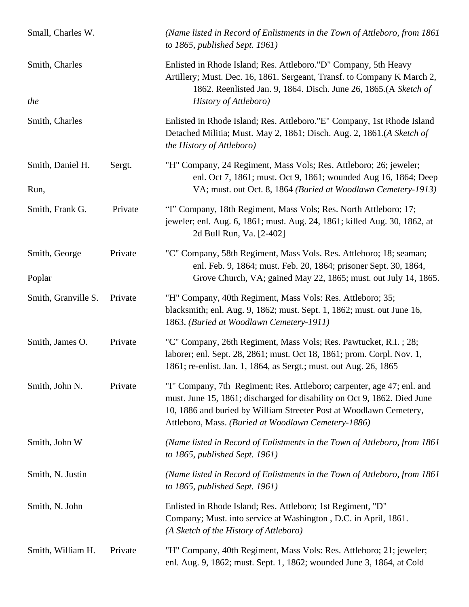| Small, Charles W.        |         | (Name listed in Record of Enlistments in the Town of Attleboro, from 1861)<br>to $1865$ , published Sept. 1961)                                                                                                                                                                 |
|--------------------------|---------|---------------------------------------------------------------------------------------------------------------------------------------------------------------------------------------------------------------------------------------------------------------------------------|
| Smith, Charles<br>the    |         | Enlisted in Rhode Island; Res. Attleboro."D" Company, 5th Heavy<br>Artillery; Must. Dec. 16, 1861. Sergeant, Transf. to Company K March 2,<br>1862. Reenlisted Jan. 9, 1864. Disch. June 26, 1865.(A Sketch of<br>History of Attleboro)                                         |
| Smith, Charles           |         | Enlisted in Rhode Island; Res. Attleboro."E" Company, 1st Rhode Island<br>Detached Militia; Must. May 2, 1861; Disch. Aug. 2, 1861.(A Sketch of<br>the History of Attleboro)                                                                                                    |
| Smith, Daniel H.<br>Run, | Sergt.  | "H" Company, 24 Regiment, Mass Vols; Res. Attleboro; 26; jeweler;<br>enl. Oct 7, 1861; must. Oct 9, 1861; wounded Aug 16, 1864; Deep<br>VA; must. out Oct. 8, 1864 (Buried at Woodlawn Cemetery-1913)                                                                           |
| Smith, Frank G.          | Private | "I" Company, 18th Regiment, Mass Vols; Res. North Attleboro; 17;<br>jeweler; enl. Aug. 6, 1861; must. Aug. 24, 1861; killed Aug. 30, 1862, at<br>2d Bull Run, Va. [2-402]                                                                                                       |
| Smith, George<br>Poplar  | Private | "C" Company, 58th Regiment, Mass Vols. Res. Attleboro; 18; seaman;<br>enl. Feb. 9, 1864; must. Feb. 20, 1864; prisoner Sept. 30, 1864,<br>Grove Church, VA; gained May 22, 1865; must. out July 14, 1865.                                                                       |
| Smith, Granville S.      | Private | "H" Company, 40th Regiment, Mass Vols: Res. Attleboro; 35;<br>blacksmith; enl. Aug. 9, 1862; must. Sept. 1, 1862; must. out June 16,<br>1863. (Buried at Woodlawn Cemetery-1911)                                                                                                |
| Smith, James O.          | Private | "C" Company, 26th Regiment, Mass Vols; Res. Pawtucket, R.I.; 28;<br>laborer; enl. Sept. 28, 2861; must. Oct 18, 1861; prom. Corpl. Nov. 1,<br>1861; re-enlist. Jan. 1, 1864, as Sergt.; must. out Aug. 26, 1865                                                                 |
| Smith, John N.           | Private | "I" Company, 7th Regiment; Res. Attleboro; carpenter, age 47; enl. and<br>must. June 15, 1861; discharged for disability on Oct 9, 1862. Died June<br>10, 1886 and buried by William Streeter Post at Woodlawn Cemetery,<br>Attleboro, Mass. (Buried at Woodlawn Cemetery-1886) |
| Smith, John W            |         | (Name listed in Record of Enlistments in the Town of Attleboro, from 1861)<br>to $1865$ , published Sept. 1961)                                                                                                                                                                 |
| Smith, N. Justin         |         | (Name listed in Record of Enlistments in the Town of Attleboro, from 1861)<br>to 1865, published Sept. 1961)                                                                                                                                                                    |
| Smith, N. John           |         | Enlisted in Rhode Island; Res. Attleboro; 1st Regiment, "D"<br>Company; Must. into service at Washington, D.C. in April, 1861.<br>(A Sketch of the History of Attleboro)                                                                                                        |
| Smith, William H.        | Private | "H" Company, 40th Regiment, Mass Vols: Res. Attleboro; 21; jeweler;<br>enl. Aug. 9, 1862; must. Sept. 1, 1862; wounded June 3, 1864, at Cold                                                                                                                                    |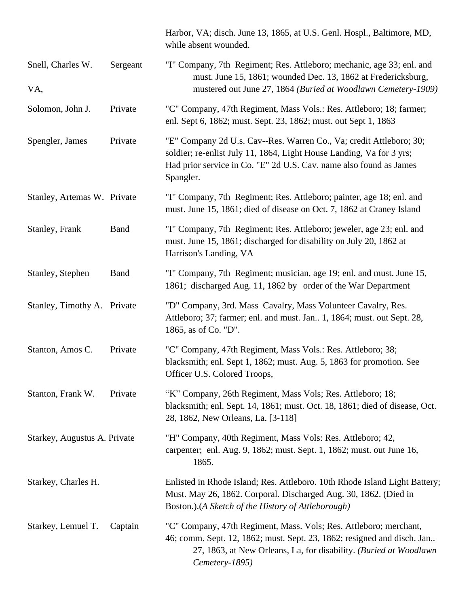|                              |             | Harbor, VA; disch. June 13, 1865, at U.S. Genl. Hospl., Baltimore, MD,<br>while absent wounded.                                                                                                                                     |
|------------------------------|-------------|-------------------------------------------------------------------------------------------------------------------------------------------------------------------------------------------------------------------------------------|
| Snell, Charles W.            | Sergeant    | "I" Company, 7th Regiment; Res. Attleboro; mechanic, age 33; enl. and<br>must. June 15, 1861; wounded Dec. 13, 1862 at Fredericksburg,                                                                                              |
| VA,                          |             | mustered out June 27, 1864 (Buried at Woodlawn Cemetery-1909)                                                                                                                                                                       |
| Solomon, John J.             | Private     | "C" Company, 47th Regiment, Mass Vols.: Res. Attleboro; 18; farmer;<br>enl. Sept 6, 1862; must. Sept. 23, 1862; must. out Sept 1, 1863                                                                                              |
| Spengler, James              | Private     | "E" Company 2d U.s. Cav--Res. Warren Co., Va; credit Attleboro; 30;<br>soldier; re-enlist July 11, 1864, Light House Landing, Va for 3 yrs;<br>Had prior service in Co. "E" 2d U.S. Cav. name also found as James<br>Spangler.      |
| Stanley, Artemas W. Private  |             | "I" Company, 7th Regiment; Res. Attleboro; painter, age 18; enl. and<br>must. June 15, 1861; died of disease on Oct. 7, 1862 at Craney Island                                                                                       |
| Stanley, Frank               | <b>Band</b> | "I" Company, 7th Regiment; Res. Attleboro; jeweler, age 23; enl. and<br>must. June 15, 1861; discharged for disability on July 20, 1862 at<br>Harrison's Landing, VA                                                                |
| Stanley, Stephen             | <b>Band</b> | "I" Company, 7th Regiment; musician, age 19; enl. and must. June 15,<br>1861; discharged Aug. 11, 1862 by order of the War Department                                                                                               |
| Stanley, Timothy A. Private  |             | "D" Company, 3rd. Mass Cavalry, Mass Volunteer Cavalry, Res.<br>Attleboro; 37; farmer; enl. and must. Jan 1, 1864; must. out Sept. 28,<br>1865, as of Co. "D".                                                                      |
| Stanton, Amos C.             | Private     | "C" Company, 47th Regiment, Mass Vols.: Res. Attleboro; 38;<br>blacksmith; enl. Sept 1, 1862; must. Aug. 5, 1863 for promotion. See<br>Officer U.S. Colored Troops,                                                                 |
| Stanton, Frank W.            | Private     | "K" Company, 26th Regiment, Mass Vols; Res. Attleboro; 18;<br>blacksmith; enl. Sept. 14, 1861; must. Oct. 18, 1861; died of disease, Oct.<br>28, 1862, New Orleans, La. [3-118]                                                     |
| Starkey, Augustus A. Private |             | "H" Company, 40th Regiment, Mass Vols: Res. Attleboro; 42,<br>carpenter; enl. Aug. 9, 1862; must. Sept. 1, 1862; must. out June 16,<br>1865.                                                                                        |
| Starkey, Charles H.          |             | Enlisted in Rhode Island; Res. Attleboro. 10th Rhode Island Light Battery;<br>Must. May 26, 1862. Corporal. Discharged Aug. 30, 1862. (Died in<br>Boston.).(A Sketch of the History of Attleborough)                                |
| Starkey, Lemuel T.           | Captain     | "C" Company, 47th Regiment, Mass. Vols; Res. Attleboro; merchant,<br>46; comm. Sept. 12, 1862; must. Sept. 23, 1862; resigned and disch. Jan<br>27, 1863, at New Orleans, La, for disability. (Buried at Woodlawn<br>Cemetery-1895) |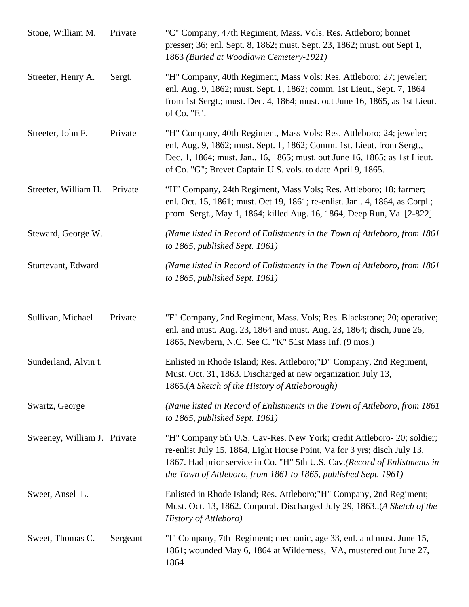| Stone, William M.           | Private  | "C" Company, 47th Regiment, Mass. Vols. Res. Attleboro; bonnet<br>presser; 36; enl. Sept. 8, 1862; must. Sept. 23, 1862; must. out Sept 1,<br>1863 (Buried at Woodlawn Cemetery-1921)                                                                                                              |
|-----------------------------|----------|----------------------------------------------------------------------------------------------------------------------------------------------------------------------------------------------------------------------------------------------------------------------------------------------------|
| Streeter, Henry A.          | Sergt.   | "H" Company, 40th Regiment, Mass Vols: Res. Attleboro; 27; jeweler;<br>enl. Aug. 9, 1862; must. Sept. 1, 1862; comm. 1st Lieut., Sept. 7, 1864<br>from 1st Sergt.; must. Dec. 4, 1864; must. out June 16, 1865, as 1st Lieut.<br>of Co. "E".                                                       |
| Streeter, John F.           | Private  | "H" Company, 40th Regiment, Mass Vols: Res. Attleboro; 24; jeweler;<br>enl. Aug. 9, 1862; must. Sept. 1, 1862; Comm. 1st. Lieut. from Sergt.,<br>Dec. 1, 1864; must. Jan 16, 1865; must. out June 16, 1865; as 1st Lieut.<br>of Co. "G"; Brevet Captain U.S. vols. to date April 9, 1865.          |
| Streeter, William H.        | Private  | "H" Company, 24th Regiment, Mass Vols; Res. Attleboro; 18; farmer;<br>enl. Oct. 15, 1861; must. Oct 19, 1861; re-enlist. Jan 4, 1864, as Corpl.;<br>prom. Sergt., May 1, 1864; killed Aug. 16, 1864, Deep Run, Va. [2-822]                                                                         |
| Steward, George W.          |          | (Name listed in Record of Enlistments in the Town of Attleboro, from 1861<br>to $1865$ , published Sept. 1961)                                                                                                                                                                                     |
| Sturtevant, Edward          |          | (Name listed in Record of Enlistments in the Town of Attleboro, from 1861)<br>to 1865, published Sept. 1961)                                                                                                                                                                                       |
| Sullivan, Michael           | Private  | "F" Company, 2nd Regiment, Mass. Vols; Res. Blackstone; 20; operative;<br>enl. and must. Aug. 23, 1864 and must. Aug. 23, 1864; disch, June 26,<br>1865, Newbern, N.C. See C. "K" 51st Mass Inf. (9 mos.)                                                                                          |
| Sunderland, Alvin t.        |          | Enlisted in Rhode Island; Res. Attleboro; "D" Company, 2nd Regiment,<br>Must. Oct. 31, 1863. Discharged at new organization July 13,<br>1865.(A Sketch of the History of Attleborough)                                                                                                             |
| Swartz, George              |          | (Name listed in Record of Enlistments in the Town of Attleboro, from 1861)<br>to $1865$ , published Sept. 1961)                                                                                                                                                                                    |
| Sweeney, William J. Private |          | "H" Company 5th U.S. Cav-Res. New York; credit Attleboro- 20; soldier;<br>re-enlist July 15, 1864, Light House Point, Va for 3 yrs; disch July 13,<br>1867. Had prior service in Co. "H" 5th U.S. Cav.(Record of Enlistments in<br>the Town of Attleboro, from 1861 to 1865, published Sept. 1961) |
| Sweet, Ansel L.             |          | Enlisted in Rhode Island; Res. Attleboro; "H" Company, 2nd Regiment;<br>Must. Oct. 13, 1862. Corporal. Discharged July 29, 1863. (A Sketch of the<br>History of Attleboro)                                                                                                                         |
| Sweet, Thomas C.            | Sergeant | "I" Company, 7th Regiment; mechanic, age 33, enl. and must. June 15,<br>1861; wounded May 6, 1864 at Wilderness, VA, mustered out June 27,<br>1864                                                                                                                                                 |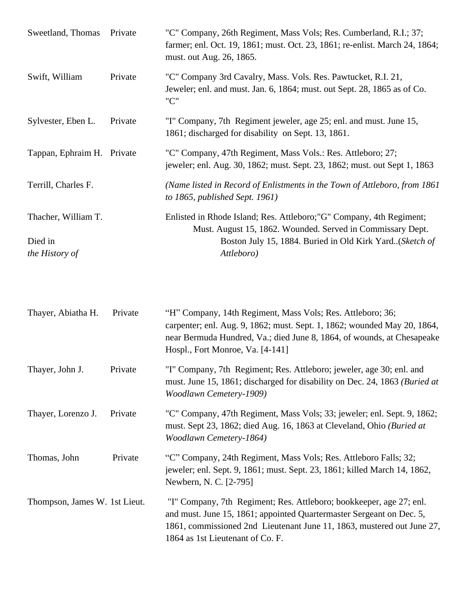| Sweetland, Thomas          | Private | "C" Company, 26th Regiment, Mass Vols; Res. Cumberland, R.I.; 37;<br>farmer; enl. Oct. 19, 1861; must. Oct. 23, 1861; re-enlist. March 24, 1864;<br>must. out Aug. 26, 1865. |
|----------------------------|---------|------------------------------------------------------------------------------------------------------------------------------------------------------------------------------|
| Swift, William             | Private | "C" Company 3rd Cavalry, Mass. Vols. Res. Pawtucket, R.I. 21,<br>Jeweler; enl. and must. Jan. 6, 1864; must. out Sept. 28, 1865 as of Co.<br>"C"                             |
| Sylvester, Eben L.         | Private | "I" Company, 7th Regiment jeweler, age 25; enl. and must. June 15,<br>1861; discharged for disability on Sept. 13, 1861.                                                     |
| Tappan, Ephraim H. Private |         | "C" Company, 47th Regiment, Mass Vols.: Res. Attleboro; 27;<br>jeweler; enl. Aug. 30, 1862; must. Sept. 23, 1862; must. out Sept 1, 1863                                     |
| Terrill, Charles F.        |         | (Name listed in Record of Enlistments in the Town of Attleboro, from 1861)<br>to $1865$ , published Sept. 1961)                                                              |
| Thacher, William T.        |         | Enlisted in Rhode Island; Res. Attleboro; "G" Company, 4th Regiment;<br>Must. August 15, 1862. Wounded. Served in Commissary Dept.                                           |
| Died in<br>the History of  |         | Boston July 15, 1884. Buried in Old Kirk Yard. (Sketch of<br>Attleboro)                                                                                                      |

| Thayer, Abiatha H.            | Private | "H" Company, 14th Regiment, Mass Vols; Res. Attleboro; 36;<br>carpenter; enl. Aug. 9, 1862; must. Sept. 1, 1862; wounded May 20, 1864,<br>near Bermuda Hundred, Va.; died June 8, 1864, of wounds, at Chesapeake<br>Hospl., Fort Monroe, Va. [4-141]      |
|-------------------------------|---------|-----------------------------------------------------------------------------------------------------------------------------------------------------------------------------------------------------------------------------------------------------------|
| Thayer, John J.               | Private | "I" Company, 7th Regiment; Res. Attleboro; jeweler, age 30; enl. and<br>must. June 15, 1861; discharged for disability on Dec. 24, 1863 (Buried at<br><b>Woodlawn Cemetery-1909)</b>                                                                      |
| Thayer, Lorenzo J.            | Private | "C" Company, 47th Regiment, Mass Vols; 33; jeweler; enl. Sept. 9, 1862;<br>must. Sept 23, 1862; died Aug. 16, 1863 at Cleveland, Ohio (Buried at<br>Woodlawn Cemetery-1864)                                                                               |
| Thomas, John                  | Private | "C" Company, 24th Regiment, Mass Vols; Res. Attleboro Falls; 32;<br>jeweler; enl. Sept. 9, 1861; must. Sept. 23, 1861; killed March 14, 1862,<br>Newbern, N. C. [2-795]                                                                                   |
| Thompson, James W. 1st Lieut. |         | "I" Company, 7th Regiment; Res. Attleboro; bookkeeper, age 27; enl.<br>and must. June 15, 1861; appointed Quartermaster Sergeant on Dec. 5,<br>1861, commissioned 2nd Lieutenant June 11, 1863, mustered out June 27,<br>1864 as 1st Lieutenant of Co. F. |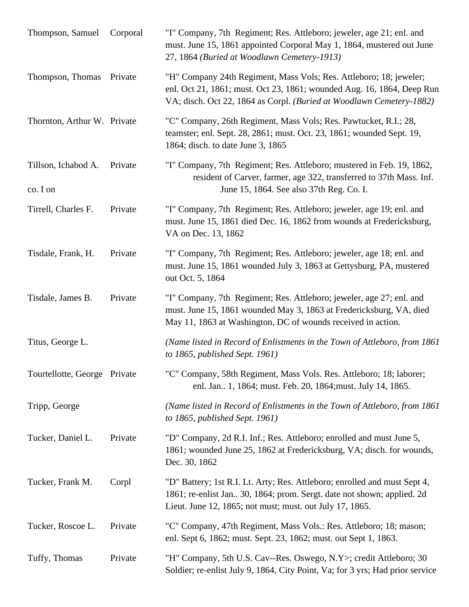| Thompson, Samuel                | Corporal | "I" Company, 7th Regiment; Res. Attleboro; jeweler, age 21; enl. and<br>must. June 15, 1861 appointed Corporal May 1, 1864, mustered out June<br>27, 1864 (Buried at Woodlawn Cemetery-1913)                         |
|---------------------------------|----------|----------------------------------------------------------------------------------------------------------------------------------------------------------------------------------------------------------------------|
| Thompson, Thomas                | Private  | "H" Company 24th Regiment, Mass Vols; Res. Attleboro; 18; jeweler;<br>enl. Oct 21, 1861; must. Oct 23, 1861; wounded Aug. 16, 1864, Deep Run<br>VA; disch. Oct 22, 1864 as Corpl. (Buried at Woodlawn Cemetery-1882) |
| Thornton, Arthur W. Private     |          | "C" Company, 26th Regiment, Mass Vols; Res. Pawtucket, R.I.; 28,<br>teamster; enl. Sept. 28, 2861; must. Oct. 23, 1861; wounded Sept. 19,<br>1864; disch. to date June 3, 1865                                       |
| Tillson, Ichabod A.<br>co. I on | Private  | "I" Company, 7th Regiment; Res. Attleboro; mustered in Feb. 19, 1862,<br>resident of Carver, farmer, age 322, transferred to 37th Mass. Inf.<br>June 15, 1864. See also 37th Reg. Co. I.                             |
| Tirrell, Charles F.             | Private  | "I" Company, 7th Regiment; Res. Attleboro; jeweler, age 19; enl. and<br>must. June 15, 1861 died Dec. 16, 1862 from wounds at Fredericksburg,<br>VA on Dec. 13, 1862                                                 |
| Tisdale, Frank, H.              | Private  | "I" Company, 7th Regiment; Res. Attleboro; jeweler, age 18; enl. and<br>must. June 15, 1861 wounded July 3, 1863 at Gettysburg, PA, mustered<br>out Oct. 5, 1864                                                     |
| Tisdale, James B.               | Private  | "I" Company, 7th Regiment; Res. Attleboro; jeweler, age 27; enl. and<br>must. June 15, 1861 wounded May 3, 1863 at Fredericksburg, VA, died<br>May 11, 1863 at Washington, DC of wounds received in action.          |
| Titus, George L.                |          | (Name listed in Record of Enlistments in the Town of Attleboro, from 1861)<br>to 1865, published Sept. 1961)                                                                                                         |
| Tourtellotte, George Private    |          | "C" Company, 58th Regiment, Mass Vols. Res. Attleboro; 18; laborer;<br>enl. Jan 1, 1864; must. Feb. 20, 1864; must. July 14, 1865.                                                                                   |
| Tripp, George                   |          | (Name listed in Record of Enlistments in the Town of Attleboro, from 1861)<br>to $1865$ , published Sept. 1961)                                                                                                      |
| Tucker, Daniel L.               | Private  | "D" Company, 2d R.I. Inf.; Res. Attleboro; enrolled and must June 5,<br>1861; wounded June 25, 1862 at Fredericksburg, VA; disch. for wounds,<br>Dec. 30, 1862                                                       |
| Tucker, Frank M.                | Corpl    | "D" Battery; 1st R.I. Lt. Arty; Res. Attleboro; enrolled and must Sept 4,<br>1861; re-enlist Jan., 30, 1864; prom. Sergt. date not shown; applied. 2d<br>Lieut. June 12, 1865; not must; must. out July 17, 1865.    |
| Tucker, Roscoe L.               | Private  | "C" Company, 47th Regiment, Mass Vols.: Res. Attleboro; 18; mason;<br>enl. Sept 6, 1862; must. Sept. 23, 1862; must. out Sept 1, 1863.                                                                               |
| Tuffy, Thomas                   | Private  | "H" Company, 5th U.S. Cav--Res. Oswego, N.Y>; credit Attleboro; 30<br>Soldier; re-enlist July 9, 1864, City Point, Va; for 3 yrs; Had prior service                                                                  |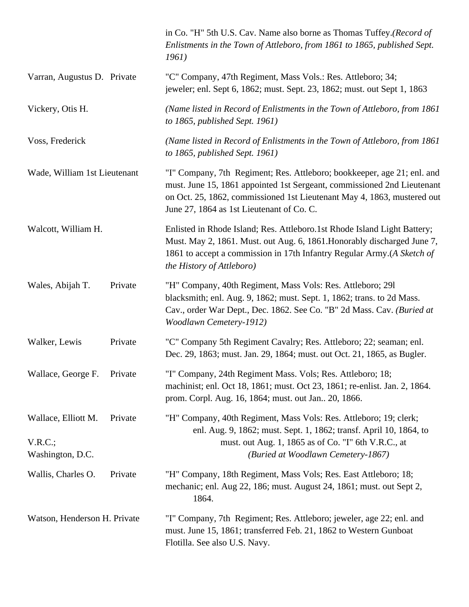|                                                   |         | in Co. "H" 5th U.S. Cav. Name also borne as Thomas Tuffey. (Record of<br>Enlistments in the Town of Attleboro, from 1861 to 1865, published Sept.<br>1961)                                                                                                                 |
|---------------------------------------------------|---------|----------------------------------------------------------------------------------------------------------------------------------------------------------------------------------------------------------------------------------------------------------------------------|
| Varran, Augustus D. Private                       |         | "C" Company, 47th Regiment, Mass Vols.: Res. Attleboro; 34;<br>jeweler; enl. Sept 6, 1862; must. Sept. 23, 1862; must. out Sept 1, 1863                                                                                                                                    |
| Vickery, Otis H.                                  |         | (Name listed in Record of Enlistments in the Town of Attleboro, from 1861)<br>to 1865, published Sept. 1961)                                                                                                                                                               |
| Voss, Frederick                                   |         | (Name listed in Record of Enlistments in the Town of Attleboro, from 1861)<br>to 1865, published Sept. 1961)                                                                                                                                                               |
| Wade, William 1st Lieutenant                      |         | "I" Company, 7th Regiment; Res. Attleboro; bookkeeper, age 21; enl. and<br>must. June 15, 1861 appointed 1st Sergeant, commissioned 2nd Lieutenant<br>on Oct. 25, 1862, commissioned 1st Lieutenant May 4, 1863, mustered out<br>June 27, 1864 as 1st Lieutenant of Co. C. |
| Walcott, William H.                               |         | Enlisted in Rhode Island; Res. Attleboro.1st Rhode Island Light Battery;<br>Must. May 2, 1861. Must. out Aug. 6, 1861. Honorably discharged June 7,<br>1861 to accept a commission in 17th Infantry Regular Army.(A Sketch of<br>the History of Attleboro)                 |
| Wales, Abijah T.                                  | Private | "H" Company, 40th Regiment, Mass Vols: Res. Attleboro; 291<br>blacksmith; enl. Aug. 9, 1862; must. Sept. 1, 1862; trans. to 2d Mass.<br>Cav., order War Dept., Dec. 1862. See Co. "B" 2d Mass. Cav. (Buried at<br><b>Woodlawn Cemetery-1912)</b>                           |
| Walker, Lewis                                     | Private | "C" Company 5th Regiment Cavalry; Res. Attleboro; 22; seaman; enl.<br>Dec. 29, 1863; must. Jan. 29, 1864; must. out Oct. 21, 1865, as Bugler.                                                                                                                              |
| Wallace, George F.                                | Private | "I" Company, 24th Regiment Mass. Vols; Res. Attleboro; 18;<br>machinist; enl. Oct 18, 1861; must. Oct 23, 1861; re-enlist. Jan. 2, 1864.<br>prom. Corpl. Aug. 16, 1864; must. out Jan 20, 1866.                                                                            |
| Wallace, Elliott M.<br>V.R.C.<br>Washington, D.C. | Private | "H" Company, 40th Regiment, Mass Vols: Res. Attleboro; 19; clerk;<br>enl. Aug. 9, 1862; must. Sept. 1, 1862; transf. April 10, 1864, to<br>must. out Aug. 1, 1865 as of Co. "I" 6th V.R.C., at<br>(Buried at Woodlawn Cemetery-1867)                                       |
| Wallis, Charles O.                                | Private | "H" Company, 18th Regiment, Mass Vols; Res. East Attleboro; 18;<br>mechanic; enl. Aug 22, 186; must. August 24, 1861; must. out Sept 2,<br>1864.                                                                                                                           |
| Watson, Henderson H. Private                      |         | "I" Company, 7th Regiment; Res. Attleboro; jeweler, age 22; enl. and<br>must. June 15, 1861; transferred Feb. 21, 1862 to Western Gunboat<br>Flotilla. See also U.S. Navy.                                                                                                 |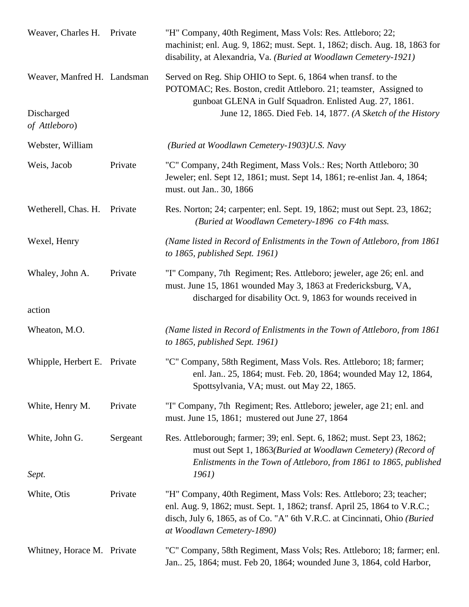| Weaver, Charles H. Private  |          | "H" Company, 40th Regiment, Mass Vols: Res. Attleboro; 22;<br>machinist; enl. Aug. 9, 1862; must. Sept. 1, 1862; disch. Aug. 18, 1863 for<br>disability, at Alexandria, Va. (Buried at Woodlawn Cemetery-1921)                                              |
|-----------------------------|----------|-------------------------------------------------------------------------------------------------------------------------------------------------------------------------------------------------------------------------------------------------------------|
| Weaver, Manfred H. Landsman |          | Served on Reg. Ship OHIO to Sept. 6, 1864 when transf. to the<br>POTOMAC; Res. Boston, credit Attleboro. 21; teamster, Assigned to<br>gunboat GLENA in Gulf Squadron. Enlisted Aug. 27, 1861.                                                               |
| Discharged<br>of Attleboro) |          | June 12, 1865. Died Feb. 14, 1877. (A Sketch of the History                                                                                                                                                                                                 |
| Webster, William            |          | (Buried at Woodlawn Cemetery-1903)U.S. Navy                                                                                                                                                                                                                 |
| Weis, Jacob                 | Private  | "C" Company, 24th Regiment, Mass Vols.: Res; North Attleboro; 30<br>Jeweler; enl. Sept 12, 1861; must. Sept 14, 1861; re-enlist Jan. 4, 1864;<br>must. out Jan 30, 1866                                                                                     |
| Wetherell, Chas. H.         | Private  | Res. Norton; 24; carpenter; enl. Sept. 19, 1862; must out Sept. 23, 1862;<br>(Buried at Woodlawn Cemetery-1896 co F4th mass.                                                                                                                                |
| Wexel, Henry                |          | (Name listed in Record of Enlistments in the Town of Attleboro, from 1861)<br>to 1865, published Sept. 1961)                                                                                                                                                |
| Whaley, John A.             | Private  | "I" Company, 7th Regiment; Res. Attleboro; jeweler, age 26; enl. and<br>must. June 15, 1861 wounded May 3, 1863 at Fredericksburg, VA,<br>discharged for disability Oct. 9, 1863 for wounds received in                                                     |
| action                      |          |                                                                                                                                                                                                                                                             |
| Wheaton, M.O.               |          | (Name listed in Record of Enlistments in the Town of Attleboro, from 1861)<br>to $1865$ , published Sept. 1961)                                                                                                                                             |
| Whipple, Herbert E. Private |          | "C" Company, 58th Regiment, Mass Vols. Res. Attleboro; 18; farmer;<br>enl. Jan., 25, 1864; must. Feb. 20, 1864; wounded May 12, 1864,<br>Spottsylvania, VA; must. out May 22, 1865.                                                                         |
| White, Henry M.             | Private  | "I" Company, 7th Regiment; Res. Attleboro; jeweler, age 21; enl. and<br>must. June 15, 1861; mustered out June 27, 1864                                                                                                                                     |
| White, John G.              | Sergeant | Res. Attleborough; farmer; 39; enl. Sept. 6, 1862; must. Sept 23, 1862;<br>must out Sept 1, 1863(Buried at Woodlawn Cemetery) (Record of<br>Enlistments in the Town of Attleboro, from 1861 to 1865, published                                              |
| Sept.                       |          | 1961)                                                                                                                                                                                                                                                       |
| White, Otis                 | Private  | "H" Company, 40th Regiment, Mass Vols: Res. Attleboro; 23; teacher;<br>enl. Aug. 9, 1862; must. Sept. 1, 1862; transf. April 25, 1864 to V.R.C.;<br>disch, July 6, 1865, as of Co. "A" 6th V.R.C. at Cincinnati, Ohio (Buried<br>at Woodlawn Cemetery-1890) |
| Whitney, Horace M. Private  |          | "C" Company, 58th Regiment, Mass Vols; Res. Attleboro; 18; farmer; enl.<br>Jan., 25, 1864; must. Feb 20, 1864; wounded June 3, 1864, cold Harbor,                                                                                                           |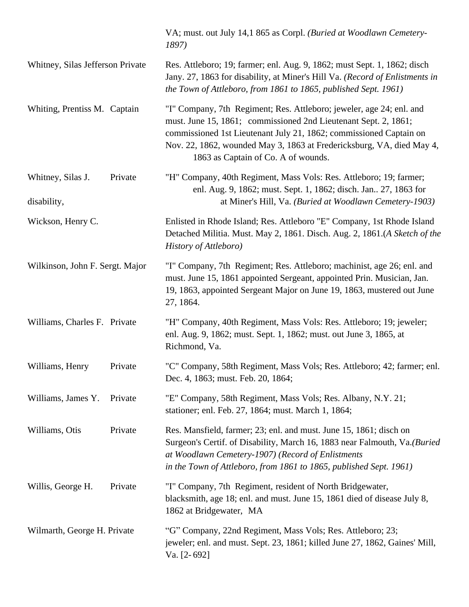|                                  |         | VA; must. out July 14,1 865 as Corpl. (Buried at Woodlawn Cemetery-<br>1897)                                                                                                                                                                                                                                                  |
|----------------------------------|---------|-------------------------------------------------------------------------------------------------------------------------------------------------------------------------------------------------------------------------------------------------------------------------------------------------------------------------------|
| Whitney, Silas Jefferson Private |         | Res. Attleboro; 19; farmer; enl. Aug. 9, 1862; must Sept. 1, 1862; disch<br>Jany. 27, 1863 for disability, at Miner's Hill Va. (Record of Enlistments in<br>the Town of Attleboro, from 1861 to 1865, published Sept. 1961)                                                                                                   |
| Whiting, Prentiss M. Captain     |         | "I" Company, 7th Regiment; Res. Attleboro; jeweler, age 24; enl. and<br>must. June 15, 1861; commissioned 2nd Lieutenant Sept. 2, 1861;<br>commissioned 1st Lieutenant July 21, 1862; commissioned Captain on<br>Nov. 22, 1862, wounded May 3, 1863 at Fredericksburg, VA, died May 4,<br>1863 as Captain of Co. A of wounds. |
| Whitney, Silas J.<br>disability, | Private | "H" Company, 40th Regiment, Mass Vols: Res. Attleboro; 19; farmer;<br>enl. Aug. 9, 1862; must. Sept. 1, 1862; disch. Jan 27, 1863 for<br>at Miner's Hill, Va. (Buried at Woodlawn Cemetery-1903)                                                                                                                              |
| Wickson, Henry C.                |         | Enlisted in Rhode Island; Res. Attleboro "E" Company, 1st Rhode Island<br>Detached Militia. Must. May 2, 1861. Disch. Aug. 2, 1861.(A Sketch of the<br>History of Attleboro)                                                                                                                                                  |
| Wilkinson, John F. Sergt. Major  |         | "I" Company, 7th Regiment; Res. Attleboro; machinist, age 26; enl. and<br>must. June 15, 1861 appointed Sergeant, appointed Prin. Musician, Jan.<br>19, 1863, appointed Sergeant Major on June 19, 1863, mustered out June<br>27, 1864.                                                                                       |
| Williams, Charles F. Private     |         | "H" Company, 40th Regiment, Mass Vols: Res. Attleboro; 19; jeweler;<br>enl. Aug. 9, 1862; must. Sept. 1, 1862; must. out June 3, 1865, at<br>Richmond, Va.                                                                                                                                                                    |
| Williams, Henry                  | Private | "C" Company, 58th Regiment, Mass Vols; Res. Attleboro; 42; farmer; enl.<br>Dec. 4, 1863; must. Feb. 20, 1864;                                                                                                                                                                                                                 |
| Williams, James Y.               | Private | "E" Company, 58th Regiment, Mass Vols; Res. Albany, N.Y. 21;<br>stationer; enl. Feb. 27, 1864; must. March 1, 1864;                                                                                                                                                                                                           |
| Williams, Otis                   | Private | Res. Mansfield, farmer; 23; enl. and must. June 15, 1861; disch on<br>Surgeon's Certif. of Disability, March 16, 1883 near Falmouth, Va.(Buried<br>at Woodlawn Cemetery-1907) (Record of Enlistments<br>in the Town of Attleboro, from 1861 to 1865, published Sept. 1961)                                                    |
| Willis, George H.                | Private | "I" Company, 7th Regiment, resident of North Bridgewater,<br>blacksmith, age 18; enl. and must. June 15, 1861 died of disease July 8,<br>1862 at Bridgewater, MA                                                                                                                                                              |
| Wilmarth, George H. Private      |         | "G" Company, 22nd Regiment, Mass Vols; Res. Attleboro; 23;<br>jeweler; enl. and must. Sept. 23, 1861; killed June 27, 1862, Gaines' Mill,<br>Va. [2-692]                                                                                                                                                                      |